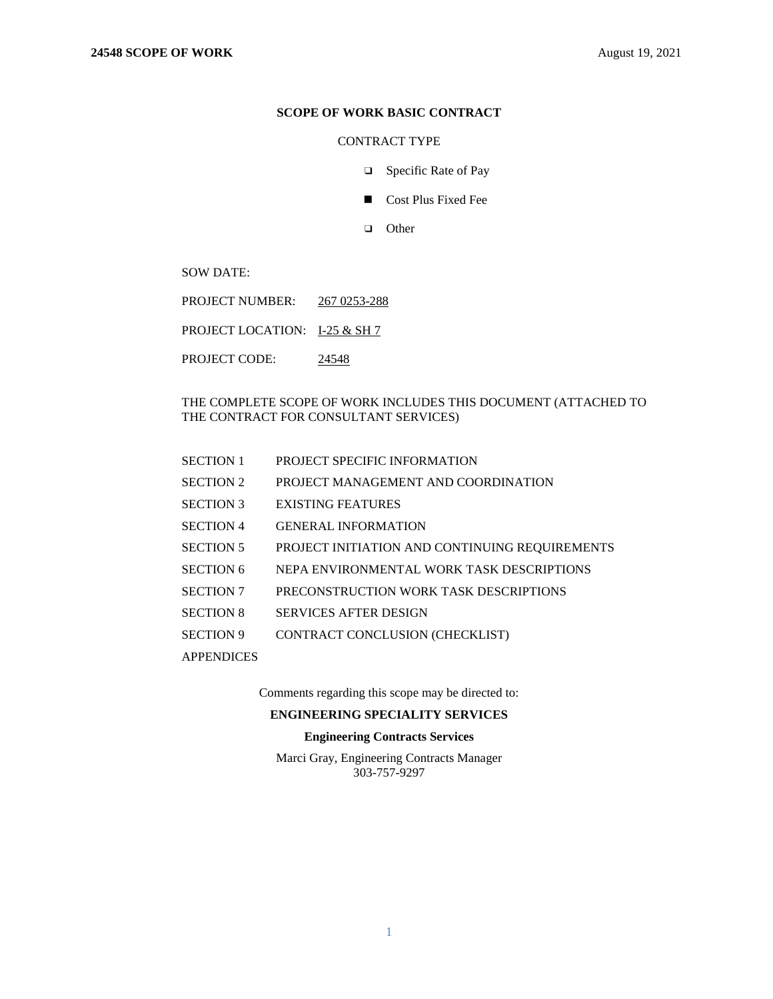## **SCOPE OF WORK BASIC CONTRACT**

## CONTRACT TYPE

- ❑ Specific Rate of Pay
- Cost Plus Fixed Fee
- ❑ Other

SOW DATE:

- PROJECT NUMBER: 267 0253-288
- PROJECT LOCATION: I-25 & SH 7
- PROJECT CODE: 24548

THE COMPLETE SCOPE OF WORK INCLUDES THIS DOCUMENT (ATTACHED TO THE CONTRACT FOR CONSULTANT SERVICES)

- SECTION 1 PROJECT SPECIFIC INFORMATION
- SECTION 2 PROJECT MANAGEMENT AND COORDINATION
- SECTION 3 EXISTING FEATURES
- SECTION 4 GENERAL INFORMATION
- SECTION 5 PROJECT INITIATION AND CONTINUING REQUIREMENTS
- SECTION 6 NEPA ENVIRONMENTAL WORK TASK DESCRIPTIONS
- SECTION 7 PRECONSTRUCTION WORK TASK DESCRIPTIONS
- SECTION 8 SERVICES AFTER DESIGN
- SECTION 9 CONTRACT CONCLUSION (CHECKLIST)
- **APPENDICES**

Comments regarding this scope may be directed to:

## **ENGINEERING SPECIALITY SERVICES**

### **Engineering Contracts Services**

Marci Gray, Engineering Contracts Manager 303-757-9297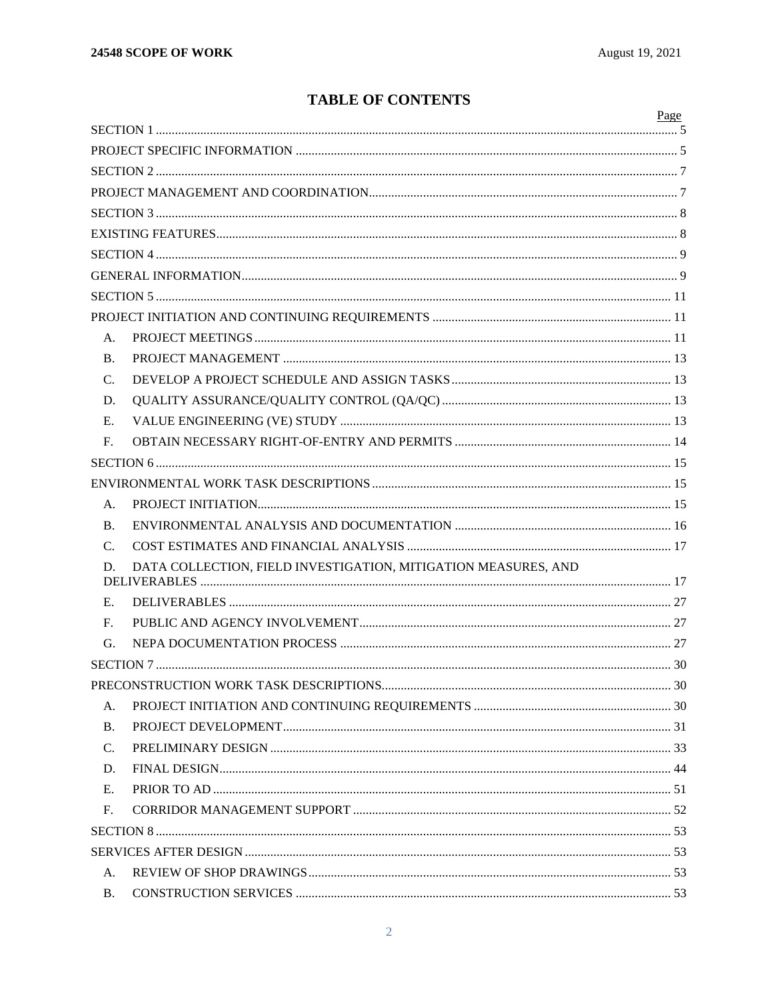# **TABLE OF CONTENTS**

|                 |                                                                | Page |
|-----------------|----------------------------------------------------------------|------|
|                 |                                                                |      |
|                 |                                                                |      |
|                 |                                                                |      |
|                 |                                                                |      |
|                 |                                                                |      |
|                 |                                                                |      |
|                 |                                                                |      |
|                 |                                                                |      |
|                 |                                                                |      |
| А.              |                                                                |      |
| <b>B.</b>       |                                                                |      |
| C.              |                                                                |      |
| D.              |                                                                |      |
| Е.              |                                                                |      |
| $F_{\cdot}$     |                                                                |      |
|                 |                                                                |      |
|                 |                                                                |      |
| А.              |                                                                |      |
| <b>B.</b>       |                                                                |      |
| $C_{\cdot}$     |                                                                |      |
| D.              | DATA COLLECTION, FIELD INVESTIGATION, MITIGATION MEASURES, AND |      |
|                 |                                                                |      |
| Е.              |                                                                |      |
| F.              |                                                                |      |
| G.              |                                                                |      |
|                 |                                                                |      |
|                 |                                                                |      |
| A.              |                                                                |      |
| <b>B.</b>       |                                                                |      |
| $\mathcal{C}$ . |                                                                |      |
| D.              |                                                                |      |
| E.              |                                                                |      |
| F <sub>r</sub>  |                                                                |      |
|                 |                                                                |      |
|                 |                                                                |      |
| A.              |                                                                |      |
| <b>B.</b>       |                                                                |      |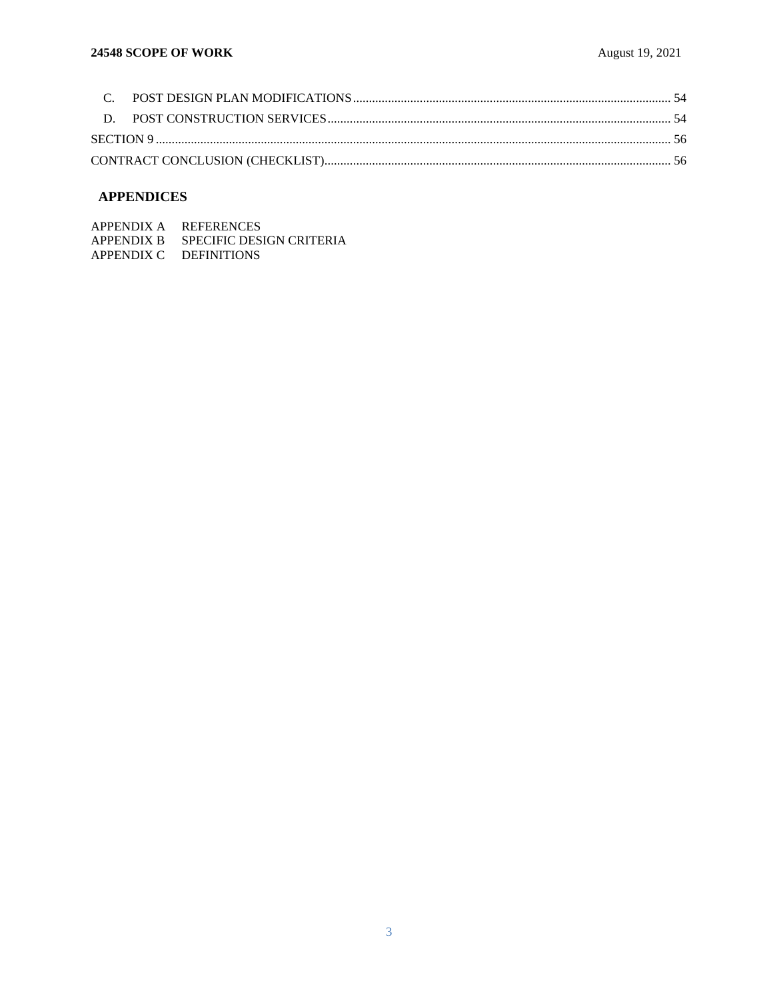# **APPENDICES**

| APPENDIX A | <b>REFERENCES</b>          |
|------------|----------------------------|
| APPENDIX B | - SPECIFIC DESIGN CRITERIA |
|            | APPENDIX C DEFINITIONS     |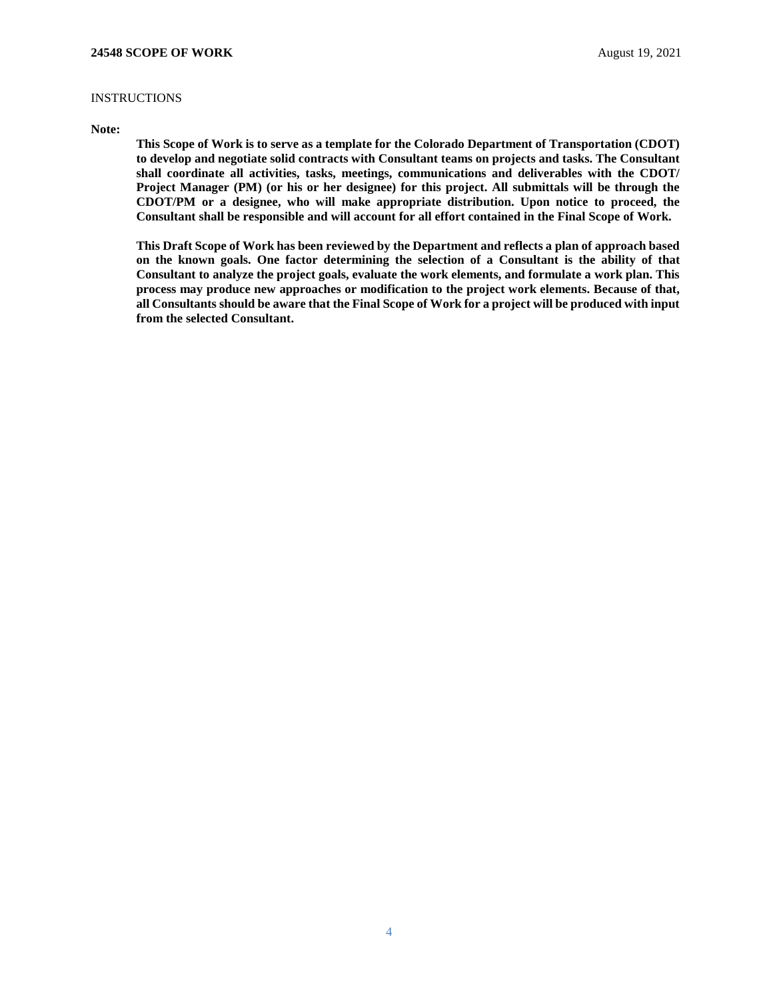## **INSTRUCTIONS**

### **Note:**

**This Scope of Work is to serve as a template for the Colorado Department of Transportation (CDOT) to develop and negotiate solid contracts with Consultant teams on projects and tasks. The Consultant shall coordinate all activities, tasks, meetings, communications and deliverables with the CDOT/ Project Manager (PM) (or his or her designee) for this project. All submittals will be through the CDOT/PM or a designee, who will make appropriate distribution. Upon notice to proceed, the Consultant shall be responsible and will account for all effort contained in the Final Scope of Work.** 

**This Draft Scope of Work has been reviewed by the Department and reflects a plan of approach based on the known goals. One factor determining the selection of a Consultant is the ability of that Consultant to analyze the project goals, evaluate the work elements, and formulate a work plan. This process may produce new approaches or modification to the project work elements. Because of that, all Consultants should be aware that the Final Scope of Work for a project will be produced with input from the selected Consultant.**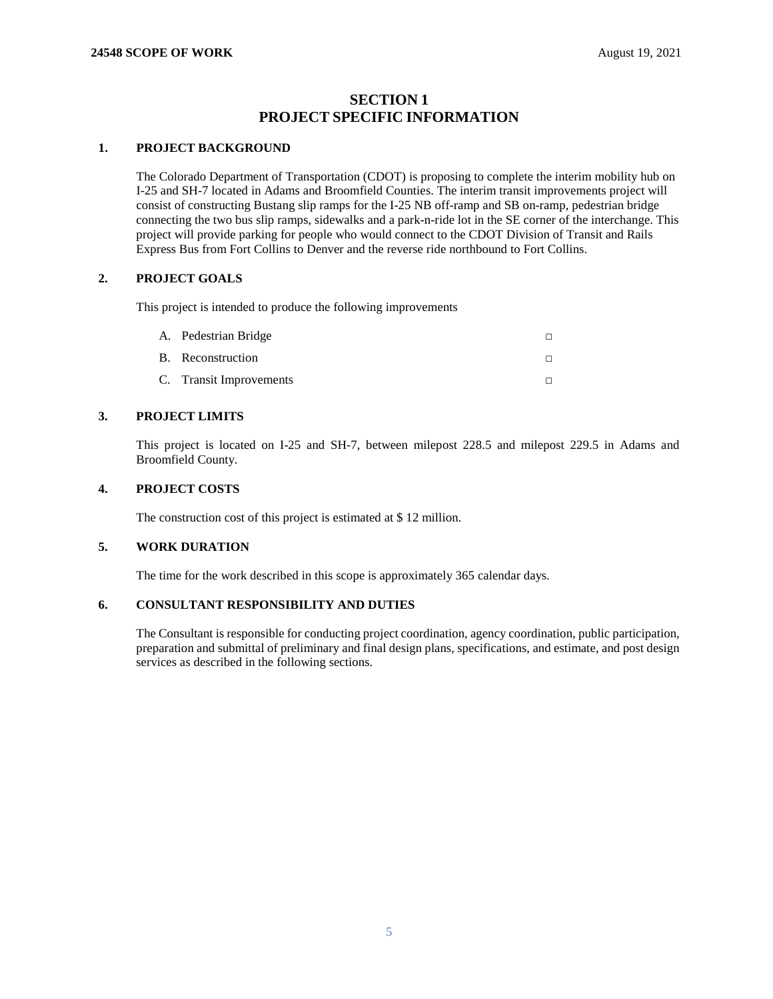## **SECTION 1 PROJECT SPECIFIC INFORMATION**

### <span id="page-4-1"></span><span id="page-4-0"></span>**1. PROJECT BACKGROUND**

The Colorado Department of Transportation (CDOT) is proposing to complete the interim mobility hub on I-25 and SH-7 located in Adams and Broomfield Counties. The interim transit improvements project will consist of constructing Bustang slip ramps for the I-25 NB off-ramp and SB on-ramp, pedestrian bridge connecting the two bus slip ramps, sidewalks and a park-n-ride lot in the SE corner of the interchange. This project will provide parking for people who would connect to the CDOT Division of Transit and Rails Express Bus from Fort Collins to Denver and the reverse ride northbound to Fort Collins.

## **2. PROJECT GOALS**

This project is intended to produce the following improvements

| A. Pedestrian Bridge    |  |
|-------------------------|--|
| B. Reconstruction       |  |
| C. Transit Improvements |  |

## **3. PROJECT LIMITS**

This project is located on I-25 and SH-7, between milepost 228.5 and milepost 229.5 in Adams and Broomfield County.

## **4. PROJECT COSTS**

The construction cost of this project is estimated at \$ 12 million.

### **5. WORK DURATION**

The time for the work described in this scope is approximately 365 calendar days.

## **6. CONSULTANT RESPONSIBILITY AND DUTIES**

The Consultant is responsible for conducting project coordination, agency coordination, public participation, preparation and submittal of preliminary and final design plans, specifications, and estimate, and post design services as described in the following sections.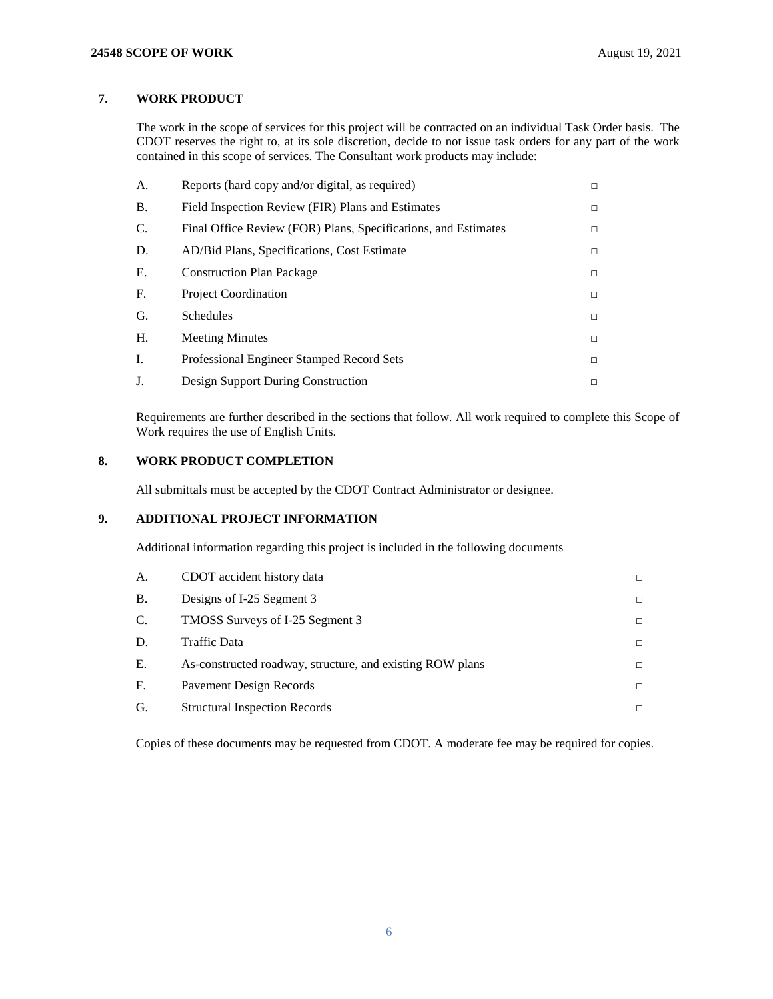## **7. WORK PRODUCT**

The work in the scope of services for this project will be contracted on an individual Task Order basis. The CDOT reserves the right to, at its sole discretion, decide to not issue task orders for any part of the work contained in this scope of services. The Consultant work products may include:

| A.              | Reports (hard copy and/or digital, as required)                | $\Box$ |
|-----------------|----------------------------------------------------------------|--------|
| <b>B.</b>       | Field Inspection Review (FIR) Plans and Estimates              | $\Box$ |
| $\mathcal{C}$ . | Final Office Review (FOR) Plans, Specifications, and Estimates | $\Box$ |
| D.              | AD/Bid Plans, Specifications, Cost Estimate                    | $\Box$ |
| E.              | <b>Construction Plan Package</b>                               | $\Box$ |
| F <sub>r</sub>  | <b>Project Coordination</b>                                    | □      |
| G.              | Schedules                                                      | □      |
| H.              | <b>Meeting Minutes</b>                                         | □      |
| I.              | Professional Engineer Stamped Record Sets                      | □      |
| J.              | Design Support During Construction                             | □      |

Requirements are further described in the sections that follow. All work required to complete this Scope of Work requires the use of English Units.

## **8. WORK PRODUCT COMPLETION**

All submittals must be accepted by the CDOT Contract Administrator or designee.

## **9. ADDITIONAL PROJECT INFORMATION**

Additional information regarding this project is included in the following documents

| A.        | CDOT accident history data                                |   |
|-----------|-----------------------------------------------------------|---|
| <b>B.</b> | Designs of I-25 Segment 3                                 | П |
| C.        | TMOSS Surveys of I-25 Segment 3                           | □ |
| D.        | Traffic Data                                              | П |
| Е.        | As-constructed roadway, structure, and existing ROW plans | П |
| F.        | Pavement Design Records                                   | □ |
| G.        | <b>Structural Inspection Records</b>                      | п |

Copies of these documents may be requested from CDOT. A moderate fee may be required for copies.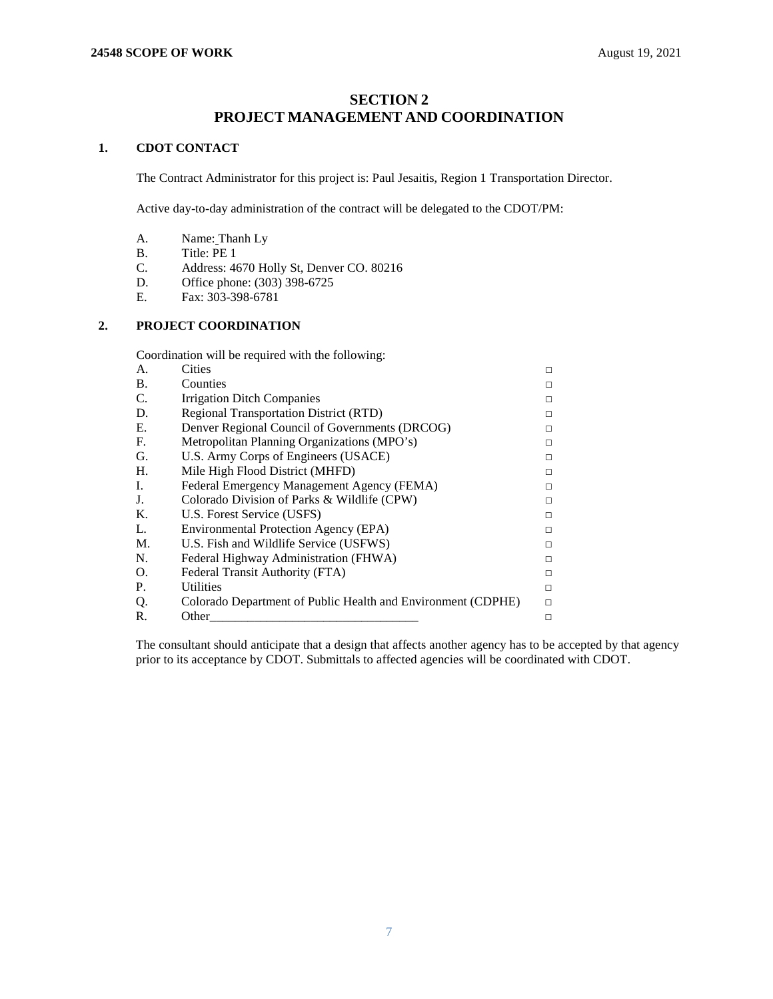## **SECTION 2 PROJECT MANAGEMENT AND COORDINATION**

## <span id="page-6-1"></span><span id="page-6-0"></span>**1. CDOT CONTACT**

The Contract Administrator for this project is: Paul Jesaitis, Region 1 Transportation Director.

Active day-to-day administration of the contract will be delegated to the CDOT/PM:

- A. Name: Thanh Ly
- B. Title: PE 1
- C. Address: 4670 Holly St, Denver CO. 80216
- D. Office phone: (303) 398-6725
- E. Fax: 303-398-6781

## **2. PROJECT COORDINATION**

Coordination will be required with the following:

| A.        | <b>Cities</b>                                                | П |
|-----------|--------------------------------------------------------------|---|
| <b>B.</b> | Counties                                                     | П |
| C.        | Irrigation Ditch Companies                                   | П |
| D.        | <b>Regional Transportation District (RTD)</b>                | П |
| Е.        | Denver Regional Council of Governments (DRCOG)               | п |
| F.        | Metropolitan Planning Organizations (MPO's)                  | п |
| G.        | U.S. Army Corps of Engineers (USACE)                         | п |
| Н.        | Mile High Flood District (MHFD)                              | п |
| Ι.        | Federal Emergency Management Agency (FEMA)                   | п |
| J.        | Colorado Division of Parks & Wildlife (CPW)                  | п |
| K.        | U.S. Forest Service (USFS)                                   | п |
| L.        | Environmental Protection Agency (EPA)                        | П |
| M.        | U.S. Fish and Wildlife Service (USFWS)                       | П |
| N.        | Federal Highway Administration (FHWA)                        | п |
| Ο.        | Federal Transit Authority (FTA)                              | П |
| P.        | <b>Utilities</b>                                             | п |
| Q.        | Colorado Department of Public Health and Environment (CDPHE) | п |
| R.        | Other                                                        | □ |

The consultant should anticipate that a design that affects another agency has to be accepted by that agency prior to its acceptance by CDOT. Submittals to affected agencies will be coordinated with CDOT.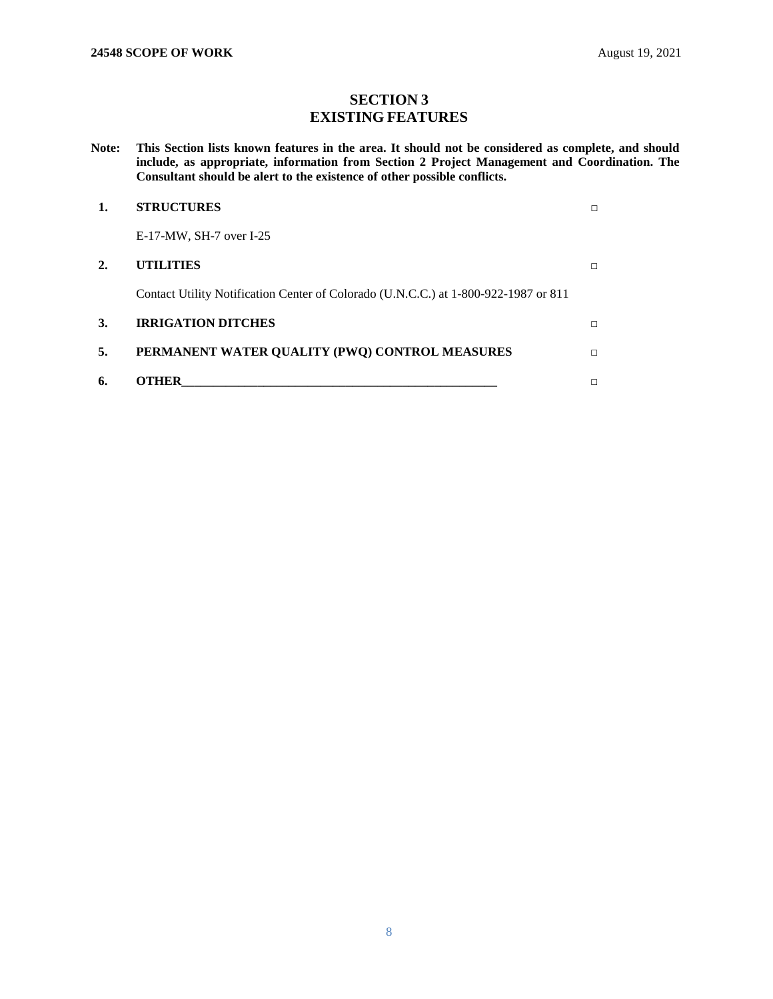# **SECTION 3 EXISTING FEATURES**

<span id="page-7-1"></span><span id="page-7-0"></span>**Note: This Section lists known features in the area. It should not be considered as complete, and should include, as appropriate, information from Section 2 Project Management and Coordination. The Consultant should be alert to the existence of other possible conflicts.** 

|    | <b>STRUCTURES</b>                                                                   |   |
|----|-------------------------------------------------------------------------------------|---|
|    | $E-17-MW$ , SH-7 over I-25                                                          |   |
| 2. | <b>UTILITIES</b>                                                                    | г |
|    | Contact Utility Notification Center of Colorado (U.N.C.C.) at 1-800-922-1987 or 811 |   |
| 3. | <b>IRRIGATION DITCHES</b>                                                           | П |
| 5. | PERMANENT WATER QUALITY (PWQ) CONTROL MEASURES                                      | П |
| 6. | THER                                                                                |   |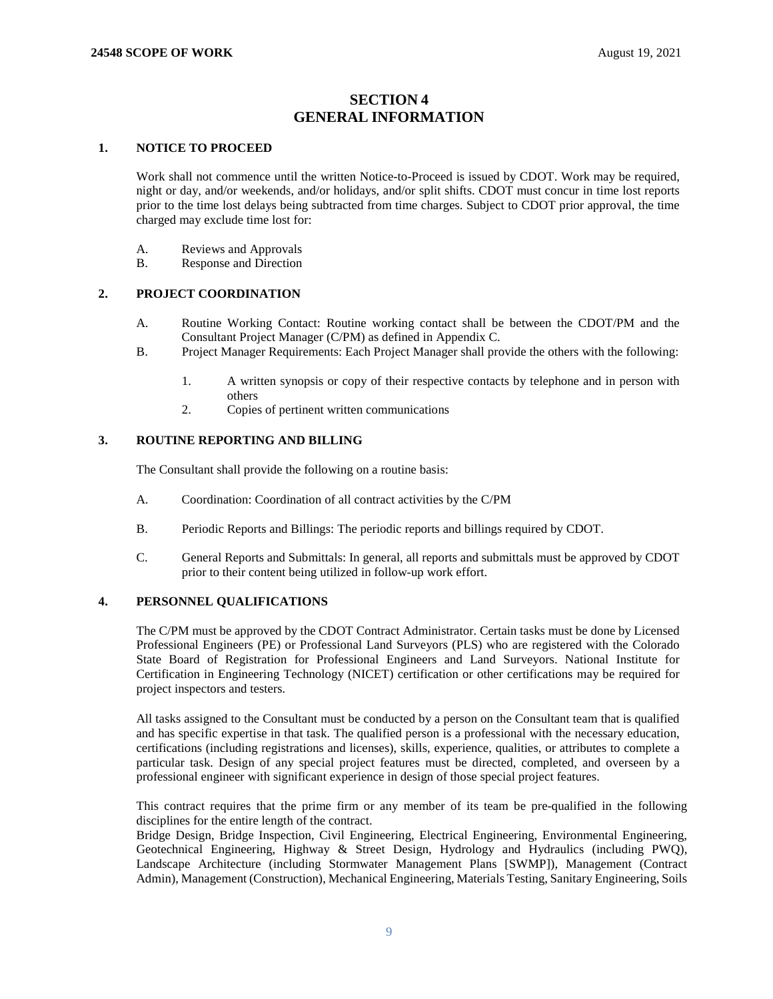## **SECTION 4 GENERAL INFORMATION**

## <span id="page-8-1"></span><span id="page-8-0"></span>**1. NOTICE TO PROCEED**

Work shall not commence until the written Notice-to-Proceed is issued by CDOT. Work may be required, night or day, and/or weekends, and/or holidays, and/or split shifts. CDOT must concur in time lost reports prior to the time lost delays being subtracted from time charges. Subject to CDOT prior approval, the time charged may exclude time lost for:

- A. Reviews and Approvals
- B. Response and Direction

## **2. PROJECT COORDINATION**

- A. Routine Working Contact: Routine working contact shall be between the CDOT/PM and the Consultant Project Manager (C/PM) as defined in Appendix C.
- B. Project Manager Requirements: Each Project Manager shall provide the others with the following:
	- 1. A written synopsis or copy of their respective contacts by telephone and in person with others
	- 2. Copies of pertinent written communications

## **3. ROUTINE REPORTING AND BILLING**

The Consultant shall provide the following on a routine basis:

- A. Coordination: Coordination of all contract activities by the C/PM
- B. Periodic Reports and Billings: The periodic reports and billings required by CDOT.
- C. General Reports and Submittals: In general, all reports and submittals must be approved by CDOT prior to their content being utilized in follow-up work effort.

### **4. PERSONNEL QUALIFICATIONS**

The C/PM must be approved by the CDOT Contract Administrator. Certain tasks must be done by Licensed Professional Engineers (PE) or Professional Land Surveyors (PLS) who are registered with the Colorado State Board of Registration for Professional Engineers and Land Surveyors. National Institute for Certification in Engineering Technology (NICET) certification or other certifications may be required for project inspectors and testers.

All tasks assigned to the Consultant must be conducted by a person on the Consultant team that is qualified and has specific expertise in that task. The qualified person is a professional with the necessary education, certifications (including registrations and licenses), skills, experience, qualities, or attributes to complete a particular task. Design of any special project features must be directed, completed, and overseen by a professional engineer with significant experience in design of those special project features.

This contract requires that the prime firm or any member of its team be pre-qualified in the following disciplines for the entire length of the contract.

Bridge Design, Bridge Inspection, Civil Engineering, Electrical Engineering, Environmental Engineering, Geotechnical Engineering, Highway & Street Design, Hydrology and Hydraulics (including PWQ), Landscape Architecture (including Stormwater Management Plans [SWMP]), Management (Contract Admin), Management (Construction), Mechanical Engineering, Materials Testing, Sanitary Engineering, Soils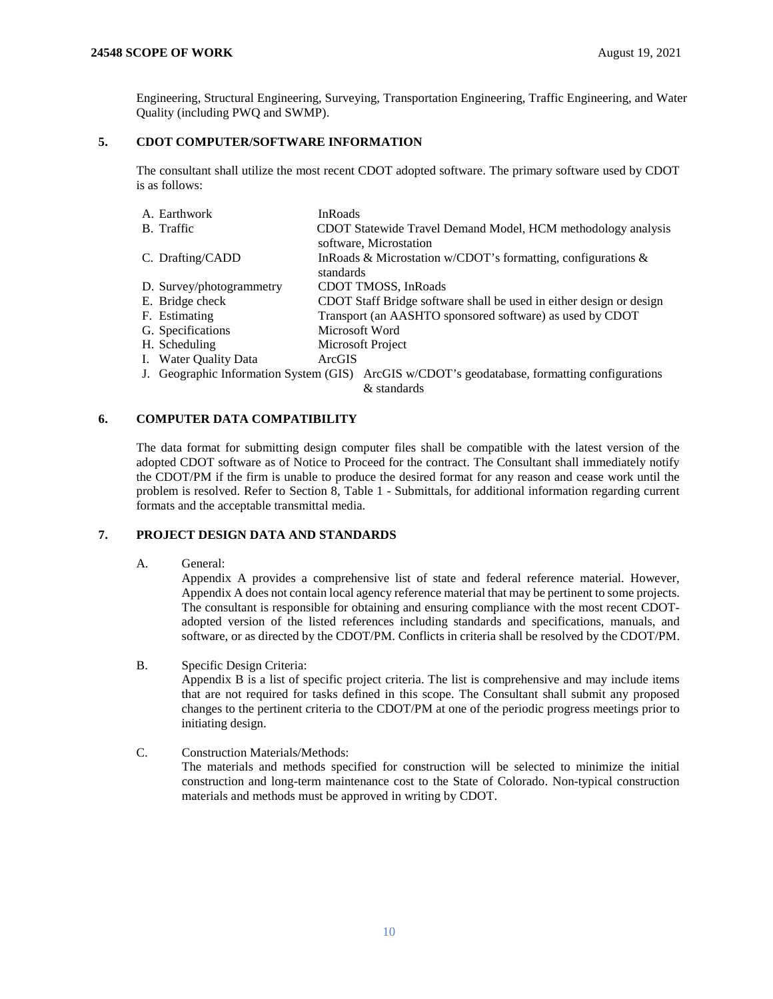Engineering, Structural Engineering, Surveying, Transportation Engineering, Traffic Engineering, and Water Quality (including PWQ and SWMP).

## **5. CDOT COMPUTER/SOFTWARE INFORMATION**

The consultant shall utilize the most recent CDOT adopted software. The primary software used by CDOT is as follows:

| A. Earthwork             | <b>InRoads</b>                                                                                               |
|--------------------------|--------------------------------------------------------------------------------------------------------------|
| B. Traffic               | CDOT Statewide Travel Demand Model, HCM methodology analysis<br>software, Microstation                       |
| C. Drafting/CADD         | In Roads & Microstation w/CDOT's formatting, configurations $\&$<br>standards                                |
| D. Survey/photogrammetry | CDOT TMOSS, InRoads                                                                                          |
| E. Bridge check          | CDOT Staff Bridge software shall be used in either design or design                                          |
| F. Estimating            | Transport (an AASHTO sponsored software) as used by CDOT                                                     |
| G. Specifications        | Microsoft Word                                                                                               |
| H. Scheduling            | Microsoft Project                                                                                            |
| I. Water Quality Data    | ArcGIS                                                                                                       |
|                          | J. Geographic Information System (GIS) ArcGIS w/CDOT's geodatabase, formatting configurations<br>& standards |

## **6. COMPUTER DATA COMPATIBILITY**

The data format for submitting design computer files shall be compatible with the latest version of the adopted CDOT software as of Notice to Proceed for the contract. The Consultant shall immediately notify the CDOT/PM if the firm is unable to produce the desired format for any reason and cease work until the problem is resolved. Refer to Section 8, Table 1 - Submittals, for additional information regarding current formats and the acceptable transmittal media.

## **7. PROJECT DESIGN DATA AND STANDARDS**

A. General:

Appendix A provides a comprehensive list of state and federal reference material. However, Appendix A does not contain local agency reference material that may be pertinent to some projects. The consultant is responsible for obtaining and ensuring compliance with the most recent CDOTadopted version of the listed references including standards and specifications, manuals, and software, or as directed by the CDOT/PM. Conflicts in criteria shall be resolved by the CDOT/PM.

- B. Specific Design Criteria: Appendix B is a list of specific project criteria. The list is comprehensive and may include items that are not required for tasks defined in this scope. The Consultant shall submit any proposed changes to the pertinent criteria to the CDOT/PM at one of the periodic progress meetings prior to initiating design.
- C. Construction Materials/Methods: The materials and methods specified for construction will be selected to minimize the initial construction and long-term maintenance cost to the State of Colorado. Non-typical construction materials and methods must be approved in writing by CDOT.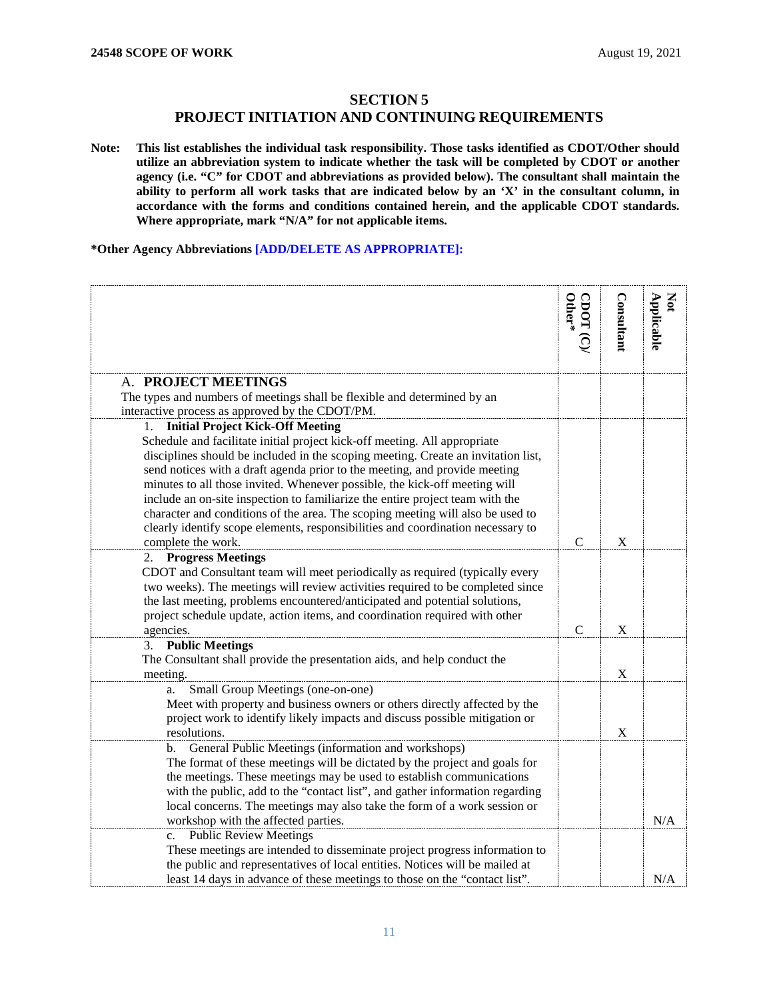## **SECTION 5**

## **PROJECT INITIATION AND CONTINUING REQUIREMENTS**

<span id="page-10-1"></span><span id="page-10-0"></span>**Note: This list establishes the individual task responsibility. Those tasks identified as CDOT/Other should utilize an abbreviation system to indicate whether the task will be completed by CDOT or another agency (i.e. "C" for CDOT and abbreviations as provided below). The consultant shall maintain the ability to perform all work tasks that are indicated below by an 'X' in the consultant column, in accordance with the forms and conditions contained herein, and the applicable CDOT standards. Where appropriate, mark "N/A" for not applicable items.**

**\*Other Agency Abbreviations [ADD/DELETE AS APPROPRIATE]:**

<span id="page-10-2"></span>

|                                                                                                                                                    | $CDOT (C)$<br>Other* | Consultant | Applicable<br>Not |
|----------------------------------------------------------------------------------------------------------------------------------------------------|----------------------|------------|-------------------|
| A. PROJECT MEETINGS                                                                                                                                |                      |            |                   |
| The types and numbers of meetings shall be flexible and determined by an                                                                           |                      |            |                   |
| interactive process as approved by the CDOT/PM.                                                                                                    |                      |            |                   |
| <b>Initial Project Kick-Off Meeting</b><br>1.                                                                                                      |                      |            |                   |
| Schedule and facilitate initial project kick-off meeting. All appropriate                                                                          |                      |            |                   |
| disciplines should be included in the scoping meeting. Create an invitation list,                                                                  |                      |            |                   |
| send notices with a draft agenda prior to the meeting, and provide meeting                                                                         |                      |            |                   |
| minutes to all those invited. Whenever possible, the kick-off meeting will                                                                         |                      |            |                   |
| include an on-site inspection to familiarize the entire project team with the                                                                      |                      |            |                   |
| character and conditions of the area. The scoping meeting will also be used to                                                                     |                      |            |                   |
| clearly identify scope elements, responsibilities and coordination necessary to<br>complete the work.                                              | $\mathbf C$          | X          |                   |
| 2. Progress Meetings                                                                                                                               |                      |            |                   |
| CDOT and Consultant team will meet periodically as required (typically every                                                                       |                      |            |                   |
| two weeks). The meetings will review activities required to be completed since                                                                     |                      |            |                   |
| the last meeting, problems encountered/anticipated and potential solutions,                                                                        |                      |            |                   |
| project schedule update, action items, and coordination required with other                                                                        |                      |            |                   |
| agencies.                                                                                                                                          | C                    | X          |                   |
| <b>Public Meetings</b><br>3.                                                                                                                       |                      |            |                   |
| The Consultant shall provide the presentation aids, and help conduct the                                                                           |                      |            |                   |
| meeting.                                                                                                                                           |                      | X          |                   |
| Small Group Meetings (one-on-one)<br>a.                                                                                                            |                      |            |                   |
| Meet with property and business owners or others directly affected by the                                                                          |                      |            |                   |
| project work to identify likely impacts and discuss possible mitigation or                                                                         |                      |            |                   |
| resolutions.                                                                                                                                       |                      | X          |                   |
| General Public Meetings (information and workshops)<br>b.                                                                                          |                      |            |                   |
| The format of these meetings will be dictated by the project and goals for<br>the meetings. These meetings may be used to establish communications |                      |            |                   |
| with the public, add to the "contact list", and gather information regarding                                                                       |                      |            |                   |
| local concerns. The meetings may also take the form of a work session or                                                                           |                      |            |                   |
| workshop with the affected parties.                                                                                                                |                      |            | N/A               |
| <b>Public Review Meetings</b><br>c.                                                                                                                |                      |            |                   |
| These meetings are intended to disseminate project progress information to                                                                         |                      |            |                   |
| the public and representatives of local entities. Notices will be mailed at                                                                        |                      |            |                   |
| least 14 days in advance of these meetings to those on the "contact list".                                                                         |                      |            | N/A               |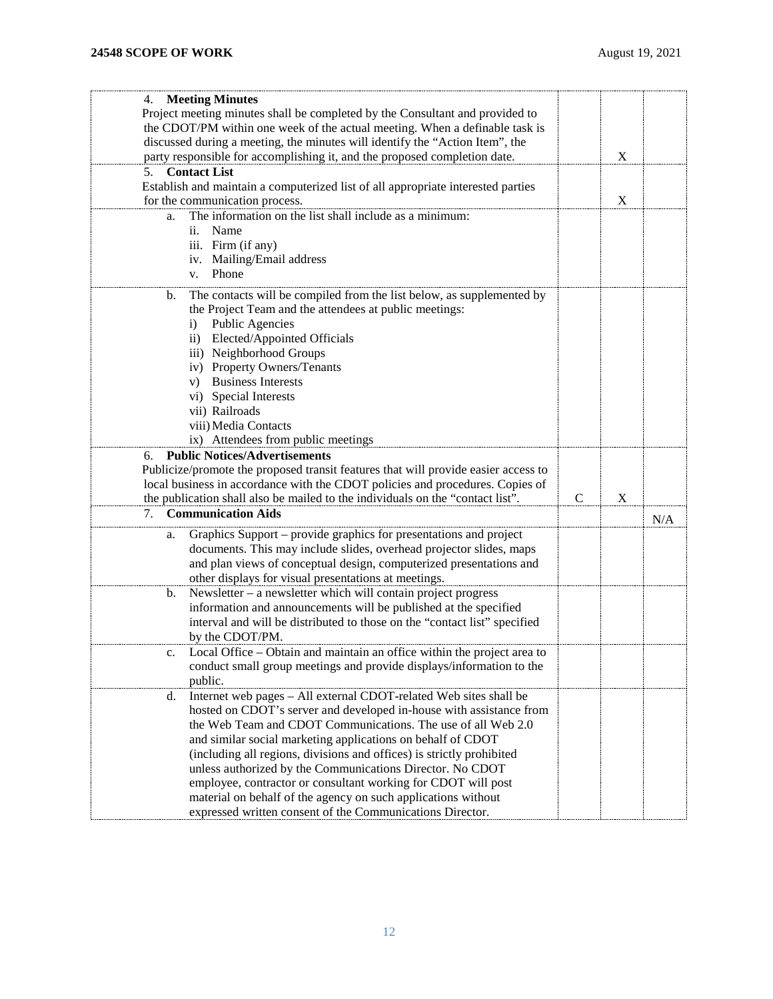| 4. Meeting Minutes                                                                       |               |   |     |
|------------------------------------------------------------------------------------------|---------------|---|-----|
| Project meeting minutes shall be completed by the Consultant and provided to             |               |   |     |
| the CDOT/PM within one week of the actual meeting. When a definable task is              |               |   |     |
| discussed during a meeting, the minutes will identify the "Action Item", the             |               |   |     |
| party responsible for accomplishing it, and the proposed completion date.                |               | X |     |
| <b>Contact List</b><br>5.                                                                |               |   |     |
| Establish and maintain a computerized list of all appropriate interested parties         |               |   |     |
| for the communication process.                                                           |               | X |     |
| The information on the list shall include as a minimum:<br>a.                            |               |   |     |
| Name<br>ii.                                                                              |               |   |     |
| iii. Firm (if any)                                                                       |               |   |     |
| iv. Mailing/Email address                                                                |               |   |     |
| Phone<br>V.                                                                              |               |   |     |
| The contacts will be compiled from the list below, as supplemented by<br>b.              |               |   |     |
| the Project Team and the attendees at public meetings:                                   |               |   |     |
| <b>Public Agencies</b><br>$\mathbf{i}$                                                   |               |   |     |
| ii) Elected/Appointed Officials                                                          |               |   |     |
| iii) Neighborhood Groups                                                                 |               |   |     |
| iv) Property Owners/Tenants                                                              |               |   |     |
| <b>Business Interests</b><br>V)                                                          |               |   |     |
| vi) Special Interests                                                                    |               |   |     |
| vii) Railroads                                                                           |               |   |     |
| viii) Media Contacts                                                                     |               |   |     |
| ix) Attendees from public meetings                                                       |               |   |     |
| <b>Public Notices/Advertisements</b>                                                     |               |   |     |
| 6.<br>Publicize/promote the proposed transit features that will provide easier access to |               |   |     |
| local business in accordance with the CDOT policies and procedures. Copies of            |               |   |     |
| the publication shall also be mailed to the individuals on the "contact list".           | $\mathcal{C}$ | X |     |
| <b>Communication Aids</b>                                                                |               |   |     |
| 7.                                                                                       |               |   | N/A |
| Graphics Support - provide graphics for presentations and project<br>a.                  |               |   |     |
| documents. This may include slides, overhead projector slides, maps                      |               |   |     |
| and plan views of conceptual design, computerized presentations and                      |               |   |     |
| other displays for visual presentations at meetings.                                     |               |   |     |
| Newsletter $-$ a newsletter which will contain project progress<br>b.                    |               |   |     |
| information and announcements will be published at the specified                         |               |   |     |
| interval and will be distributed to those on the "contact list" specified                |               |   |     |
| by the CDOT/PM.                                                                          |               |   |     |
| Local Office - Obtain and maintain an office within the project area to                  |               |   |     |
| conduct small group meetings and provide displays/information to the                     |               |   |     |
| public.                                                                                  |               |   |     |
| Internet web pages - All external CDOT-related Web sites shall be<br>d.                  |               |   |     |
| hosted on CDOT's server and developed in-house with assistance from                      |               |   |     |
| the Web Team and CDOT Communications. The use of all Web 2.0                             |               |   |     |
| and similar social marketing applications on behalf of CDOT                              |               |   |     |
| (including all regions, divisions and offices) is strictly prohibited                    |               |   |     |
| unless authorized by the Communications Director. No CDOT                                |               |   |     |
| employee, contractor or consultant working for CDOT will post                            |               |   |     |
| material on behalf of the agency on such applications without                            |               |   |     |
| expressed written consent of the Communications Director.                                |               |   |     |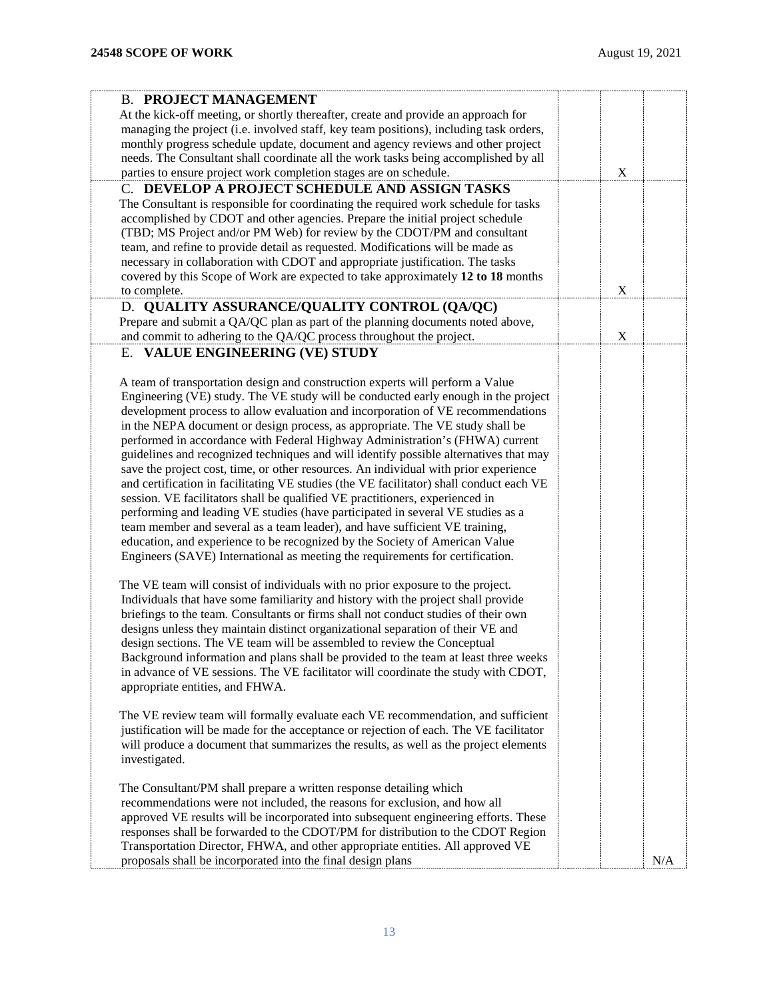<span id="page-12-3"></span><span id="page-12-2"></span><span id="page-12-1"></span><span id="page-12-0"></span>

| <b>B. PROJECT MANAGEMENT</b>                                                                                                                                          |     |  |
|-----------------------------------------------------------------------------------------------------------------------------------------------------------------------|-----|--|
| At the kick-off meeting, or shortly thereafter, create and provide an approach for                                                                                    |     |  |
| managing the project (i.e. involved staff, key team positions), including task orders,                                                                                |     |  |
| monthly progress schedule update, document and agency reviews and other project                                                                                       |     |  |
| needs. The Consultant shall coordinate all the work tasks being accomplished by all                                                                                   |     |  |
| parties to ensure project work completion stages are on schedule.                                                                                                     | X   |  |
| C. DEVELOP A PROJECT SCHEDULE AND ASSIGN TASKS                                                                                                                        |     |  |
| The Consultant is responsible for coordinating the required work schedule for tasks                                                                                   |     |  |
| accomplished by CDOT and other agencies. Prepare the initial project schedule                                                                                         |     |  |
| (TBD; MS Project and/or PM Web) for review by the CDOT/PM and consultant                                                                                              |     |  |
| team, and refine to provide detail as requested. Modifications will be made as                                                                                        |     |  |
| necessary in collaboration with CDOT and appropriate justification. The tasks                                                                                         |     |  |
| covered by this Scope of Work are expected to take approximately 12 to 18 months                                                                                      |     |  |
| to complete.                                                                                                                                                          | X   |  |
| D. QUALITY ASSURANCE/QUALITY CONTROL (QA/QC)                                                                                                                          |     |  |
| Prepare and submit a QA/QC plan as part of the planning documents noted above,                                                                                        |     |  |
| and commit to adhering to the QA/QC process throughout the project.                                                                                                   | X   |  |
| E. VALUE ENGINEERING (VE) STUDY                                                                                                                                       |     |  |
|                                                                                                                                                                       |     |  |
| A team of transportation design and construction experts will perform a Value                                                                                         |     |  |
| Engineering (VE) study. The VE study will be conducted early enough in the project                                                                                    |     |  |
| development process to allow evaluation and incorporation of VE recommendations                                                                                       |     |  |
| in the NEPA document or design process, as appropriate. The VE study shall be                                                                                         |     |  |
| performed in accordance with Federal Highway Administration's (FHWA) current<br>guidelines and recognized techniques and will identify possible alternatives that may |     |  |
| save the project cost, time, or other resources. An individual with prior experience                                                                                  |     |  |
| and certification in facilitating VE studies (the VE facilitator) shall conduct each VE                                                                               |     |  |
| session. VE facilitators shall be qualified VE practitioners, experienced in                                                                                          |     |  |
| performing and leading VE studies (have participated in several VE studies as a                                                                                       |     |  |
| team member and several as a team leader), and have sufficient VE training,                                                                                           |     |  |
| education, and experience to be recognized by the Society of American Value                                                                                           |     |  |
| Engineers (SAVE) International as meeting the requirements for certification.                                                                                         |     |  |
|                                                                                                                                                                       |     |  |
| The VE team will consist of individuals with no prior exposure to the project.                                                                                        |     |  |
| Individuals that have some familiarity and history with the project shall provide                                                                                     |     |  |
| briefings to the team. Consultants or firms shall not conduct studies of their own                                                                                    |     |  |
| designs unless they maintain distinct organizational separation of their VE and                                                                                       |     |  |
| design sections. The VE team will be assembled to review the Conceptual                                                                                               |     |  |
| Background information and plans shall be provided to the team at least three weeks                                                                                   |     |  |
| in advance of VE sessions. The VE facilitator will coordinate the study with CDOT,                                                                                    |     |  |
| appropriate entities, and FHWA.                                                                                                                                       |     |  |
|                                                                                                                                                                       |     |  |
| The VE review team will formally evaluate each VE recommendation, and sufficient                                                                                      |     |  |
| justification will be made for the acceptance or rejection of each. The VE facilitator                                                                                |     |  |
| will produce a document that summarizes the results, as well as the project elements                                                                                  |     |  |
| investigated.                                                                                                                                                         |     |  |
| The Consultant/PM shall prepare a written response detailing which                                                                                                    |     |  |
| recommendations were not included, the reasons for exclusion, and how all                                                                                             |     |  |
| approved VE results will be incorporated into subsequent engineering efforts. These                                                                                   |     |  |
| responses shall be forwarded to the CDOT/PM for distribution to the CDOT Region                                                                                       |     |  |
| Transportation Director, FHWA, and other appropriate entities. All approved VE                                                                                        |     |  |
| proposals shall be incorporated into the final design plans                                                                                                           | N/A |  |
|                                                                                                                                                                       |     |  |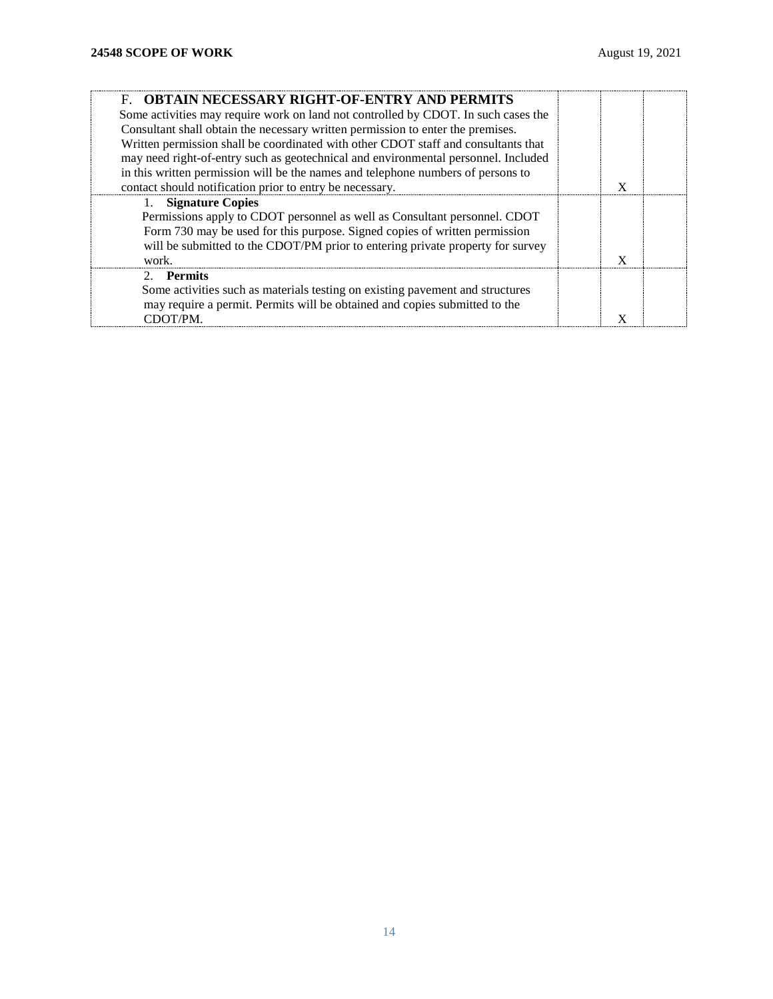<span id="page-13-0"></span>

| <b>F. OBTAIN NECESSARY RIGHT-OF-ENTRY AND PERMITS</b>                              |   |  |
|------------------------------------------------------------------------------------|---|--|
| Some activities may require work on land not controlled by CDOT. In such cases the |   |  |
| Consultant shall obtain the necessary written permission to enter the premises.    |   |  |
| Written permission shall be coordinated with other CDOT staff and consultants that |   |  |
| may need right-of-entry such as geotechnical and environmental personnel. Included |   |  |
| in this written permission will be the names and telephone numbers of persons to   |   |  |
| contact should notification prior to entry be necessary.                           |   |  |
| 1. Signature Copies                                                                |   |  |
| Permissions apply to CDOT personnel as well as Consultant personnel. CDOT          |   |  |
| Form 730 may be used for this purpose. Signed copies of written permission         |   |  |
| will be submitted to the CDOT/PM prior to entering private property for survey     |   |  |
| work.                                                                              | X |  |
| 2. Permits                                                                         |   |  |
| Some activities such as materials testing on existing pavement and structures      |   |  |
| may require a permit. Permits will be obtained and copies submitted to the         |   |  |
| CDOT/PM.                                                                           |   |  |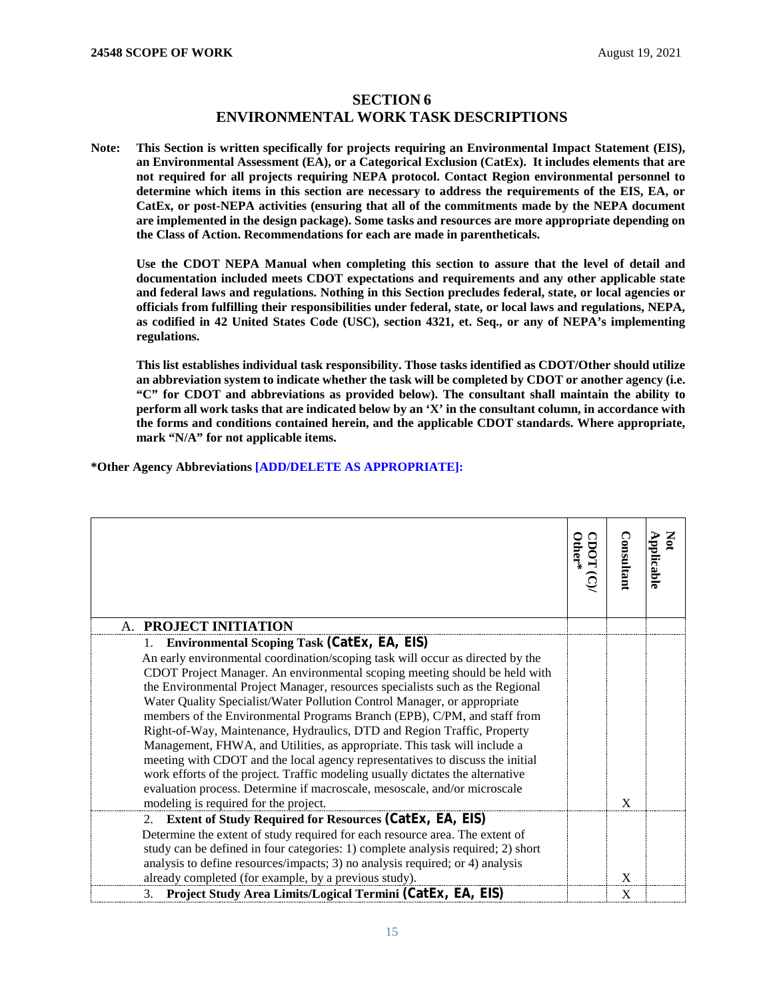## **SECTION 6 ENVIRONMENTAL WORK TASK DESCRIPTIONS**

<span id="page-14-1"></span><span id="page-14-0"></span>**Note: This Section is written specifically for projects requiring an Environmental Impact Statement (EIS), an Environmental Assessment (EA), or a Categorical Exclusion (CatEx). It includes elements that are not required for all projects requiring NEPA protocol. Contact Region environmental personnel to determine which items in this section are necessary to address the requirements of the EIS, EA, or CatEx, or post-NEPA activities (ensuring that all of the commitments made by the NEPA document are implemented in the design package). Some tasks and resources are more appropriate depending on the Class of Action. Recommendations for each are made in parentheticals.** 

**Use the CDOT NEPA Manual when completing this section to assure that the level of detail and documentation included meets CDOT expectations and requirements and any other applicable state and federal laws and regulations. Nothing in this Section precludes federal, state, or local agencies or officials from fulfilling their responsibilities under federal, state, or local laws and regulations, NEPA, as codified in 42 United States Code (USC), section 4321, et. Seq., or any of NEPA's implementing regulations.**

**This list establishes individual task responsibility. Those tasks identified as CDOT/Other should utilize an abbreviation system to indicate whether the task will be completed by CDOT or another agency (i.e. "C" for CDOT and abbreviations as provided below). The consultant shall maintain the ability to perform all work tasks that are indicated below by an 'X' in the consultant column, in accordance with the forms and conditions contained herein, and the applicable CDOT standards. Where appropriate, mark "N/A" for not applicable items.**

**\*Other Agency Abbreviations [ADD/DELETE AS APPROPRIATE]:**

<span id="page-14-2"></span>

|                                                                                  | $\rm \, \rm \, \rm \, the \, \rm \rm \, r \, \rm \, \rm \,$ | Consultant | $\mathbf{S}$<br>Applicable |
|----------------------------------------------------------------------------------|-------------------------------------------------------------|------------|----------------------------|
| A. PROJECT INITIATION                                                            |                                                             |            |                            |
| 1. Environmental Scoping Task (CatEx, EA, EIS)                                   |                                                             |            |                            |
| An early environmental coordination/scoping task will occur as directed by the   |                                                             |            |                            |
| CDOT Project Manager. An environmental scoping meeting should be held with       |                                                             |            |                            |
| the Environmental Project Manager, resources specialists such as the Regional    |                                                             |            |                            |
| Water Quality Specialist/Water Pollution Control Manager, or appropriate         |                                                             |            |                            |
| members of the Environmental Programs Branch (EPB), C/PM, and staff from         |                                                             |            |                            |
| Right-of-Way, Maintenance, Hydraulics, DTD and Region Traffic, Property          |                                                             |            |                            |
| Management, FHWA, and Utilities, as appropriate. This task will include a        |                                                             |            |                            |
| meeting with CDOT and the local agency representatives to discuss the initial    |                                                             |            |                            |
| work efforts of the project. Traffic modeling usually dictates the alternative   |                                                             |            |                            |
| evaluation process. Determine if macroscale, mesoscale, and/or microscale        |                                                             |            |                            |
| modeling is required for the project.                                            |                                                             | X          |                            |
| <b>Extent of Study Required for Resources (CatEx, EA, EIS)</b><br>2.             |                                                             |            |                            |
| Determine the extent of study required for each resource area. The extent of     |                                                             |            |                            |
| study can be defined in four categories: 1) complete analysis required; 2) short |                                                             |            |                            |
| analysis to define resources/impacts; 3) no analysis required; or 4) analysis    |                                                             |            |                            |
| already completed (for example, by a previous study).                            |                                                             | X          |                            |
| Project Study Area Limits/Logical Termini (CatEx, EA, EIS)<br>3.                 |                                                             | X          |                            |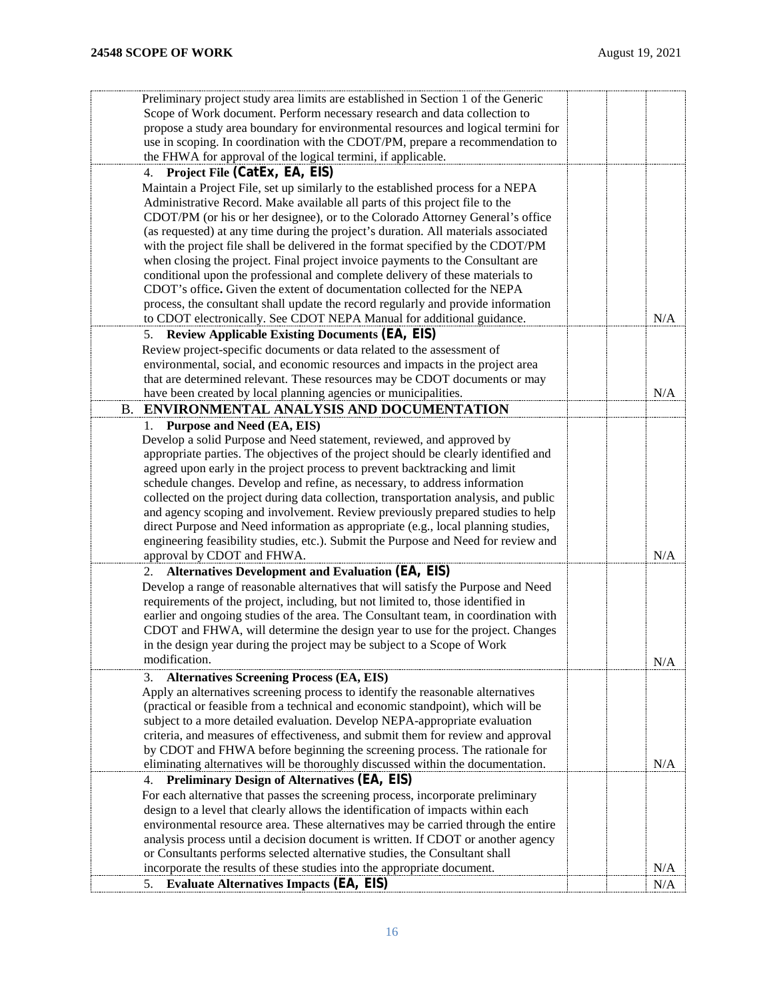<span id="page-15-0"></span>

| Preliminary project study area limits are established in Section 1 of the Generic    |     |
|--------------------------------------------------------------------------------------|-----|
| Scope of Work document. Perform necessary research and data collection to            |     |
| propose a study area boundary for environmental resources and logical termini for    |     |
| use in scoping. In coordination with the CDOT/PM, prepare a recommendation to        |     |
| the FHWA for approval of the logical termini, if applicable.                         |     |
| 4. Project File (CatEx, EA, EIS)                                                     |     |
| Maintain a Project File, set up similarly to the established process for a NEPA      |     |
| Administrative Record. Make available all parts of this project file to the          |     |
| CDOT/PM (or his or her designee), or to the Colorado Attorney General's office       |     |
| (as requested) at any time during the project's duration. All materials associated   |     |
| with the project file shall be delivered in the format specified by the CDOT/PM      |     |
| when closing the project. Final project invoice payments to the Consultant are       |     |
| conditional upon the professional and complete delivery of these materials to        |     |
| CDOT's office. Given the extent of documentation collected for the NEPA              |     |
| process, the consultant shall update the record regularly and provide information    |     |
| to CDOT electronically. See CDOT NEPA Manual for additional guidance.                | N/A |
| <b>Review Applicable Existing Documents (EA, EIS)</b><br>5.                          |     |
| Review project-specific documents or data related to the assessment of               |     |
| environmental, social, and economic resources and impacts in the project area        |     |
| that are determined relevant. These resources may be CDOT documents or may           |     |
| have been created by local planning agencies or municipalities.                      | N/A |
| <b>ENVIRONMENTAL ANALYSIS AND DOCUMENTATION</b>                                      |     |
| <b>B.</b>                                                                            |     |
| Purpose and Need (EA, EIS)<br>1.                                                     |     |
| Develop a solid Purpose and Need statement, reviewed, and approved by                |     |
| appropriate parties. The objectives of the project should be clearly identified and  |     |
| agreed upon early in the project process to prevent backtracking and limit           |     |
| schedule changes. Develop and refine, as necessary, to address information           |     |
| collected on the project during data collection, transportation analysis, and public |     |
| and agency scoping and involvement. Review previously prepared studies to help       |     |
| direct Purpose and Need information as appropriate (e.g., local planning studies,    |     |
| engineering feasibility studies, etc.). Submit the Purpose and Need for review and   |     |
| approval by CDOT and FHWA.                                                           | N/A |
| <b>Alternatives Development and Evaluation (EA, EIS)</b><br>2.                       |     |
| Develop a range of reasonable alternatives that will satisfy the Purpose and Need    |     |
| requirements of the project, including, but not limited to, those identified in      |     |
| earlier and ongoing studies of the area. The Consultant team, in coordination with   |     |
| CDOT and FHWA, will determine the design year to use for the project. Changes        |     |
| in the design year during the project may be subject to a Scope of Work              |     |
| modification.                                                                        | N/A |
| <b>Alternatives Screening Process (EA, EIS)</b><br>3.                                |     |
| Apply an alternatives screening process to identify the reasonable alternatives      |     |
| (practical or feasible from a technical and economic standpoint), which will be      |     |
| subject to a more detailed evaluation. Develop NEPA-appropriate evaluation           |     |
| criteria, and measures of effectiveness, and submit them for review and approval     |     |
| by CDOT and FHWA before beginning the screening process. The rationale for           |     |
| eliminating alternatives will be thoroughly discussed within the documentation.      | N/A |
| <b>Preliminary Design of Alternatives (EA, EIS)</b><br>4.                            |     |
| For each alternative that passes the screening process, incorporate preliminary      |     |
| design to a level that clearly allows the identification of impacts within each      |     |
| environmental resource area. These alternatives may be carried through the entire    |     |
| analysis process until a decision document is written. If CDOT or another agency     |     |
| or Consultants performs selected alternative studies, the Consultant shall           |     |
| incorporate the results of these studies into the appropriate document.              | N/A |
| <b>Evaluate Alternatives Impacts (EA, EIS)</b><br>5.                                 | N/A |
|                                                                                      |     |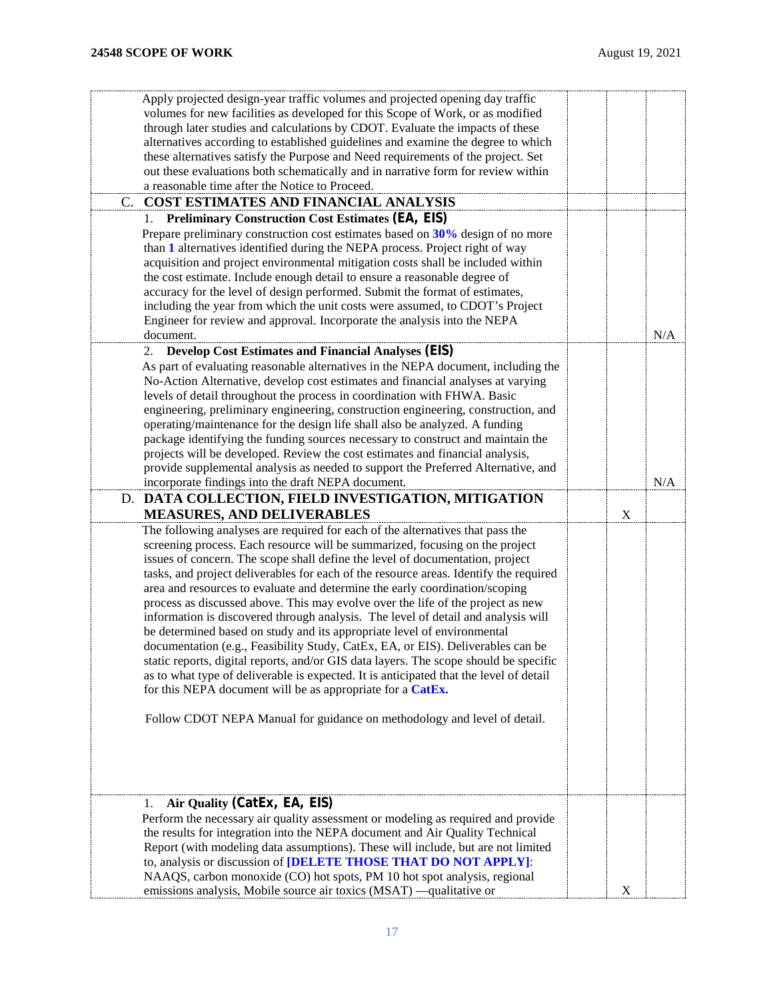<span id="page-16-1"></span><span id="page-16-0"></span>

| Apply projected design-year traffic volumes and projected opening day traffic          |             |     |
|----------------------------------------------------------------------------------------|-------------|-----|
| volumes for new facilities as developed for this Scope of Work, or as modified         |             |     |
| through later studies and calculations by CDOT. Evaluate the impacts of these          |             |     |
| alternatives according to established guidelines and examine the degree to which       |             |     |
| these alternatives satisfy the Purpose and Need requirements of the project. Set       |             |     |
| out these evaluations both schematically and in narrative form for review within       |             |     |
| a reasonable time after the Notice to Proceed.                                         |             |     |
| COST ESTIMATES AND FINANCIAL ANALYSIS<br>C.                                            |             |     |
| <b>Preliminary Construction Cost Estimates (EA, EIS)</b>                               |             |     |
|                                                                                        |             |     |
| Prepare preliminary construction cost estimates based on 30% design of no more         |             |     |
| than 1 alternatives identified during the NEPA process. Project right of way           |             |     |
| acquisition and project environmental mitigation costs shall be included within        |             |     |
| the cost estimate. Include enough detail to ensure a reasonable degree of              |             |     |
| accuracy for the level of design performed. Submit the format of estimates,            |             |     |
| including the year from which the unit costs were assumed, to CDOT's Project           |             |     |
| Engineer for review and approval. Incorporate the analysis into the NEPA               |             |     |
| document.                                                                              |             | N/A |
| <b>Develop Cost Estimates and Financial Analyses (EIS)</b><br>2.                       |             |     |
| As part of evaluating reasonable alternatives in the NEPA document, including the      |             |     |
| No-Action Alternative, develop cost estimates and financial analyses at varying        |             |     |
| levels of detail throughout the process in coordination with FHWA. Basic               |             |     |
|                                                                                        |             |     |
| engineering, preliminary engineering, construction engineering, construction, and      |             |     |
| operating/maintenance for the design life shall also be analyzed. A funding            |             |     |
| package identifying the funding sources necessary to construct and maintain the        |             |     |
| projects will be developed. Review the cost estimates and financial analysis,          |             |     |
| provide supplemental analysis as needed to support the Preferred Alternative, and      |             |     |
| incorporate findings into the draft NEPA document.                                     |             | N/A |
| D. DATA COLLECTION, FIELD INVESTIGATION, MITIGATION                                    |             |     |
| <b>MEASURES, AND DELIVERABLES</b>                                                      | $\mathbf X$ |     |
| The following analyses are required for each of the alternatives that pass the         |             |     |
| screening process. Each resource will be summarized, focusing on the project           |             |     |
| issues of concern. The scope shall define the level of documentation, project          |             |     |
| tasks, and project deliverables for each of the resource areas. Identify the required  |             |     |
| area and resources to evaluate and determine the early coordination/scoping            |             |     |
| process as discussed above. This may evolve over the life of the project as new        |             |     |
|                                                                                        |             |     |
| information is discovered through analysis. The level of detail and analysis will      |             |     |
| be determined based on study and its appropriate level of environmental                |             |     |
| documentation (e.g., Feasibility Study, CatEx, EA, or EIS). Deliverables can be        |             |     |
| static reports, digital reports, and/or GIS data layers. The scope should be specific  |             |     |
| as to what type of deliverable is expected. It is anticipated that the level of detail |             |     |
| for this NEPA document will be as appropriate for a CatEx.                             |             |     |
|                                                                                        |             |     |
| Follow CDOT NEPA Manual for guidance on methodology and level of detail.               |             |     |
|                                                                                        |             |     |
|                                                                                        |             |     |
|                                                                                        |             |     |
|                                                                                        |             |     |
|                                                                                        |             |     |
| Air Quality (CatEx, EA, EIS)<br>I.                                                     |             |     |
| Perform the necessary air quality assessment or modeling as required and provide       |             |     |
| the results for integration into the NEPA document and Air Quality Technical           |             |     |
| Report (with modeling data assumptions). These will include, but are not limited       |             |     |
| to, analysis or discussion of [DELETE THOSE THAT DO NOT APPLY]:                        |             |     |
| NAAQS, carbon monoxide (CO) hot spots, PM 10 hot spot analysis, regional               |             |     |
| emissions analysis, Mobile source air toxics (MSAT) —qualitative or                    | X           |     |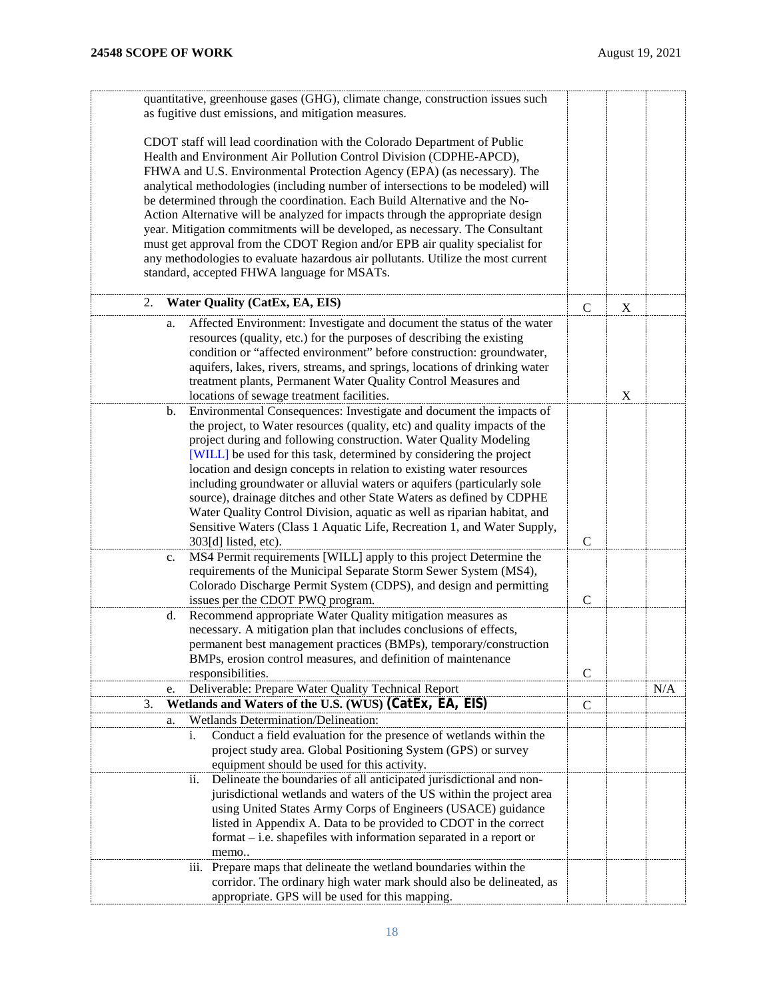| quantitative, greenhouse gases (GHG), climate change, construction issues such<br>as fugitive dust emissions, and mitigation measures.          |                |   |     |
|-------------------------------------------------------------------------------------------------------------------------------------------------|----------------|---|-----|
| CDOT staff will lead coordination with the Colorado Department of Public<br>Health and Environment Air Pollution Control Division (CDPHE-APCD), |                |   |     |
| FHWA and U.S. Environmental Protection Agency (EPA) (as necessary). The                                                                         |                |   |     |
| analytical methodologies (including number of intersections to be modeled) will                                                                 |                |   |     |
| be determined through the coordination. Each Build Alternative and the No-                                                                      |                |   |     |
| Action Alternative will be analyzed for impacts through the appropriate design                                                                  |                |   |     |
| year. Mitigation commitments will be developed, as necessary. The Consultant                                                                    |                |   |     |
| must get approval from the CDOT Region and/or EPB air quality specialist for                                                                    |                |   |     |
| any methodologies to evaluate hazardous air pollutants. Utilize the most current                                                                |                |   |     |
| standard, accepted FHWA language for MSATs.                                                                                                     |                |   |     |
| <b>Water Quality (CatEx, EA, EIS)</b><br>2.                                                                                                     | $\mathsf{C}$   | X |     |
| Affected Environment: Investigate and document the status of the water<br>a.                                                                    |                |   |     |
| resources (quality, etc.) for the purposes of describing the existing<br>condition or "affected environment" before construction: groundwater,  |                |   |     |
| aquifers, lakes, rivers, streams, and springs, locations of drinking water<br>treatment plants, Permanent Water Quality Control Measures and    |                |   |     |
| locations of sewage treatment facilities.                                                                                                       |                | X |     |
| Environmental Consequences: Investigate and document the impacts of<br>b.                                                                       |                |   |     |
| the project, to Water resources (quality, etc) and quality impacts of the                                                                       |                |   |     |
| project during and following construction. Water Quality Modeling                                                                               |                |   |     |
| [WILL] be used for this task, determined by considering the project                                                                             |                |   |     |
| location and design concepts in relation to existing water resources                                                                            |                |   |     |
| including groundwater or alluvial waters or aquifers (particularly sole                                                                         |                |   |     |
| source), drainage ditches and other State Waters as defined by CDPHE                                                                            |                |   |     |
| Water Quality Control Division, aquatic as well as riparian habitat, and                                                                        |                |   |     |
| Sensitive Waters (Class 1 Aquatic Life, Recreation 1, and Water Supply,                                                                         |                |   |     |
| 303[d] listed, etc).                                                                                                                            | $\mathcal{C}$  |   |     |
| MS4 Permit requirements [WILL] apply to this project Determine the<br>c.                                                                        |                |   |     |
| requirements of the Municipal Separate Storm Sewer System (MS4),                                                                                |                |   |     |
| Colorado Discharge Permit System (CDPS), and design and permitting                                                                              |                |   |     |
| issues per the CDOT PWQ program.                                                                                                                | $\overline{C}$ |   |     |
| Recommend appropriate Water Quality mitigation measures as<br>d.                                                                                |                |   |     |
| necessary. A mitigation plan that includes conclusions of effects,                                                                              |                |   |     |
| permanent best management practices (BMPs), temporary/construction                                                                              |                |   |     |
| BMPs, erosion control measures, and definition of maintenance                                                                                   |                |   |     |
| responsibilities.                                                                                                                               | $\mathcal{C}$  |   |     |
| Deliverable: Prepare Water Quality Technical Report<br>e.                                                                                       |                |   | N/A |
| Wetlands and Waters of the U.S. (WUS) (CatEx, EA, EIS)<br>3.                                                                                    | $\mathsf{C}$   |   |     |
| Wetlands Determination/Delineation:<br>a.                                                                                                       |                |   |     |
| Conduct a field evaluation for the presence of wetlands within the<br>i.                                                                        |                |   |     |
| project study area. Global Positioning System (GPS) or survey                                                                                   |                |   |     |
| equipment should be used for this activity.                                                                                                     |                |   |     |
| Delineate the boundaries of all anticipated jurisdictional and non-<br>11.                                                                      |                |   |     |
| jurisdictional wetlands and waters of the US within the project area                                                                            |                |   |     |
| using United States Army Corps of Engineers (USACE) guidance                                                                                    |                |   |     |
| listed in Appendix A. Data to be provided to CDOT in the correct                                                                                |                |   |     |
| format – i.e. shapefiles with information separated in a report or                                                                              |                |   |     |
| memo                                                                                                                                            |                |   |     |
| iii. Prepare maps that delineate the wetland boundaries within the                                                                              |                |   |     |
| corridor. The ordinary high water mark should also be delineated, as                                                                            |                |   |     |
| appropriate. GPS will be used for this mapping.                                                                                                 |                |   |     |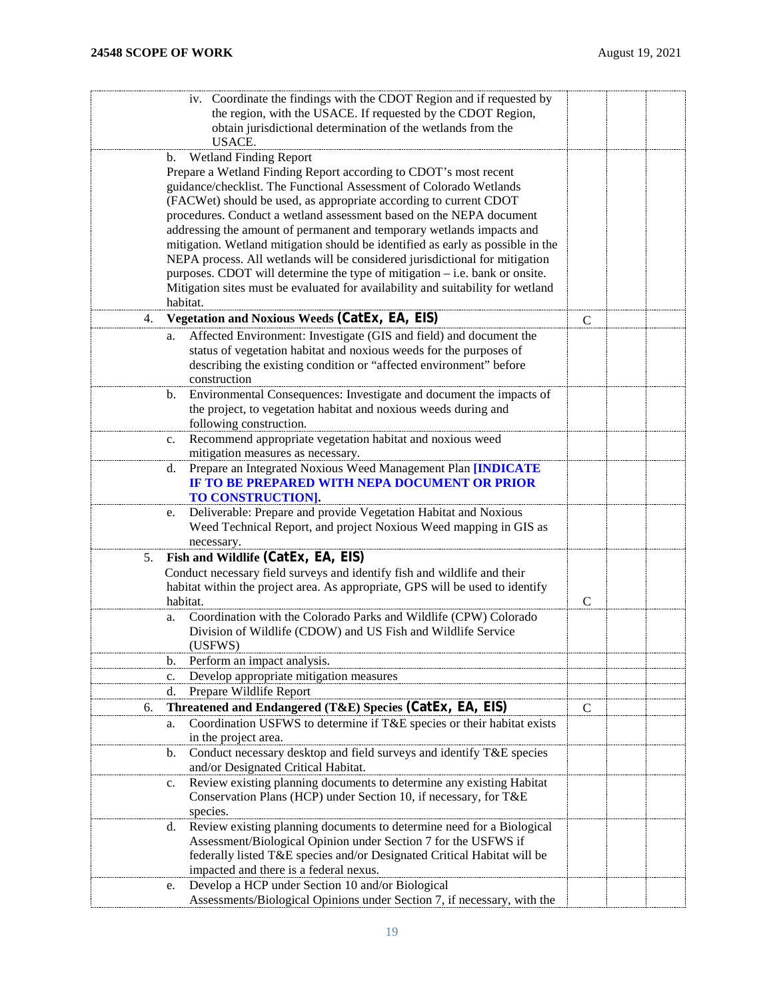|    | iv. Coordinate the findings with the CDOT Region and if requested by            |               |  |
|----|---------------------------------------------------------------------------------|---------------|--|
|    | the region, with the USACE. If requested by the CDOT Region,                    |               |  |
|    | obtain jurisdictional determination of the wetlands from the                    |               |  |
|    | <b>USACE.</b>                                                                   |               |  |
|    | <b>Wetland Finding Report</b><br>b.                                             |               |  |
|    | Prepare a Wetland Finding Report according to CDOT's most recent                |               |  |
|    | guidance/checklist. The Functional Assessment of Colorado Wetlands              |               |  |
|    | (FACWet) should be used, as appropriate according to current CDOT               |               |  |
|    | procedures. Conduct a wetland assessment based on the NEPA document             |               |  |
|    | addressing the amount of permanent and temporary wetlands impacts and           |               |  |
|    |                                                                                 |               |  |
|    | mitigation. Wetland mitigation should be identified as early as possible in the |               |  |
|    | NEPA process. All wetlands will be considered jurisdictional for mitigation     |               |  |
|    | purposes. CDOT will determine the type of mitigation – i.e. bank or onsite.     |               |  |
|    | Mitigation sites must be evaluated for availability and suitability for wetland |               |  |
|    | habitat.                                                                        |               |  |
| 4. | <b>Vegetation and Noxious Weeds (CatEx, EA, EIS)</b>                            | $\mathsf{C}$  |  |
|    | Affected Environment: Investigate (GIS and field) and document the<br>a.        |               |  |
|    | status of vegetation habitat and noxious weeds for the purposes of              |               |  |
|    | describing the existing condition or "affected environment" before              |               |  |
|    | construction                                                                    |               |  |
|    | Environmental Consequences: Investigate and document the impacts of<br>b.       |               |  |
|    | the project, to vegetation habitat and noxious weeds during and                 |               |  |
|    | following construction.                                                         |               |  |
|    | Recommend appropriate vegetation habitat and noxious weed<br>c.                 |               |  |
|    | mitigation measures as necessary.                                               |               |  |
|    | Prepare an Integrated Noxious Weed Management Plan [INDICATE                    |               |  |
|    | d.<br>IF TO BE PREPARED WITH NEPA DOCUMENT OR PRIOR                             |               |  |
|    |                                                                                 |               |  |
|    | TO CONSTRUCTION].                                                               |               |  |
|    | Deliverable: Prepare and provide Vegetation Habitat and Noxious<br>e.           |               |  |
|    | Weed Technical Report, and project Noxious Weed mapping in GIS as               |               |  |
|    | necessary.                                                                      |               |  |
| 5. | Fish and Wildlife (CatEx, EA, EIS)                                              |               |  |
|    | Conduct necessary field surveys and identify fish and wildlife and their        |               |  |
|    | habitat within the project area. As appropriate, GPS will be used to identify   |               |  |
|    | habitat.                                                                        | $\mathcal{C}$ |  |
|    | Coordination with the Colorado Parks and Wildlife (CPW) Colorado<br>a.          |               |  |
|    | Division of Wildlife (CDOW) and US Fish and Wildlife Service                    |               |  |
|    | (USFWS)                                                                         |               |  |
|    | Perform an impact analysis.<br>b.                                               |               |  |
|    | Develop appropriate mitigation measures<br>c.                                   |               |  |
|    | d.<br>Prepare Wildlife Report                                                   |               |  |
| 6. | Threatened and Endangered (T&E) Species (CatEx, EA, EIS)                        | C             |  |
|    | Coordination USFWS to determine if T&E species or their habitat exists<br>a.    |               |  |
|    | in the project area.                                                            |               |  |
|    | Conduct necessary desktop and field surveys and identify T&E species<br>b.      |               |  |
|    |                                                                                 |               |  |
|    | and/or Designated Critical Habitat.                                             |               |  |
|    | Review existing planning documents to determine any existing Habitat<br>c.      |               |  |
|    | Conservation Plans (HCP) under Section 10, if necessary, for T&E                |               |  |
|    | species.                                                                        |               |  |
|    | Review existing planning documents to determine need for a Biological<br>d.     |               |  |
|    | Assessment/Biological Opinion under Section 7 for the USFWS if                  |               |  |
|    | federally listed T&E species and/or Designated Critical Habitat will be         |               |  |
|    | impacted and there is a federal nexus.                                          |               |  |
|    | Develop a HCP under Section 10 and/or Biological<br>e.                          |               |  |
|    | Assessments/Biological Opinions under Section 7, if necessary, with the         |               |  |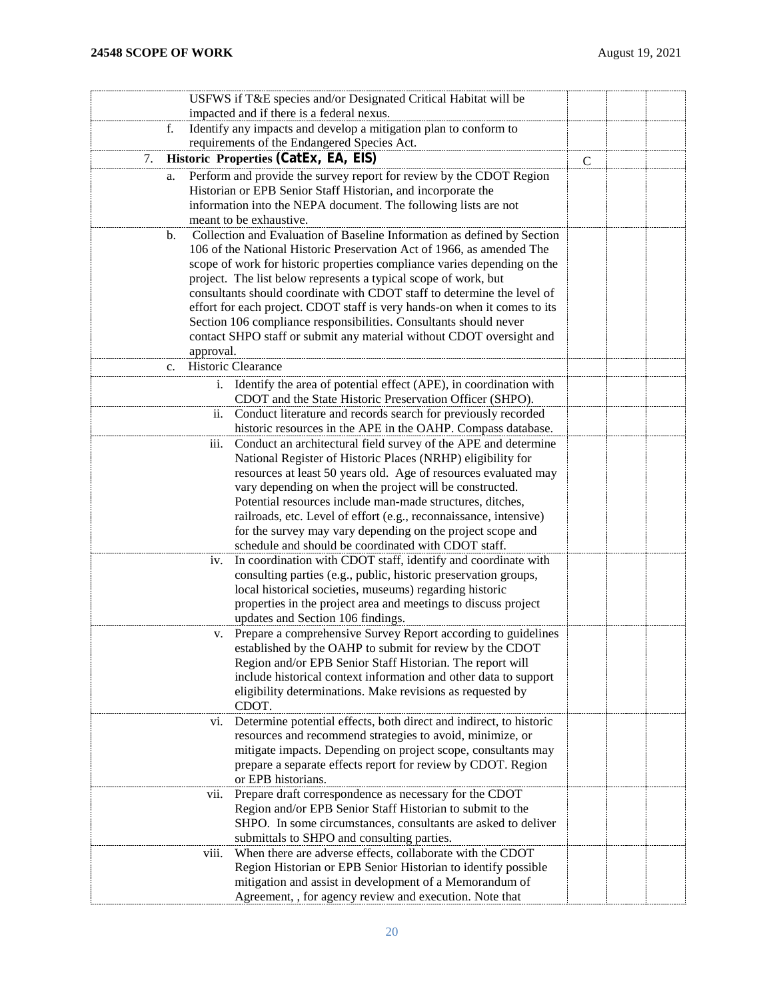|                | USFWS if T&E species and/or Designated Critical Habitat will be                                                                 |              |  |
|----------------|---------------------------------------------------------------------------------------------------------------------------------|--------------|--|
|                | impacted and if there is a federal nexus.                                                                                       |              |  |
| f.             | Identify any impacts and develop a mitigation plan to conform to                                                                |              |  |
|                | requirements of the Endangered Species Act.                                                                                     |              |  |
| 7.             | Historic Properties (CatEx, EA, EIS)                                                                                            | $\mathsf{C}$ |  |
| a.             | Perform and provide the survey report for review by the CDOT Region                                                             |              |  |
|                | Historian or EPB Senior Staff Historian, and incorporate the                                                                    |              |  |
|                | information into the NEPA document. The following lists are not                                                                 |              |  |
|                | meant to be exhaustive.                                                                                                         |              |  |
| b.             | Collection and Evaluation of Baseline Information as defined by Section                                                         |              |  |
|                | 106 of the National Historic Preservation Act of 1966, as amended The                                                           |              |  |
|                | scope of work for historic properties compliance varies depending on the                                                        |              |  |
|                | project. The list below represents a typical scope of work, but                                                                 |              |  |
|                | consultants should coordinate with CDOT staff to determine the level of                                                         |              |  |
|                | effort for each project. CDOT staff is very hands-on when it comes to its                                                       |              |  |
|                | Section 106 compliance responsibilities. Consultants should never                                                               |              |  |
|                | contact SHPO staff or submit any material without CDOT oversight and                                                            |              |  |
|                | approval.                                                                                                                       |              |  |
| $\mathbf{c}$ . | Historic Clearance                                                                                                              |              |  |
|                | Identify the area of potential effect (APE), in coordination with<br>i.                                                         |              |  |
|                | CDOT and the State Historic Preservation Officer (SHPO).                                                                        |              |  |
|                | Conduct literature and records search for previously recorded<br>ii.                                                            |              |  |
|                | historic resources in the APE in the OAHP. Compass database.                                                                    |              |  |
|                | Conduct an architectural field survey of the APE and determine<br>iii.                                                          |              |  |
|                | National Register of Historic Places (NRHP) eligibility for                                                                     |              |  |
|                | resources at least 50 years old. Age of resources evaluated may                                                                 |              |  |
|                | vary depending on when the project will be constructed.                                                                         |              |  |
|                | Potential resources include man-made structures, ditches,                                                                       |              |  |
|                | railroads, etc. Level of effort (e.g., reconnaissance, intensive)<br>for the survey may vary depending on the project scope and |              |  |
|                | schedule and should be coordinated with CDOT staff.                                                                             |              |  |
|                | In coordination with CDOT staff, identify and coordinate with<br>iv.                                                            |              |  |
|                | consulting parties (e.g., public, historic preservation groups,                                                                 |              |  |
|                | local historical societies, museums) regarding historic                                                                         |              |  |
|                | properties in the project area and meetings to discuss project                                                                  |              |  |
|                | updates and Section 106 findings.                                                                                               |              |  |
|                | Prepare a comprehensive Survey Report according to guidelines<br>v.                                                             |              |  |
|                | established by the OAHP to submit for review by the CDOT                                                                        |              |  |
|                | Region and/or EPB Senior Staff Historian. The report will                                                                       |              |  |
|                | include historical context information and other data to support                                                                |              |  |
|                | eligibility determinations. Make revisions as requested by                                                                      |              |  |
|                | CDOT.                                                                                                                           |              |  |
|                | Determine potential effects, both direct and indirect, to historic<br>VI.                                                       |              |  |
|                | resources and recommend strategies to avoid, minimize, or                                                                       |              |  |
|                | mitigate impacts. Depending on project scope, consultants may                                                                   |              |  |
|                | prepare a separate effects report for review by CDOT. Region                                                                    |              |  |
|                | or EPB historians.                                                                                                              |              |  |
|                | Prepare draft correspondence as necessary for the CDOT<br>V11.                                                                  |              |  |
|                | Region and/or EPB Senior Staff Historian to submit to the<br>SHPO. In some circumstances, consultants are asked to deliver      |              |  |
|                | submittals to SHPO and consulting parties.                                                                                      |              |  |
|                | When there are adverse effects, collaborate with the CDOT<br>V111.                                                              |              |  |
|                | Region Historian or EPB Senior Historian to identify possible                                                                   |              |  |
|                | mitigation and assist in development of a Memorandum of                                                                         |              |  |
|                | Agreement, , for agency review and execution. Note that                                                                         |              |  |
|                |                                                                                                                                 |              |  |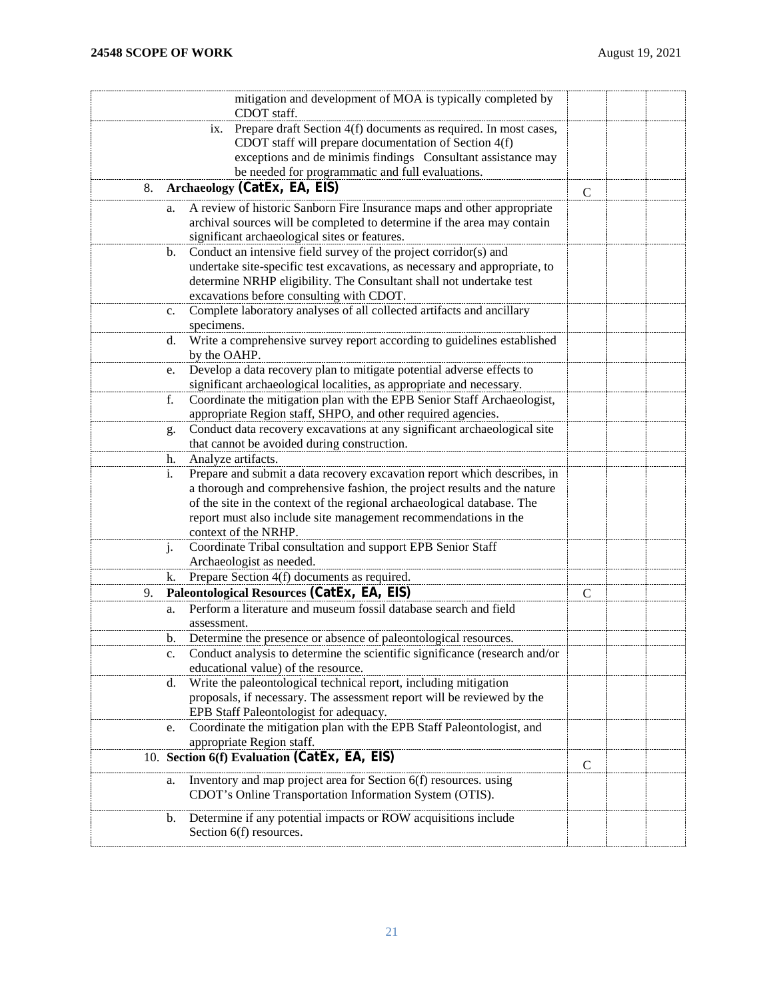|    | mitigation and development of MOA is typically completed by<br>CDOT staff.                                                                 |               |  |
|----|--------------------------------------------------------------------------------------------------------------------------------------------|---------------|--|
|    | Prepare draft Section 4(f) documents as required. In most cases,<br>1X.                                                                    |               |  |
|    | CDOT staff will prepare documentation of Section 4(f)                                                                                      |               |  |
|    | exceptions and de minimis findings  Consultant assistance may                                                                              |               |  |
|    | be needed for programmatic and full evaluations.                                                                                           |               |  |
| 8. | Archaeology (CatEx, EA, EIS)                                                                                                               | $\mathcal{C}$ |  |
| a. | A review of historic Sanborn Fire Insurance maps and other appropriate                                                                     |               |  |
|    | archival sources will be completed to determine if the area may contain                                                                    |               |  |
|    | significant archaeological sites or features.                                                                                              |               |  |
| b. | Conduct an intensive field survey of the project corridor(s) and                                                                           |               |  |
|    | undertake site-specific test excavations, as necessary and appropriate, to                                                                 |               |  |
|    | determine NRHP eligibility. The Consultant shall not undertake test                                                                        |               |  |
|    | excavations before consulting with CDOT.                                                                                                   |               |  |
| c. | Complete laboratory analyses of all collected artifacts and ancillary                                                                      |               |  |
|    | specimens.                                                                                                                                 |               |  |
| d. | Write a comprehensive survey report according to guidelines established                                                                    |               |  |
|    | by the OAHP.                                                                                                                               |               |  |
| e. | Develop a data recovery plan to mitigate potential adverse effects to                                                                      |               |  |
|    | significant archaeological localities, as appropriate and necessary.                                                                       |               |  |
| f. | Coordinate the mitigation plan with the EPB Senior Staff Archaeologist,                                                                    |               |  |
|    | appropriate Region staff, SHPO, and other required agencies.                                                                               |               |  |
| g. | Conduct data recovery excavations at any significant archaeological site                                                                   |               |  |
|    | that cannot be avoided during construction.                                                                                                |               |  |
| h. | Analyze artifacts.                                                                                                                         |               |  |
| i. | Prepare and submit a data recovery excavation report which describes, in                                                                   |               |  |
|    | a thorough and comprehensive fashion, the project results and the nature                                                                   |               |  |
|    | of the site in the context of the regional archaeological database. The<br>report must also include site management recommendations in the |               |  |
|    | context of the NRHP.                                                                                                                       |               |  |
| j. | Coordinate Tribal consultation and support EPB Senior Staff                                                                                |               |  |
|    | Archaeologist as needed.                                                                                                                   |               |  |
| k. | Prepare Section 4(f) documents as required.                                                                                                |               |  |
| 9. | Paleontological Resources (CatEx, EA, EIS)                                                                                                 | C             |  |
| a. | Perform a literature and museum fossil database search and field                                                                           |               |  |
|    | assessment.                                                                                                                                |               |  |
| b. | Determine the presence or absence of paleontological resources.                                                                            |               |  |
|    | c. Conduct analysis to determine the scientific significance (research and/or                                                              |               |  |
|    | educational value) of the resource.                                                                                                        |               |  |
| d. | Write the paleontological technical report, including mitigation                                                                           |               |  |
|    | proposals, if necessary. The assessment report will be reviewed by the                                                                     |               |  |
|    | EPB Staff Paleontologist for adequacy.                                                                                                     |               |  |
| e. | Coordinate the mitigation plan with the EPB Staff Paleontologist, and                                                                      |               |  |
|    | appropriate Region staff.                                                                                                                  |               |  |
|    | 10. Section 6(f) Evaluation (CatEx, EA, EIS)                                                                                               | C             |  |
| a. | Inventory and map project area for Section 6(f) resources. using                                                                           |               |  |
|    | CDOT's Online Transportation Information System (OTIS).                                                                                    |               |  |
| b. | Determine if any potential impacts or ROW acquisitions include                                                                             |               |  |
|    | Section 6(f) resources.                                                                                                                    |               |  |
|    |                                                                                                                                            |               |  |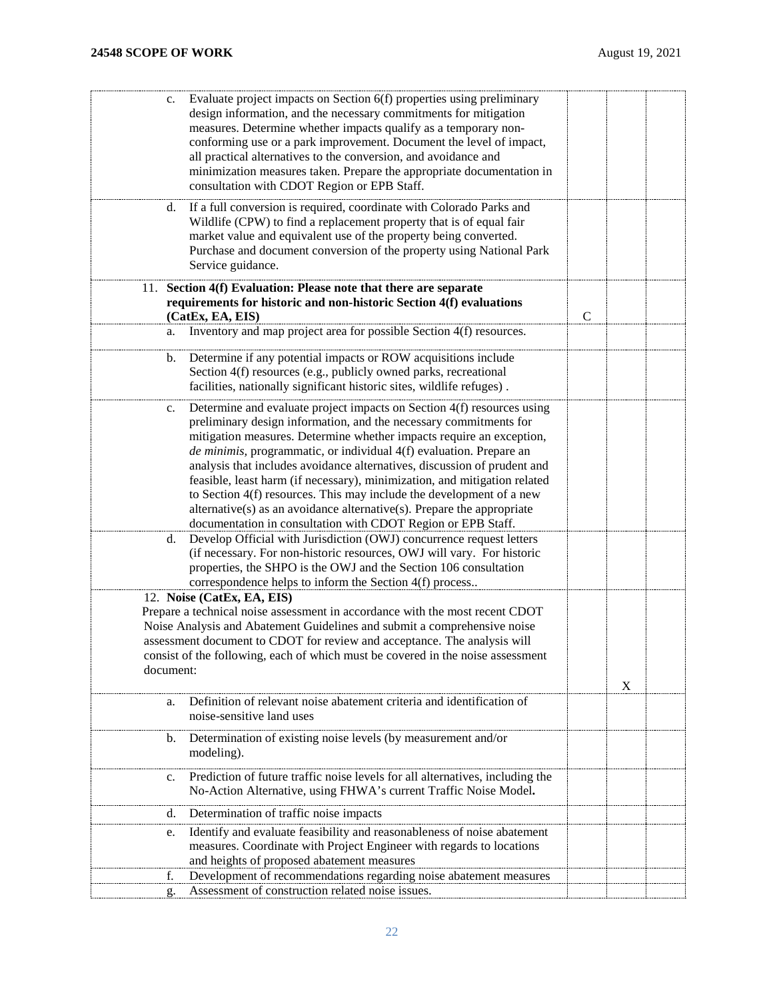| Evaluate project impacts on Section 6(f) properties using preliminary<br>c.         |               |   |  |
|-------------------------------------------------------------------------------------|---------------|---|--|
| design information, and the necessary commitments for mitigation                    |               |   |  |
| measures. Determine whether impacts qualify as a temporary non-                     |               |   |  |
|                                                                                     |               |   |  |
| conforming use or a park improvement. Document the level of impact,                 |               |   |  |
| all practical alternatives to the conversion, and avoidance and                     |               |   |  |
| minimization measures taken. Prepare the appropriate documentation in               |               |   |  |
| consultation with CDOT Region or EPB Staff.                                         |               |   |  |
|                                                                                     |               |   |  |
| If a full conversion is required, coordinate with Colorado Parks and<br>d.          |               |   |  |
| Wildlife (CPW) to find a replacement property that is of equal fair                 |               |   |  |
| market value and equivalent use of the property being converted.                    |               |   |  |
| Purchase and document conversion of the property using National Park                |               |   |  |
|                                                                                     |               |   |  |
| Service guidance.                                                                   |               |   |  |
| 11. Section 4(f) Evaluation: Please note that there are separate                    |               |   |  |
| requirements for historic and non-historic Section 4(f) evaluations                 |               |   |  |
|                                                                                     | $\mathcal{C}$ |   |  |
| (CatEx, EA, EIS)                                                                    |               |   |  |
| Inventory and map project area for possible Section 4(f) resources.<br>a.           |               |   |  |
|                                                                                     |               |   |  |
| Determine if any potential impacts or ROW acquisitions include<br>b.                |               |   |  |
| Section 4(f) resources (e.g., publicly owned parks, recreational                    |               |   |  |
| facilities, nationally significant historic sites, wildlife refuges).               |               |   |  |
|                                                                                     |               |   |  |
| Determine and evaluate project impacts on Section 4(f) resources using<br>c.        |               |   |  |
| preliminary design information, and the necessary commitments for                   |               |   |  |
| mitigation measures. Determine whether impacts require an exception,                |               |   |  |
| de minimis, programmatic, or individual 4(f) evaluation. Prepare an                 |               |   |  |
| analysis that includes avoidance alternatives, discussion of prudent and            |               |   |  |
|                                                                                     |               |   |  |
| feasible, least harm (if necessary), minimization, and mitigation related           |               |   |  |
| to Section 4(f) resources. This may include the development of a new                |               |   |  |
| $alternative(s)$ as an avoidance alternative $(s)$ . Prepare the appropriate        |               |   |  |
| documentation in consultation with CDOT Region or EPB Staff.                        |               |   |  |
| Develop Official with Jurisdiction (OWJ) concurrence request letters<br>d.          |               |   |  |
| (if necessary. For non-historic resources, OWJ will vary. For historic              |               |   |  |
|                                                                                     |               |   |  |
| properties, the SHPO is the OWJ and the Section 106 consultation                    |               |   |  |
| correspondence helps to inform the Section 4(f) process                             |               |   |  |
| 12. Noise (CatEx, EA, EIS)                                                          |               |   |  |
| Prepare a technical noise assessment in accordance with the most recent CDOT        |               |   |  |
| Noise Analysis and Abatement Guidelines and submit a comprehensive noise            |               |   |  |
| assessment document to CDOT for review and acceptance. The analysis will            |               |   |  |
|                                                                                     |               |   |  |
| consist of the following, each of which must be covered in the noise assessment     |               |   |  |
| document:                                                                           |               |   |  |
|                                                                                     |               | X |  |
| Definition of relevant noise abatement criteria and identification of<br>a.         |               |   |  |
| noise-sensitive land uses                                                           |               |   |  |
|                                                                                     |               |   |  |
| Determination of existing noise levels (by measurement and/or<br>b.                 |               |   |  |
| modeling).                                                                          |               |   |  |
|                                                                                     |               |   |  |
| Prediction of future traffic noise levels for all alternatives, including the<br>c. |               |   |  |
| No-Action Alternative, using FHWA's current Traffic Noise Model.                    |               |   |  |
|                                                                                     |               |   |  |
| Determination of traffic noise impacts<br>d.                                        |               |   |  |
| Identify and evaluate feasibility and reasonableness of noise abatement             |               |   |  |
| e.                                                                                  |               |   |  |
| measures. Coordinate with Project Engineer with regards to locations                |               |   |  |
| and heights of proposed abatement measures                                          |               |   |  |
| Development of recommendations regarding noise abatement measures<br>f.             |               |   |  |
| Assessment of construction related noise issues.<br>g.                              |               |   |  |
|                                                                                     |               |   |  |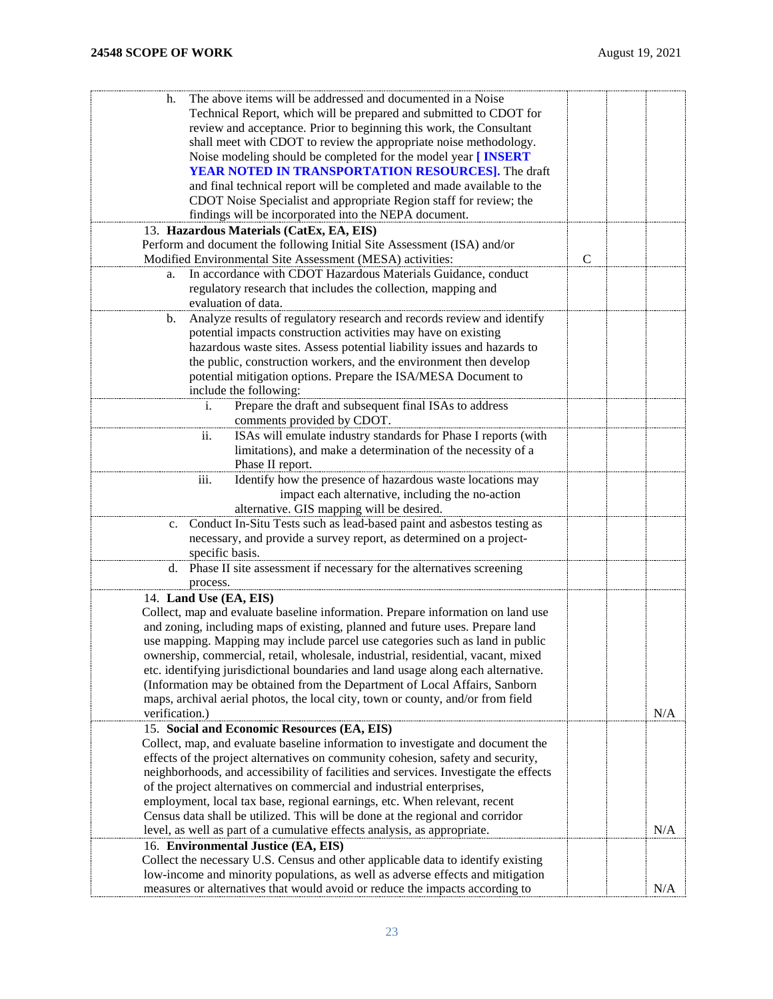| The above items will be addressed and documented in a Noise<br>h.<br>Technical Report, which will be prepared and submitted to CDOT for<br>review and acceptance. Prior to beginning this work, the Consultant<br>shall meet with CDOT to review the appropriate noise methodology.<br>Noise modeling should be completed for the model year [ INSERT |              |     |
|-------------------------------------------------------------------------------------------------------------------------------------------------------------------------------------------------------------------------------------------------------------------------------------------------------------------------------------------------------|--------------|-----|
| YEAR NOTED IN TRANSPORTATION RESOURCES]. The draft                                                                                                                                                                                                                                                                                                    |              |     |
| and final technical report will be completed and made available to the                                                                                                                                                                                                                                                                                |              |     |
| CDOT Noise Specialist and appropriate Region staff for review; the                                                                                                                                                                                                                                                                                    |              |     |
| findings will be incorporated into the NEPA document.                                                                                                                                                                                                                                                                                                 |              |     |
| 13. Hazardous Materials (CatEx, EA, EIS)                                                                                                                                                                                                                                                                                                              |              |     |
| Perform and document the following Initial Site Assessment (ISA) and/or                                                                                                                                                                                                                                                                               |              |     |
| Modified Environmental Site Assessment (MESA) activities:                                                                                                                                                                                                                                                                                             | $\mathsf{C}$ |     |
| In accordance with CDOT Hazardous Materials Guidance, conduct<br>a.                                                                                                                                                                                                                                                                                   |              |     |
| regulatory research that includes the collection, mapping and                                                                                                                                                                                                                                                                                         |              |     |
| evaluation of data.                                                                                                                                                                                                                                                                                                                                   |              |     |
| Analyze results of regulatory research and records review and identify<br>b.                                                                                                                                                                                                                                                                          |              |     |
| potential impacts construction activities may have on existing                                                                                                                                                                                                                                                                                        |              |     |
| hazardous waste sites. Assess potential liability issues and hazards to                                                                                                                                                                                                                                                                               |              |     |
| the public, construction workers, and the environment then develop                                                                                                                                                                                                                                                                                    |              |     |
| potential mitigation options. Prepare the ISA/MESA Document to                                                                                                                                                                                                                                                                                        |              |     |
| include the following:                                                                                                                                                                                                                                                                                                                                |              |     |
| Prepare the draft and subsequent final ISAs to address<br>i.                                                                                                                                                                                                                                                                                          |              |     |
| comments provided by CDOT.                                                                                                                                                                                                                                                                                                                            |              |     |
| ISAs will emulate industry standards for Phase I reports (with<br>$\overline{\mathbf{11}}$ .                                                                                                                                                                                                                                                          |              |     |
| limitations), and make a determination of the necessity of a                                                                                                                                                                                                                                                                                          |              |     |
| Phase II report.                                                                                                                                                                                                                                                                                                                                      |              |     |
| Identify how the presence of hazardous waste locations may<br>iii.                                                                                                                                                                                                                                                                                    |              |     |
| impact each alternative, including the no-action                                                                                                                                                                                                                                                                                                      |              |     |
| alternative. GIS mapping will be desired.                                                                                                                                                                                                                                                                                                             |              |     |
| Conduct In-Situ Tests such as lead-based paint and asbestos testing as<br>$\mathbf{c}$ .                                                                                                                                                                                                                                                              |              |     |
| necessary, and provide a survey report, as determined on a project-                                                                                                                                                                                                                                                                                   |              |     |
| specific basis.<br>Phase II site assessment if necessary for the alternatives screening                                                                                                                                                                                                                                                               |              |     |
| d.<br>process.                                                                                                                                                                                                                                                                                                                                        |              |     |
| 14. Land Use (EA, EIS)                                                                                                                                                                                                                                                                                                                                |              |     |
| Collect, map and evaluate baseline information. Prepare information on land use                                                                                                                                                                                                                                                                       |              |     |
| and zoning, including maps of existing, planned and future uses. Prepare land                                                                                                                                                                                                                                                                         |              |     |
| use mapping. Mapping may include parcel use categories such as land in public                                                                                                                                                                                                                                                                         |              |     |
| ownership, commercial, retail, wholesale, industrial, residential, vacant, mixed                                                                                                                                                                                                                                                                      |              |     |
| etc. identifying jurisdictional boundaries and land usage along each alternative.                                                                                                                                                                                                                                                                     |              |     |
| (Information may be obtained from the Department of Local Affairs, Sanborn                                                                                                                                                                                                                                                                            |              |     |
| maps, archival aerial photos, the local city, town or county, and/or from field                                                                                                                                                                                                                                                                       |              |     |
| verification.)                                                                                                                                                                                                                                                                                                                                        |              | N/A |
| 15. Social and Economic Resources (EA, EIS)                                                                                                                                                                                                                                                                                                           |              |     |
| Collect, map, and evaluate baseline information to investigate and document the                                                                                                                                                                                                                                                                       |              |     |
| effects of the project alternatives on community cohesion, safety and security,                                                                                                                                                                                                                                                                       |              |     |
| neighborhoods, and accessibility of facilities and services. Investigate the effects                                                                                                                                                                                                                                                                  |              |     |
| of the project alternatives on commercial and industrial enterprises,                                                                                                                                                                                                                                                                                 |              |     |
| employment, local tax base, regional earnings, etc. When relevant, recent                                                                                                                                                                                                                                                                             |              |     |
| Census data shall be utilized. This will be done at the regional and corridor                                                                                                                                                                                                                                                                         |              |     |
| level, as well as part of a cumulative effects analysis, as appropriate.                                                                                                                                                                                                                                                                              |              | N/A |
| 16. Environmental Justice (EA, EIS)                                                                                                                                                                                                                                                                                                                   |              |     |
| Collect the necessary U.S. Census and other applicable data to identify existing                                                                                                                                                                                                                                                                      |              |     |
| low-income and minority populations, as well as adverse effects and mitigation                                                                                                                                                                                                                                                                        |              |     |
| measures or alternatives that would avoid or reduce the impacts according to                                                                                                                                                                                                                                                                          |              | N/A |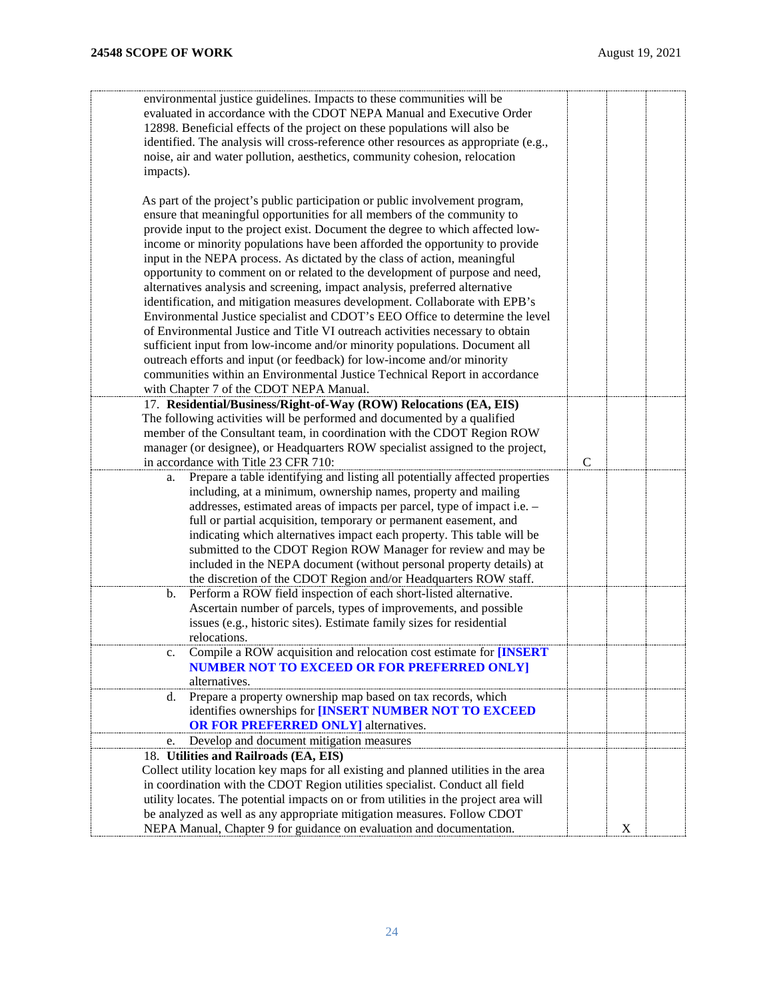| environmental justice guidelines. Impacts to these communities will be<br>evaluated in accordance with the CDOT NEPA Manual and Executive Order           |               |   |  |
|-----------------------------------------------------------------------------------------------------------------------------------------------------------|---------------|---|--|
| 12898. Beneficial effects of the project on these populations will also be                                                                                |               |   |  |
| identified. The analysis will cross-reference other resources as appropriate (e.g.,                                                                       |               |   |  |
| noise, air and water pollution, aesthetics, community cohesion, relocation                                                                                |               |   |  |
| impacts).                                                                                                                                                 |               |   |  |
|                                                                                                                                                           |               |   |  |
| As part of the project's public participation or public involvement program,                                                                              |               |   |  |
| ensure that meaningful opportunities for all members of the community to                                                                                  |               |   |  |
| provide input to the project exist. Document the degree to which affected low-                                                                            |               |   |  |
| income or minority populations have been afforded the opportunity to provide                                                                              |               |   |  |
| input in the NEPA process. As dictated by the class of action, meaningful<br>opportunity to comment on or related to the development of purpose and need, |               |   |  |
| alternatives analysis and screening, impact analysis, preferred alternative                                                                               |               |   |  |
| identification, and mitigation measures development. Collaborate with EPB's                                                                               |               |   |  |
| Environmental Justice specialist and CDOT's EEO Office to determine the level                                                                             |               |   |  |
| of Environmental Justice and Title VI outreach activities necessary to obtain                                                                             |               |   |  |
| sufficient input from low-income and/or minority populations. Document all                                                                                |               |   |  |
| outreach efforts and input (or feedback) for low-income and/or minority                                                                                   |               |   |  |
| communities within an Environmental Justice Technical Report in accordance                                                                                |               |   |  |
| with Chapter 7 of the CDOT NEPA Manual.                                                                                                                   |               |   |  |
| 17. Residential/Business/Right-of-Way (ROW) Relocations (EA, EIS)                                                                                         |               |   |  |
| The following activities will be performed and documented by a qualified                                                                                  |               |   |  |
| member of the Consultant team, in coordination with the CDOT Region ROW                                                                                   |               |   |  |
| manager (or designee), or Headquarters ROW specialist assigned to the project,                                                                            |               |   |  |
| in accordance with Title 23 CFR 710:                                                                                                                      | $\mathcal{C}$ |   |  |
| Prepare a table identifying and listing all potentially affected properties<br>a.                                                                         |               |   |  |
| including, at a minimum, ownership names, property and mailing<br>addresses, estimated areas of impacts per parcel, type of impact i.e. -                 |               |   |  |
| full or partial acquisition, temporary or permanent easement, and                                                                                         |               |   |  |
| indicating which alternatives impact each property. This table will be                                                                                    |               |   |  |
| submitted to the CDOT Region ROW Manager for review and may be                                                                                            |               |   |  |
| included in the NEPA document (without personal property details) at                                                                                      |               |   |  |
| the discretion of the CDOT Region and/or Headquarters ROW staff.                                                                                          |               |   |  |
| Perform a ROW field inspection of each short-listed alternative.<br>b.                                                                                    |               |   |  |
| Ascertain number of parcels, types of improvements, and possible                                                                                          |               |   |  |
| issues (e.g., historic sites). Estimate family sizes for residential                                                                                      |               |   |  |
| relocations.                                                                                                                                              |               |   |  |
| Compile a ROW acquisition and relocation cost estimate for <b>[INSERT</b>                                                                                 |               |   |  |
| <b>NUMBER NOT TO EXCEED OR FOR PREFERRED ONLY]</b>                                                                                                        |               |   |  |
| alternatives.                                                                                                                                             |               |   |  |
| Prepare a property ownership map based on tax records, which<br>d.<br>identifies ownerships for [INSERT NUMBER NOT TO EXCEED                              |               |   |  |
| <b>OR FOR PREFERRED ONLY</b> alternatives.                                                                                                                |               |   |  |
| Develop and document mitigation measures<br>e.                                                                                                            |               |   |  |
| 18. Utilities and Railroads (EA, EIS)                                                                                                                     |               |   |  |
| Collect utility location key maps for all existing and planned utilities in the area                                                                      |               |   |  |
| in coordination with the CDOT Region utilities specialist. Conduct all field                                                                              |               |   |  |
| utility locates. The potential impacts on or from utilities in the project area will                                                                      |               |   |  |
| be analyzed as well as any appropriate mitigation measures. Follow CDOT                                                                                   |               |   |  |
| NEPA Manual, Chapter 9 for guidance on evaluation and documentation.                                                                                      |               | X |  |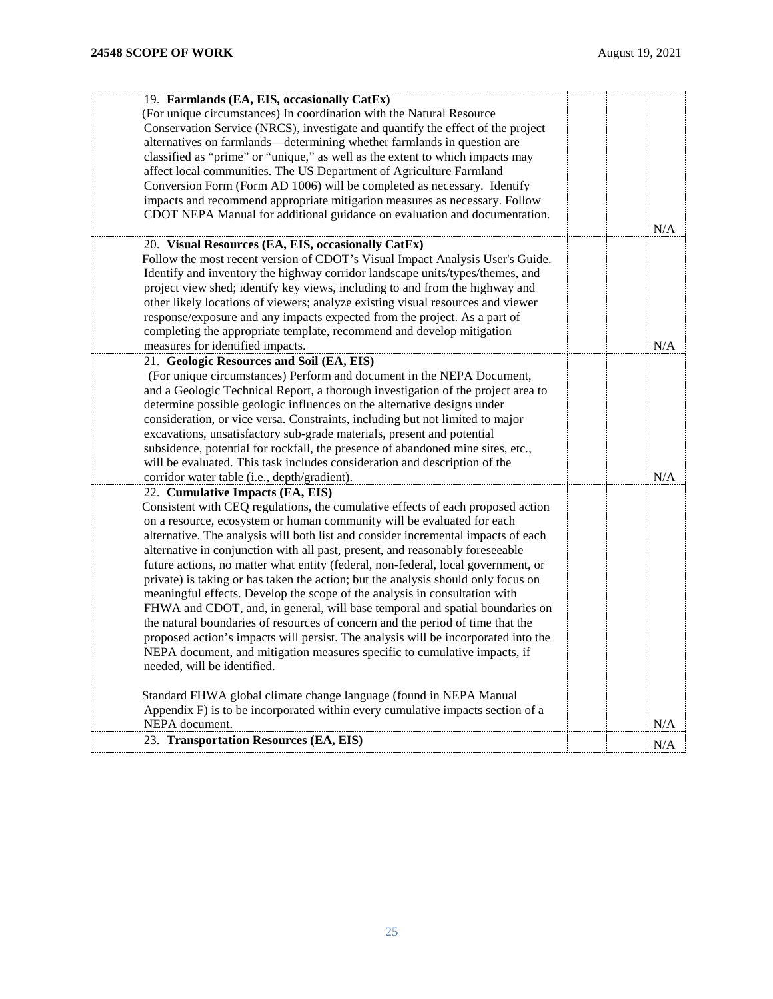| 19. Farmlands (EA, EIS, occasionally CatEx)                                        |           |
|------------------------------------------------------------------------------------|-----------|
| (For unique circumstances) In coordination with the Natural Resource               |           |
| Conservation Service (NRCS), investigate and quantify the effect of the project    |           |
| alternatives on farmlands—determining whether farmlands in question are            |           |
| classified as "prime" or "unique," as well as the extent to which impacts may      |           |
| affect local communities. The US Department of Agriculture Farmland                |           |
| Conversion Form (Form AD 1006) will be completed as necessary. Identify            |           |
| impacts and recommend appropriate mitigation measures as necessary. Follow         |           |
|                                                                                    |           |
| CDOT NEPA Manual for additional guidance on evaluation and documentation.          | $\rm N/A$ |
| 20. Visual Resources (EA, EIS, occasionally CatEx)                                 |           |
| Follow the most recent version of CDOT's Visual Impact Analysis User's Guide.      |           |
| Identify and inventory the highway corridor landscape units/types/themes, and      |           |
| project view shed; identify key views, including to and from the highway and       |           |
| other likely locations of viewers; analyze existing visual resources and viewer    |           |
| response/exposure and any impacts expected from the project. As a part of          |           |
| completing the appropriate template, recommend and develop mitigation              |           |
| measures for identified impacts.                                                   | N/A       |
| 21. Geologic Resources and Soil (EA, EIS)                                          |           |
| (For unique circumstances) Perform and document in the NEPA Document,              |           |
| and a Geologic Technical Report, a thorough investigation of the project area to   |           |
| determine possible geologic influences on the alternative designs under            |           |
| consideration, or vice versa. Constraints, including but not limited to major      |           |
| excavations, unsatisfactory sub-grade materials, present and potential             |           |
| subsidence, potential for rockfall, the presence of abandoned mine sites, etc.,    |           |
|                                                                                    |           |
| will be evaluated. This task includes consideration and description of the         |           |
| corridor water table (i.e., depth/gradient).                                       | N/A       |
| 22. Cumulative Impacts (EA, EIS)                                                   |           |
| Consistent with CEQ regulations, the cumulative effects of each proposed action    |           |
| on a resource, ecosystem or human community will be evaluated for each             |           |
| alternative. The analysis will both list and consider incremental impacts of each  |           |
| alternative in conjunction with all past, present, and reasonably foreseeable      |           |
| future actions, no matter what entity (federal, non-federal, local government, or  |           |
| private) is taking or has taken the action; but the analysis should only focus on  |           |
| meaningful effects. Develop the scope of the analysis in consultation with         |           |
| FHWA and CDOT, and, in general, will base temporal and spatial boundaries on       |           |
| the natural boundaries of resources of concern and the period of time that the     |           |
| proposed action's impacts will persist. The analysis will be incorporated into the |           |
| NEPA document, and mitigation measures specific to cumulative impacts, if          |           |
| needed, will be identified.                                                        |           |
| Standard FHWA global climate change language (found in NEPA Manual                 |           |
| Appendix F) is to be incorporated within every cumulative impacts section of a     |           |
| NEPA document.                                                                     | N/A       |
| 23. Transportation Resources (EA, EIS)                                             | N/A       |
|                                                                                    |           |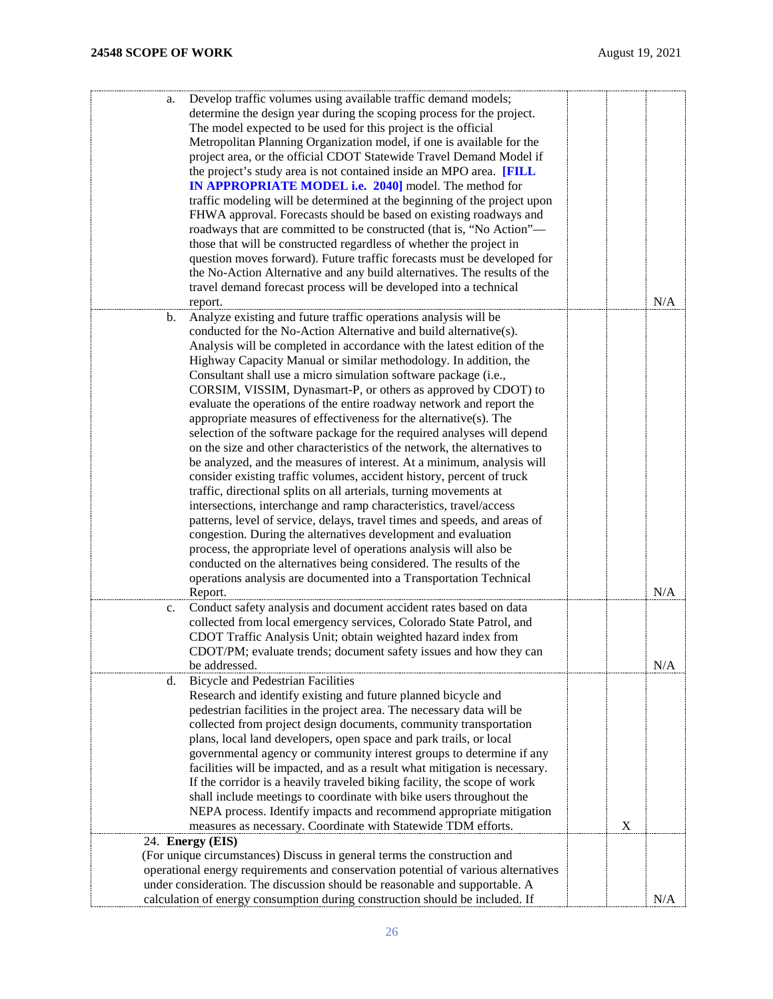| Develop traffic volumes using available traffic demand models;<br>a.<br>determine the design year during the scoping process for the project.<br>The model expected to be used for this project is the official<br>Metropolitan Planning Organization model, if one is available for the<br>project area, or the official CDOT Statewide Travel Demand Model if<br>the project's study area is not contained inside an MPO area. [FILL<br>IN APPROPRIATE MODEL i.e. 2040] model. The method for<br>traffic modeling will be determined at the beginning of the project upon<br>FHWA approval. Forecasts should be based on existing roadways and<br>roadways that are committed to be constructed (that is, "No Action"-<br>those that will be constructed regardless of whether the project in<br>question moves forward). Future traffic forecasts must be developed for                                                                                                                                                                                                                                                                                                                                                                                                                                                                                                                                                 |   |     |
|----------------------------------------------------------------------------------------------------------------------------------------------------------------------------------------------------------------------------------------------------------------------------------------------------------------------------------------------------------------------------------------------------------------------------------------------------------------------------------------------------------------------------------------------------------------------------------------------------------------------------------------------------------------------------------------------------------------------------------------------------------------------------------------------------------------------------------------------------------------------------------------------------------------------------------------------------------------------------------------------------------------------------------------------------------------------------------------------------------------------------------------------------------------------------------------------------------------------------------------------------------------------------------------------------------------------------------------------------------------------------------------------------------------------------|---|-----|
| the No-Action Alternative and any build alternatives. The results of the<br>travel demand forecast process will be developed into a technical<br>report.                                                                                                                                                                                                                                                                                                                                                                                                                                                                                                                                                                                                                                                                                                                                                                                                                                                                                                                                                                                                                                                                                                                                                                                                                                                                   |   | N/A |
|                                                                                                                                                                                                                                                                                                                                                                                                                                                                                                                                                                                                                                                                                                                                                                                                                                                                                                                                                                                                                                                                                                                                                                                                                                                                                                                                                                                                                            |   |     |
| Analyze existing and future traffic operations analysis will be<br>$\mathbf{b}$ .<br>conducted for the No-Action Alternative and build alternative(s).<br>Analysis will be completed in accordance with the latest edition of the<br>Highway Capacity Manual or similar methodology. In addition, the<br>Consultant shall use a micro simulation software package (i.e.,<br>CORSIM, VISSIM, Dynasmart-P, or others as approved by CDOT) to<br>evaluate the operations of the entire roadway network and report the<br>appropriate measures of effectiveness for the alternative(s). The<br>selection of the software package for the required analyses will depend<br>on the size and other characteristics of the network, the alternatives to<br>be analyzed, and the measures of interest. At a minimum, analysis will<br>consider existing traffic volumes, accident history, percent of truck<br>traffic, directional splits on all arterials, turning movements at<br>intersections, interchange and ramp characteristics, travel/access<br>patterns, level of service, delays, travel times and speeds, and areas of<br>congestion. During the alternatives development and evaluation<br>process, the appropriate level of operations analysis will also be<br>conducted on the alternatives being considered. The results of the<br>operations analysis are documented into a Transportation Technical<br>Report. |   | N/A |
| Conduct safety analysis and document accident rates based on data<br>c.<br>collected from local emergency services, Colorado State Patrol, and<br>CDOT Traffic Analysis Unit; obtain weighted hazard index from<br>CDOT/PM; evaluate trends; document safety issues and how they can<br>be addressed.                                                                                                                                                                                                                                                                                                                                                                                                                                                                                                                                                                                                                                                                                                                                                                                                                                                                                                                                                                                                                                                                                                                      |   | N/A |
| <b>Bicycle and Pedestrian Facilities</b><br>d.<br>Research and identify existing and future planned bicycle and<br>pedestrian facilities in the project area. The necessary data will be<br>collected from project design documents, community transportation<br>plans, local land developers, open space and park trails, or local<br>governmental agency or community interest groups to determine if any<br>facilities will be impacted, and as a result what mitigation is necessary.<br>If the corridor is a heavily traveled biking facility, the scope of work<br>shall include meetings to coordinate with bike users throughout the<br>NEPA process. Identify impacts and recommend appropriate mitigation<br>measures as necessary. Coordinate with Statewide TDM efforts.                                                                                                                                                                                                                                                                                                                                                                                                                                                                                                                                                                                                                                       | X |     |
| 24. Energy (EIS)                                                                                                                                                                                                                                                                                                                                                                                                                                                                                                                                                                                                                                                                                                                                                                                                                                                                                                                                                                                                                                                                                                                                                                                                                                                                                                                                                                                                           |   |     |
| (For unique circumstances) Discuss in general terms the construction and                                                                                                                                                                                                                                                                                                                                                                                                                                                                                                                                                                                                                                                                                                                                                                                                                                                                                                                                                                                                                                                                                                                                                                                                                                                                                                                                                   |   |     |
| operational energy requirements and conservation potential of various alternatives                                                                                                                                                                                                                                                                                                                                                                                                                                                                                                                                                                                                                                                                                                                                                                                                                                                                                                                                                                                                                                                                                                                                                                                                                                                                                                                                         |   |     |
| under consideration. The discussion should be reasonable and supportable. A                                                                                                                                                                                                                                                                                                                                                                                                                                                                                                                                                                                                                                                                                                                                                                                                                                                                                                                                                                                                                                                                                                                                                                                                                                                                                                                                                |   |     |
| calculation of energy consumption during construction should be included. If                                                                                                                                                                                                                                                                                                                                                                                                                                                                                                                                                                                                                                                                                                                                                                                                                                                                                                                                                                                                                                                                                                                                                                                                                                                                                                                                               |   | N/A |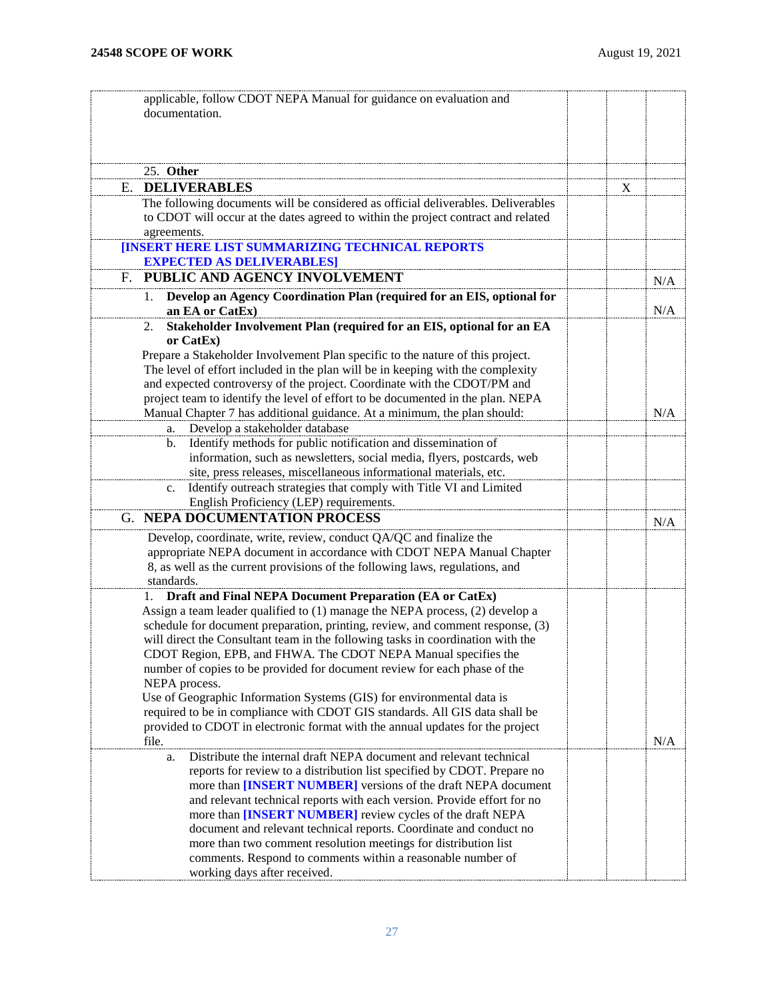<span id="page-26-2"></span><span id="page-26-1"></span><span id="page-26-0"></span>

| applicable, follow CDOT NEPA Manual for guidance on evaluation and                                                                                                |     |
|-------------------------------------------------------------------------------------------------------------------------------------------------------------------|-----|
| documentation.                                                                                                                                                    |     |
|                                                                                                                                                                   |     |
|                                                                                                                                                                   |     |
| 25. Other                                                                                                                                                         |     |
| <b>DELIVERABLES</b><br>Е.                                                                                                                                         | X   |
| The following documents will be considered as official deliverables. Deliverables                                                                                 |     |
| to CDOT will occur at the dates agreed to within the project contract and related                                                                                 |     |
| agreements.                                                                                                                                                       |     |
| <b>[INSERT HERE LIST SUMMARIZING TECHNICAL REPORTS</b>                                                                                                            |     |
| <b>EXPECTED AS DELIVERABLES]</b>                                                                                                                                  |     |
| PUBLIC AND AGENCY INVOLVEMENT<br>F.                                                                                                                               | N/A |
| Develop an Agency Coordination Plan (required for an EIS, optional for<br>1.                                                                                      |     |
| an EA or CatEx)                                                                                                                                                   | N/A |
| Stakeholder Involvement Plan (required for an EIS, optional for an EA<br>2.                                                                                       |     |
| or CatEx                                                                                                                                                          |     |
| Prepare a Stakeholder Involvement Plan specific to the nature of this project.                                                                                    |     |
| The level of effort included in the plan will be in keeping with the complexity                                                                                   |     |
| and expected controversy of the project. Coordinate with the CDOT/PM and<br>project team to identify the level of effort to be documented in the plan. NEPA       |     |
| Manual Chapter 7 has additional guidance. At a minimum, the plan should:                                                                                          | N/A |
| Develop a stakeholder database<br>a.                                                                                                                              |     |
| Identify methods for public notification and dissemination of<br>b.                                                                                               |     |
| information, such as newsletters, social media, flyers, postcards, web                                                                                            |     |
| site, press releases, miscellaneous informational materials, etc.                                                                                                 |     |
| Identify outreach strategies that comply with Title VI and Limited<br>c.                                                                                          |     |
| English Proficiency (LEP) requirements.                                                                                                                           |     |
| <b>G. NEPA DOCUMENTATION PROCESS</b>                                                                                                                              | N/A |
| Develop, coordinate, write, review, conduct QA/QC and finalize the                                                                                                |     |
| appropriate NEPA document in accordance with CDOT NEPA Manual Chapter                                                                                             |     |
| 8, as well as the current provisions of the following laws, regulations, and                                                                                      |     |
| standards.                                                                                                                                                        |     |
| Draft and Final NEPA Document Preparation (EA or CatEx)                                                                                                           |     |
| Assign a team leader qualified to (1) manage the NEPA process, (2) develop a                                                                                      |     |
| schedule for document preparation, printing, review, and comment response, (3)<br>will direct the Consultant team in the following tasks in coordination with the |     |
| CDOT Region, EPB, and FHWA. The CDOT NEPA Manual specifies the                                                                                                    |     |
| number of copies to be provided for document review for each phase of the                                                                                         |     |
| NEPA process.                                                                                                                                                     |     |
| Use of Geographic Information Systems (GIS) for environmental data is                                                                                             |     |
| required to be in compliance with CDOT GIS standards. All GIS data shall be                                                                                       |     |
| provided to CDOT in electronic format with the annual updates for the project                                                                                     |     |
| file.                                                                                                                                                             | N/A |
| Distribute the internal draft NEPA document and relevant technical<br>a.                                                                                          |     |
| reports for review to a distribution list specified by CDOT. Prepare no                                                                                           |     |
| more than [INSERT NUMBER] versions of the draft NEPA document                                                                                                     |     |
| and relevant technical reports with each version. Provide effort for no<br>more than [INSERT NUMBER] review cycles of the draft NEPA                              |     |
| document and relevant technical reports. Coordinate and conduct no                                                                                                |     |
| more than two comment resolution meetings for distribution list                                                                                                   |     |
| comments. Respond to comments within a reasonable number of                                                                                                       |     |
| working days after received.                                                                                                                                      |     |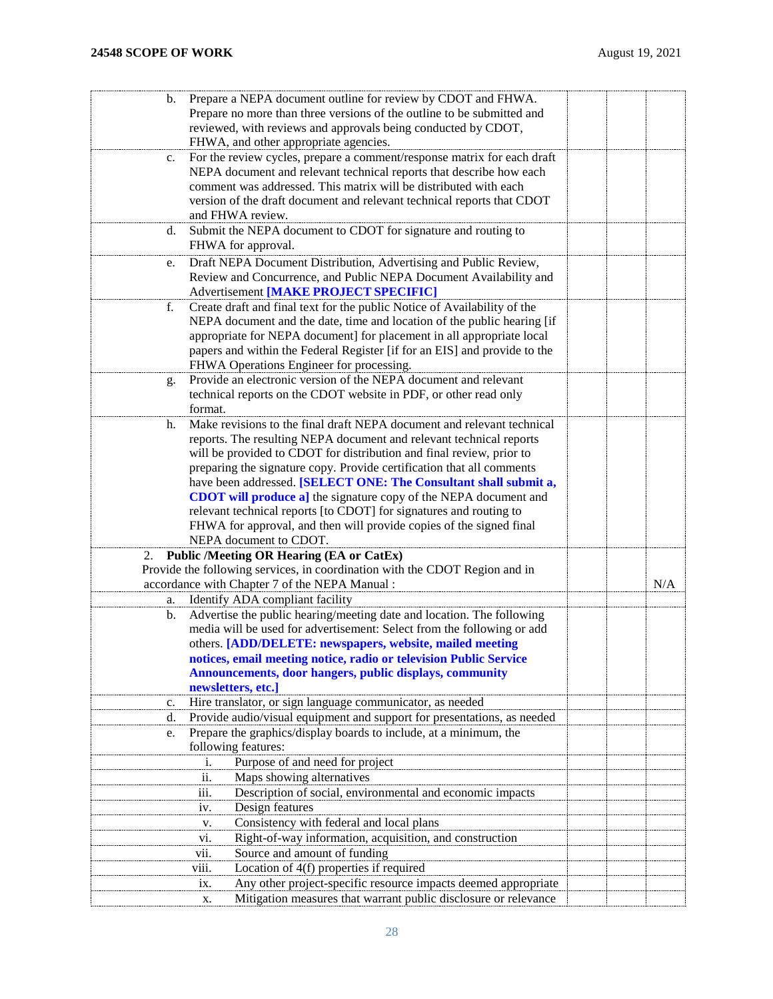| b. | Prepare a NEPA document outline for review by CDOT and FHWA.                                                                 |     |
|----|------------------------------------------------------------------------------------------------------------------------------|-----|
|    | Prepare no more than three versions of the outline to be submitted and                                                       |     |
|    | reviewed, with reviews and approvals being conducted by CDOT,                                                                |     |
|    |                                                                                                                              |     |
|    | FHWA, and other appropriate agencies.                                                                                        |     |
| c. | For the review cycles, prepare a comment/response matrix for each draft                                                      |     |
|    | NEPA document and relevant technical reports that describe how each                                                          |     |
|    | comment was addressed. This matrix will be distributed with each                                                             |     |
|    | version of the draft document and relevant technical reports that CDOT                                                       |     |
|    | and FHWA review.                                                                                                             |     |
| d. | Submit the NEPA document to CDOT for signature and routing to                                                                |     |
|    | FHWA for approval.                                                                                                           |     |
| e. | Draft NEPA Document Distribution, Advertising and Public Review,                                                             |     |
|    | Review and Concurrence, and Public NEPA Document Availability and                                                            |     |
|    | Advertisement [MAKE PROJECT SPECIFIC]                                                                                        |     |
| f. | Create draft and final text for the public Notice of Availability of the                                                     |     |
|    | NEPA document and the date, time and location of the public hearing [if                                                      |     |
|    | appropriate for NEPA document] for placement in all appropriate local                                                        |     |
|    | papers and within the Federal Register [if for an EIS] and provide to the                                                    |     |
|    |                                                                                                                              |     |
|    | FHWA Operations Engineer for processing.                                                                                     |     |
| g. | Provide an electronic version of the NEPA document and relevant                                                              |     |
|    | technical reports on the CDOT website in PDF, or other read only                                                             |     |
|    | format.                                                                                                                      |     |
| h. | Make revisions to the final draft NEPA document and relevant technical                                                       |     |
|    | reports. The resulting NEPA document and relevant technical reports                                                          |     |
|    | will be provided to CDOT for distribution and final review, prior to                                                         |     |
|    | preparing the signature copy. Provide certification that all comments                                                        |     |
|    | have been addressed. [SELECT ONE: The Consultant shall submit a,                                                             |     |
|    | <b>CDOT</b> will produce a] the signature copy of the NEPA document and                                                      |     |
|    | relevant technical reports [to CDOT] for signatures and routing to                                                           |     |
|    | FHWA for approval, and then will provide copies of the signed final                                                          |     |
|    | NEPA document to CDOT.                                                                                                       |     |
| 2. | <b>Public /Meeting OR Hearing (EA or CatEx)</b>                                                                              |     |
|    | Provide the following services, in coordination with the CDOT Region and in                                                  |     |
|    | accordance with Chapter 7 of the NEPA Manual:                                                                                | N/A |
| a. | Identify ADA compliant facility                                                                                              |     |
| b. | Advertise the public hearing/meeting date and location. The following                                                        |     |
|    | media will be used for advertisement: Select from the following or add                                                       |     |
|    | others. [ADD/DELETE: newspapers, website, mailed meeting                                                                     |     |
|    |                                                                                                                              |     |
|    | notices, email meeting notice, radio or television Public Service<br>Announcements, door hangers, public displays, community |     |
|    | newsletters, etc.]                                                                                                           |     |
|    |                                                                                                                              |     |
| c. | Hire translator, or sign language communicator, as needed                                                                    |     |
| d. | Provide audio/visual equipment and support for presentations, as needed                                                      |     |
| e. | Prepare the graphics/display boards to include, at a minimum, the                                                            |     |
|    | following features:                                                                                                          |     |
|    | Purpose of and need for project<br>1.                                                                                        |     |
|    | Maps showing alternatives<br>ii.                                                                                             |     |
|    | Description of social, environmental and economic impacts<br>iii.                                                            |     |
|    | Design features<br>iv.                                                                                                       |     |
|    | Consistency with federal and local plans<br>v.                                                                               |     |
|    | Right-of-way information, acquisition, and construction<br>V1.                                                               |     |
|    | Source and amount of funding<br>vii.                                                                                         |     |
|    | Location of 4(f) properties if required<br>viii.                                                                             |     |
|    | Any other project-specific resource impacts deemed appropriate<br>ix.                                                        |     |
|    | Mitigation measures that warrant public disclosure or relevance                                                              |     |
|    | х.                                                                                                                           |     |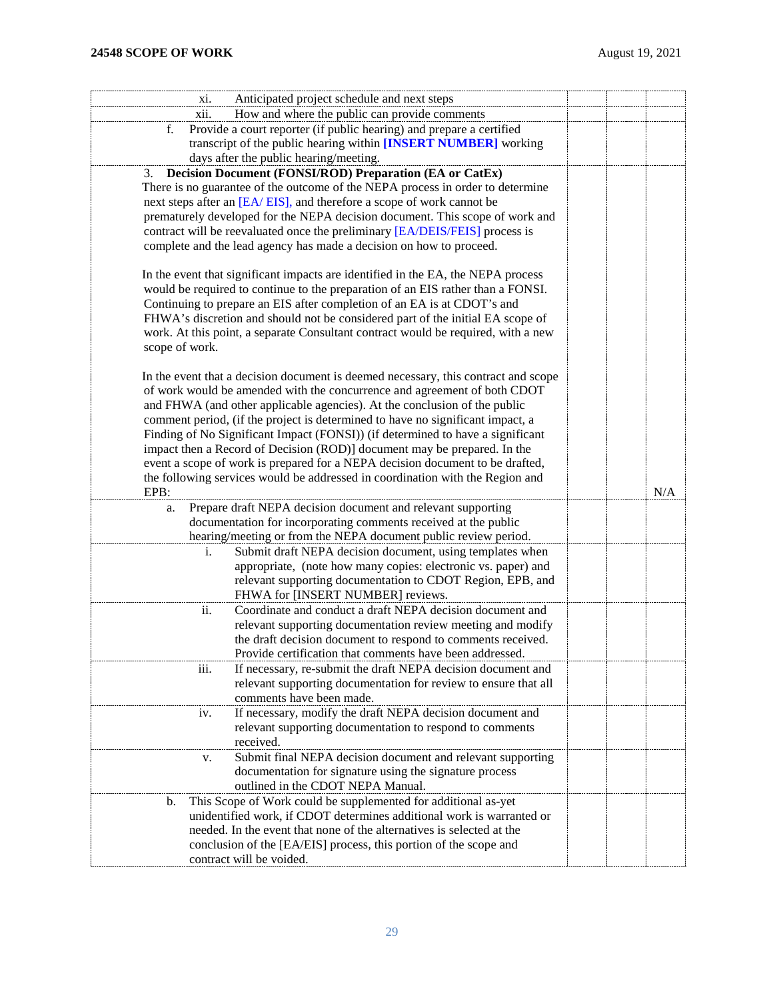| Anticipated project schedule and next steps<br>XI.                                                                                                                                                                                                                                                                                                                                                                                                                                                                                                                                                                                                                    |     |  |
|-----------------------------------------------------------------------------------------------------------------------------------------------------------------------------------------------------------------------------------------------------------------------------------------------------------------------------------------------------------------------------------------------------------------------------------------------------------------------------------------------------------------------------------------------------------------------------------------------------------------------------------------------------------------------|-----|--|
| How and where the public can provide comments<br>xii.                                                                                                                                                                                                                                                                                                                                                                                                                                                                                                                                                                                                                 |     |  |
| Provide a court reporter (if public hearing) and prepare a certified<br>f.                                                                                                                                                                                                                                                                                                                                                                                                                                                                                                                                                                                            |     |  |
| transcript of the public hearing within [INSERT NUMBER] working                                                                                                                                                                                                                                                                                                                                                                                                                                                                                                                                                                                                       |     |  |
| days after the public hearing/meeting.                                                                                                                                                                                                                                                                                                                                                                                                                                                                                                                                                                                                                                |     |  |
| Decision Document (FONSI/ROD) Preparation (EA or CatEx)<br>3.                                                                                                                                                                                                                                                                                                                                                                                                                                                                                                                                                                                                         |     |  |
| There is no guarantee of the outcome of the NEPA process in order to determine                                                                                                                                                                                                                                                                                                                                                                                                                                                                                                                                                                                        |     |  |
| next steps after an [EA/EIS], and therefore a scope of work cannot be                                                                                                                                                                                                                                                                                                                                                                                                                                                                                                                                                                                                 |     |  |
| prematurely developed for the NEPA decision document. This scope of work and                                                                                                                                                                                                                                                                                                                                                                                                                                                                                                                                                                                          |     |  |
| contract will be reevaluated once the preliminary [EA/DEIS/FEIS] process is                                                                                                                                                                                                                                                                                                                                                                                                                                                                                                                                                                                           |     |  |
| complete and the lead agency has made a decision on how to proceed.                                                                                                                                                                                                                                                                                                                                                                                                                                                                                                                                                                                                   |     |  |
| In the event that significant impacts are identified in the EA, the NEPA process<br>would be required to continue to the preparation of an EIS rather than a FONSI.<br>Continuing to prepare an EIS after completion of an EA is at CDOT's and<br>FHWA's discretion and should not be considered part of the initial EA scope of<br>work. At this point, a separate Consultant contract would be required, with a new                                                                                                                                                                                                                                                 |     |  |
| scope of work.                                                                                                                                                                                                                                                                                                                                                                                                                                                                                                                                                                                                                                                        |     |  |
| In the event that a decision document is deemed necessary, this contract and scope<br>of work would be amended with the concurrence and agreement of both CDOT<br>and FHWA (and other applicable agencies). At the conclusion of the public<br>comment period, (if the project is determined to have no significant impact, a<br>Finding of No Significant Impact (FONSI)) (if determined to have a significant<br>impact then a Record of Decision (ROD)] document may be prepared. In the<br>event a scope of work is prepared for a NEPA decision document to be drafted,<br>the following services would be addressed in coordination with the Region and<br>EPB: | N/A |  |
|                                                                                                                                                                                                                                                                                                                                                                                                                                                                                                                                                                                                                                                                       |     |  |
| Prepare draft NEPA decision document and relevant supporting<br>a.<br>documentation for incorporating comments received at the public                                                                                                                                                                                                                                                                                                                                                                                                                                                                                                                                 |     |  |
| hearing/meeting or from the NEPA document public review period.                                                                                                                                                                                                                                                                                                                                                                                                                                                                                                                                                                                                       |     |  |
| Submit draft NEPA decision document, using templates when<br>i.                                                                                                                                                                                                                                                                                                                                                                                                                                                                                                                                                                                                       |     |  |
| appropriate, (note how many copies: electronic vs. paper) and                                                                                                                                                                                                                                                                                                                                                                                                                                                                                                                                                                                                         |     |  |
| relevant supporting documentation to CDOT Region, EPB, and                                                                                                                                                                                                                                                                                                                                                                                                                                                                                                                                                                                                            |     |  |
| FHWA for [INSERT NUMBER] reviews.                                                                                                                                                                                                                                                                                                                                                                                                                                                                                                                                                                                                                                     |     |  |
| Coordinate and conduct a draft NEPA decision document and<br>ii.                                                                                                                                                                                                                                                                                                                                                                                                                                                                                                                                                                                                      |     |  |
| relevant supporting documentation review meeting and modify                                                                                                                                                                                                                                                                                                                                                                                                                                                                                                                                                                                                           |     |  |
| the draft decision document to respond to comments received.                                                                                                                                                                                                                                                                                                                                                                                                                                                                                                                                                                                                          |     |  |
| Provide certification that comments have been addressed.                                                                                                                                                                                                                                                                                                                                                                                                                                                                                                                                                                                                              |     |  |
| If necessary, re-submit the draft NEPA decision document and<br>iii.                                                                                                                                                                                                                                                                                                                                                                                                                                                                                                                                                                                                  |     |  |
| relevant supporting documentation for review to ensure that all                                                                                                                                                                                                                                                                                                                                                                                                                                                                                                                                                                                                       |     |  |
| comments have been made.                                                                                                                                                                                                                                                                                                                                                                                                                                                                                                                                                                                                                                              |     |  |
| If necessary, modify the draft NEPA decision document and<br>iv.                                                                                                                                                                                                                                                                                                                                                                                                                                                                                                                                                                                                      |     |  |
| relevant supporting documentation to respond to comments                                                                                                                                                                                                                                                                                                                                                                                                                                                                                                                                                                                                              |     |  |
| received.                                                                                                                                                                                                                                                                                                                                                                                                                                                                                                                                                                                                                                                             |     |  |
| Submit final NEPA decision document and relevant supporting<br>V.                                                                                                                                                                                                                                                                                                                                                                                                                                                                                                                                                                                                     |     |  |
| documentation for signature using the signature process                                                                                                                                                                                                                                                                                                                                                                                                                                                                                                                                                                                                               |     |  |
| outlined in the CDOT NEPA Manual.                                                                                                                                                                                                                                                                                                                                                                                                                                                                                                                                                                                                                                     |     |  |
| This Scope of Work could be supplemented for additional as-yet<br>b.                                                                                                                                                                                                                                                                                                                                                                                                                                                                                                                                                                                                  |     |  |
| unidentified work, if CDOT determines additional work is warranted or                                                                                                                                                                                                                                                                                                                                                                                                                                                                                                                                                                                                 |     |  |
| needed. In the event that none of the alternatives is selected at the                                                                                                                                                                                                                                                                                                                                                                                                                                                                                                                                                                                                 |     |  |
| conclusion of the [EA/EIS] process, this portion of the scope and                                                                                                                                                                                                                                                                                                                                                                                                                                                                                                                                                                                                     |     |  |
| contract will be voided.                                                                                                                                                                                                                                                                                                                                                                                                                                                                                                                                                                                                                                              |     |  |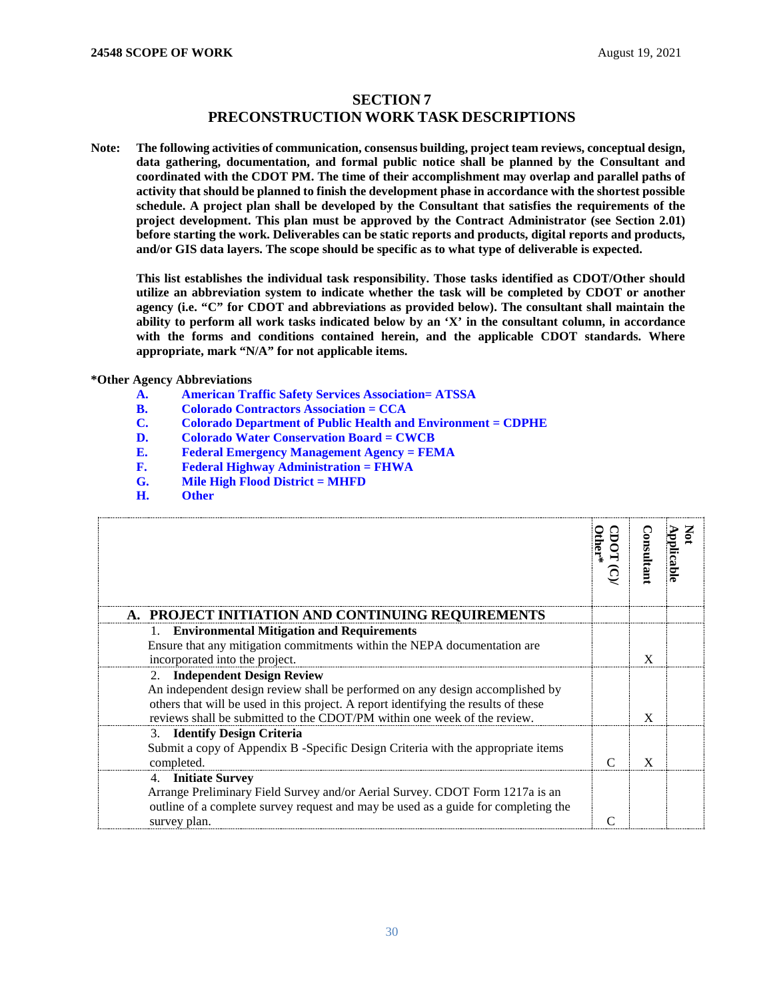## **SECTION 7 PRECONSTRUCTION WORK TASK DESCRIPTIONS**

<span id="page-29-1"></span><span id="page-29-0"></span>**Note: The following activities of communication, consensus building, project team reviews, conceptual design, data gathering, documentation, and formal public notice shall be planned by the Consultant and coordinated with the CDOT PM. The time of their accomplishment may overlap and parallel paths of activity that should be planned to finish the development phase in accordance with the shortest possible schedule. A project plan shall be developed by the Consultant that satisfies the requirements of the project development. This plan must be approved by the Contract Administrator (see Section 2.01) before starting the work. Deliverables can be static reports and products, digital reports and products, and/or GIS data layers. The scope should be specific as to what type of deliverable is expected.**

**This list establishes the individual task responsibility. Those tasks identified as CDOT/Other should utilize an abbreviation system to indicate whether the task will be completed by CDOT or another agency (i.e. "C" for CDOT and abbreviations as provided below). The consultant shall maintain the ability to perform all work tasks indicated below by an 'X' in the consultant column, in accordance with the forms and conditions contained herein, and the applicable CDOT standards. Where appropriate, mark "N/A" for not applicable items.**

# **\*Other Agency Abbreviations**

- **A. American Traffic Safety Services Association= ATSSA**
- **B. Colorado Contractors Association = CCA**
- **C. Colorado Department of Public Health and Environment = CDPHE**
- **D. Colorado Water Conservation Board = CWCB**
- **E. Federal Emergency Management Agency = FEMA**
- **F. Federal Highway Administration = FHWA**
- **G. Mile High Flood District = MHFD**
- **H. Other**

<span id="page-29-2"></span>

| A. PROJECT INITIATION AND CONTINUING REQUIREMENTS                                   | ther* | onsultanı    | pplicabl |
|-------------------------------------------------------------------------------------|-------|--------------|----------|
| 1. Environmental Mitigation and Requirements                                        |       |              |          |
| Ensure that any mitigation commitments within the NEPA documentation are            |       |              |          |
| incorporated into the project.                                                      |       | X            |          |
| 2. Independent Design Review                                                        |       |              |          |
| An independent design review shall be performed on any design accomplished by       |       |              |          |
| others that will be used in this project. A report identifying the results of these |       |              |          |
| reviews shall be submitted to the CDOT/PM within one week of the review.            |       | X            |          |
| 3. Identify Design Criteria                                                         |       |              |          |
| Submit a copy of Appendix B -Specific Design Criteria with the appropriate items    |       |              |          |
| completed.                                                                          | ⌒     | $\mathbf{x}$ |          |
| 4. Initiate Survey                                                                  |       |              |          |
| Arrange Preliminary Field Survey and/or Aerial Survey. CDOT Form 1217a is an        |       |              |          |
| outline of a complete survey request and may be used as a guide for completing the  |       |              |          |
| survey plan.                                                                        |       |              |          |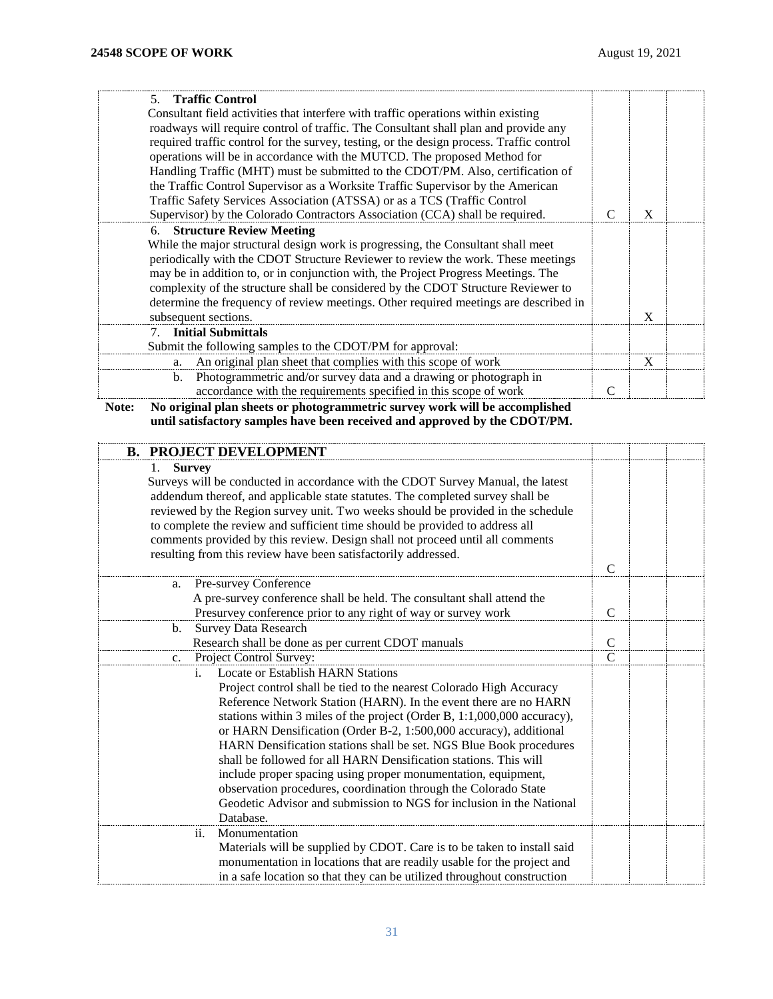| 5. Traffic Control                                                                       |          |  |
|------------------------------------------------------------------------------------------|----------|--|
| Consultant field activities that interfere with traffic operations within existing       |          |  |
| roadways will require control of traffic. The Consultant shall plan and provide any      |          |  |
| required traffic control for the survey, testing, or the design process. Traffic control |          |  |
| operations will be in accordance with the MUTCD. The proposed Method for                 |          |  |
| Handling Traffic (MHT) must be submitted to the CDOT/PM. Also, certification of          |          |  |
| the Traffic Control Supervisor as a Worksite Traffic Supervisor by the American          |          |  |
| Traffic Safety Services Association (ATSSA) or as a TCS (Traffic Control                 |          |  |
| Supervisor) by the Colorado Contractors Association (CCA) shall be required.             | $\bf{X}$ |  |
| 6. Structure Review Meeting                                                              |          |  |
| While the major structural design work is progressing, the Consultant shall meet         |          |  |
| periodically with the CDOT Structure Reviewer to review the work. These meetings         |          |  |
| may be in addition to, or in conjunction with, the Project Progress Meetings. The        |          |  |
| complexity of the structure shall be considered by the CDOT Structure Reviewer to        |          |  |
| determine the frequency of review meetings. Other required meetings are described in     |          |  |
| subsequent sections.                                                                     | X        |  |
| 7. Initial Submittals                                                                    |          |  |
| Submit the following samples to the CDOT/PM for approval:                                |          |  |
| An original plan sheet that complies with this scope of work<br>a.                       | X        |  |
| Photogrammetric and/or survey data and a drawing or photograph in<br>b.                  |          |  |
| accordance with the requirements specified in this scope of work                         |          |  |

**Note: No original plan sheets or photogrammetric survey work will be accomplished until satisfactory samples have been received and approved by the CDOT/PM.**

<span id="page-30-0"></span>

| <b>B. PROJECT DEVELOPMENT</b>                                                                                                                                                                                                                                                                                                                                                                                                                                                                                                                                                                                                                                                                                |               |  |
|--------------------------------------------------------------------------------------------------------------------------------------------------------------------------------------------------------------------------------------------------------------------------------------------------------------------------------------------------------------------------------------------------------------------------------------------------------------------------------------------------------------------------------------------------------------------------------------------------------------------------------------------------------------------------------------------------------------|---------------|--|
| <b>Survey</b><br>Surveys will be conducted in accordance with the CDOT Survey Manual, the latest<br>addendum thereof, and applicable state statutes. The completed survey shall be<br>reviewed by the Region survey unit. Two weeks should be provided in the schedule<br>to complete the review and sufficient time should be provided to address all<br>comments provided by this review. Design shall not proceed until all comments<br>resulting from this review have been satisfactorily addressed.                                                                                                                                                                                                    | $\mathcal{C}$ |  |
| <b>Pre-survey Conference</b><br>a.                                                                                                                                                                                                                                                                                                                                                                                                                                                                                                                                                                                                                                                                           |               |  |
| A pre-survey conference shall be held. The consultant shall attend the                                                                                                                                                                                                                                                                                                                                                                                                                                                                                                                                                                                                                                       |               |  |
| Presurvey conference prior to any right of way or survey work                                                                                                                                                                                                                                                                                                                                                                                                                                                                                                                                                                                                                                                | $\mathcal{C}$ |  |
| <b>Survey Data Research</b><br>b.                                                                                                                                                                                                                                                                                                                                                                                                                                                                                                                                                                                                                                                                            |               |  |
| Research shall be done as per current CDOT manuals                                                                                                                                                                                                                                                                                                                                                                                                                                                                                                                                                                                                                                                           | $\mathcal{C}$ |  |
| Project Control Survey:<br>$c_{\cdot}$                                                                                                                                                                                                                                                                                                                                                                                                                                                                                                                                                                                                                                                                       | $\mathcal{C}$ |  |
| <b>Locate or Establish HARN Stations</b><br>i.<br>Project control shall be tied to the nearest Colorado High Accuracy<br>Reference Network Station (HARN). In the event there are no HARN<br>stations within 3 miles of the project (Order B, 1:1,000,000 accuracy),<br>or HARN Densification (Order B-2, 1:500,000 accuracy), additional<br>HARN Densification stations shall be set. NGS Blue Book procedures<br>shall be followed for all HARN Densification stations. This will<br>include proper spacing using proper monumentation, equipment,<br>observation procedures, coordination through the Colorado State<br>Geodetic Advisor and submission to NGS for inclusion in the National<br>Database. |               |  |
| Monumentation<br>ii.<br>Materials will be supplied by CDOT. Care is to be taken to install said<br>monumentation in locations that are readily usable for the project and<br>in a safe location so that they can be utilized throughout construction                                                                                                                                                                                                                                                                                                                                                                                                                                                         |               |  |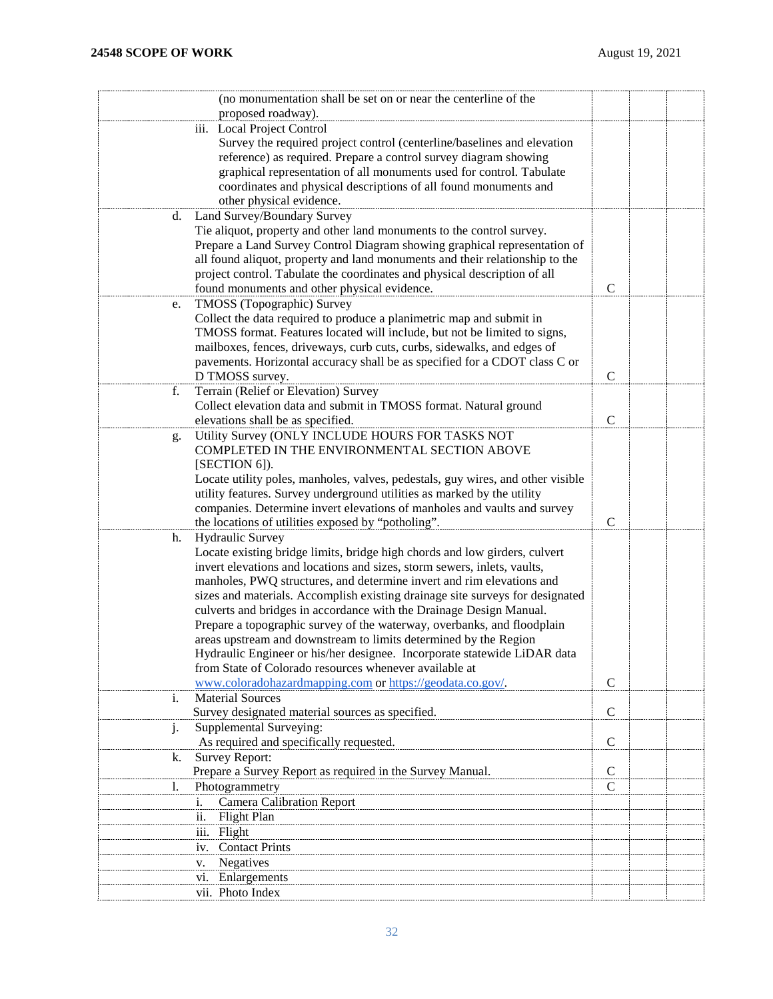| (no monumentation shall be set on or near the centerline of the                 |               |  |
|---------------------------------------------------------------------------------|---------------|--|
| proposed roadway).                                                              |               |  |
| iii. Local Project Control                                                      |               |  |
| Survey the required project control (centerline/baselines and elevation         |               |  |
| reference) as required. Prepare a control survey diagram showing                |               |  |
| graphical representation of all monuments used for control. Tabulate            |               |  |
| coordinates and physical descriptions of all found monuments and                |               |  |
| other physical evidence.                                                        |               |  |
| Land Survey/Boundary Survey<br>d.                                               |               |  |
| Tie aliquot, property and other land monuments to the control survey.           |               |  |
| Prepare a Land Survey Control Diagram showing graphical representation of       |               |  |
| all found aliquot, property and land monuments and their relationship to the    |               |  |
| project control. Tabulate the coordinates and physical description of all       |               |  |
| found monuments and other physical evidence.                                    | $\mathsf{C}$  |  |
| TMOSS (Topographic) Survey<br>e.                                                |               |  |
| Collect the data required to produce a planimetric map and submit in            |               |  |
| TMOSS format. Features located will include, but not be limited to signs,       |               |  |
| mailboxes, fences, driveways, curb cuts, curbs, sidewalks, and edges of         |               |  |
| pavements. Horizontal accuracy shall be as specified for a CDOT class C or      |               |  |
| D TMOSS survey.                                                                 | $\mathbf C$   |  |
| Terrain (Relief or Elevation) Survey<br>f.                                      |               |  |
| Collect elevation data and submit in TMOSS format. Natural ground               |               |  |
| elevations shall be as specified.                                               | $\mathbf C$   |  |
| Utility Survey (ONLY INCLUDE HOURS FOR TASKS NOT<br>g.                          |               |  |
| COMPLETED IN THE ENVIRONMENTAL SECTION ABOVE                                    |               |  |
| [SECTION 6]).                                                                   |               |  |
| Locate utility poles, manholes, valves, pedestals, guy wires, and other visible |               |  |
| utility features. Survey underground utilities as marked by the utility         |               |  |
| companies. Determine invert elevations of manholes and vaults and survey        |               |  |
| the locations of utilities exposed by "potholing".                              | $\mathcal{C}$ |  |
| <b>Hydraulic Survey</b><br>h.                                                   |               |  |
| Locate existing bridge limits, bridge high chords and low girders, culvert      |               |  |
| invert elevations and locations and sizes, storm sewers, inlets, vaults,        |               |  |
| manholes, PWQ structures, and determine invert and rim elevations and           |               |  |
| sizes and materials. Accomplish existing drainage site surveys for designated   |               |  |
| culverts and bridges in accordance with the Drainage Design Manual.             |               |  |
| Prepare a topographic survey of the waterway, overbanks, and floodplain         |               |  |
| areas upstream and downstream to limits determined by the Region                |               |  |
| Hydraulic Engineer or his/her designee. Incorporate statewide LiDAR data        |               |  |
| from State of Colorado resources whenever available at                          |               |  |
| www.coloradohazardmapping.com or https://geodata.co.gov/.                       | $\mathsf{C}$  |  |
| <b>Material Sources</b><br>1.                                                   |               |  |
| Survey designated material sources as specified.                                | $\mathsf{C}$  |  |
| Supplemental Surveying:<br>1.                                                   |               |  |
| As required and specifically requested.                                         | $\mathsf{C}$  |  |
| Survey Report:<br>k.                                                            |               |  |
| Prepare a Survey Report as required in the Survey Manual.                       | $\mathbf C$   |  |
| Photogrammetry<br>I.                                                            | C             |  |
| <b>Camera Calibration Report</b><br>i.                                          |               |  |
| Flight Plan<br>11.                                                              |               |  |
| iii. Flight                                                                     |               |  |
| <b>Contact Prints</b><br>1V.                                                    |               |  |
| Negatives<br>v.                                                                 |               |  |
| Enlargements<br>V1.                                                             |               |  |
| vii. Photo Index                                                                |               |  |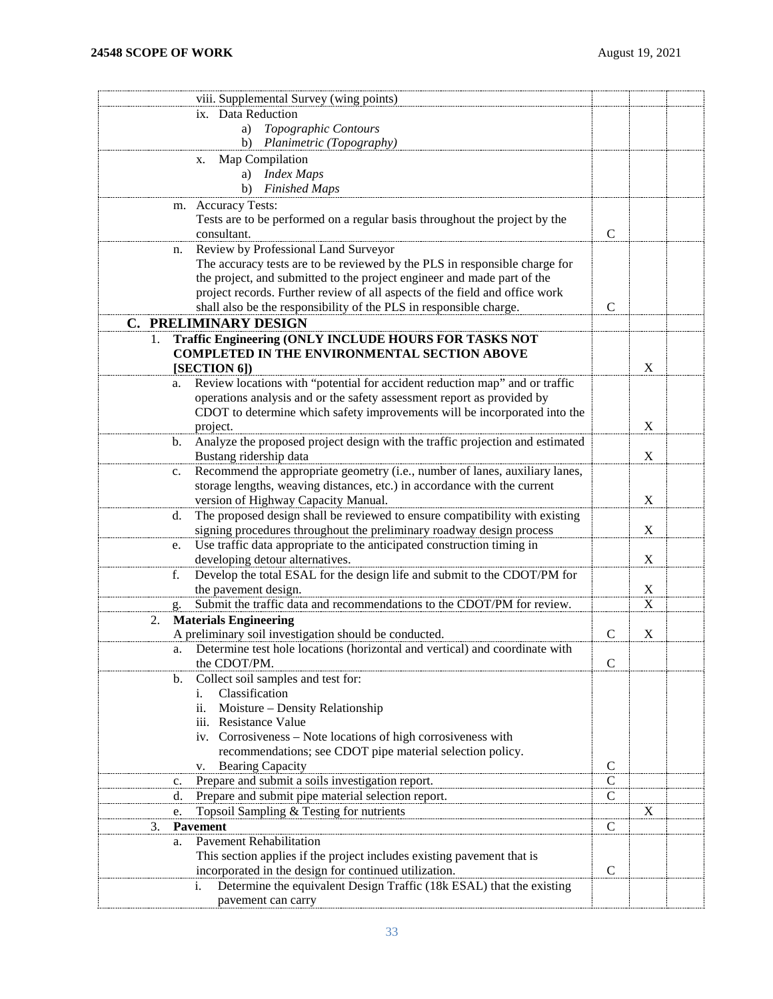<span id="page-32-0"></span>

| viii. Supplemental Survey (wing points)                                                                                  |                              |                           |  |
|--------------------------------------------------------------------------------------------------------------------------|------------------------------|---------------------------|--|
| ix. Data Reduction                                                                                                       |                              |                           |  |
| Topographic Contours<br>a)                                                                                               |                              |                           |  |
| Planimetric (Topography)<br>b)                                                                                           |                              |                           |  |
| Map Compilation<br>X.                                                                                                    |                              |                           |  |
| <b>Index Maps</b><br>a)                                                                                                  |                              |                           |  |
| <b>Finished Maps</b><br>b)                                                                                               |                              |                           |  |
| <b>Accuracy Tests:</b><br>m.                                                                                             |                              |                           |  |
| Tests are to be performed on a regular basis throughout the project by the                                               |                              |                           |  |
| consultant.                                                                                                              | $\mathcal{C}$                |                           |  |
| Review by Professional Land Surveyor<br>n.                                                                               |                              |                           |  |
| The accuracy tests are to be reviewed by the PLS in responsible charge for                                               |                              |                           |  |
| the project, and submitted to the project engineer and made part of the                                                  |                              |                           |  |
| project records. Further review of all aspects of the field and office work                                              |                              |                           |  |
| shall also be the responsibility of the PLS in responsible charge.                                                       | $\mathbf C$                  |                           |  |
| <b>C. PRELIMINARY DESIGN</b>                                                                                             |                              |                           |  |
| Traffic Engineering (ONLY INCLUDE HOURS FOR TASKS NOT<br>1.                                                              |                              |                           |  |
| <b>COMPLETED IN THE ENVIRONMENTAL SECTION ABOVE</b>                                                                      |                              |                           |  |
| [SECTION 6])                                                                                                             |                              | $\boldsymbol{\mathrm{X}}$ |  |
| Review locations with "potential for accident reduction map" and or traffic<br>a.                                        |                              |                           |  |
| operations analysis and or the safety assessment report as provided by                                                   |                              |                           |  |
| CDOT to determine which safety improvements will be incorporated into the                                                |                              |                           |  |
| project.                                                                                                                 |                              | X                         |  |
| Analyze the proposed project design with the traffic projection and estimated<br>b.                                      |                              |                           |  |
| Bustang ridership data                                                                                                   |                              | X                         |  |
| Recommend the appropriate geometry (i.e., number of lanes, auxiliary lanes,<br>c.                                        |                              |                           |  |
| storage lengths, weaving distances, etc.) in accordance with the current                                                 |                              | $\boldsymbol{\mathrm{X}}$ |  |
| version of Highway Capacity Manual.<br>The proposed design shall be reviewed to ensure compatibility with existing<br>d. |                              |                           |  |
| signing procedures throughout the preliminary roadway design process                                                     |                              | X                         |  |
| Use traffic data appropriate to the anticipated construction timing in<br>e.                                             |                              |                           |  |
| developing detour alternatives.                                                                                          |                              | X                         |  |
| Develop the total ESAL for the design life and submit to the CDOT/PM for<br>f.                                           |                              |                           |  |
| the pavement design.                                                                                                     |                              | $\boldsymbol{\mathrm{X}}$ |  |
| Submit the traffic data and recommendations to the CDOT/PM for review.                                                   |                              | X                         |  |
| <b>Materials Engineering</b><br>2.                                                                                       |                              |                           |  |
| A preliminary soil investigation should be conducted.                                                                    | $\mathsf{C}$                 | X                         |  |
| Determine test hole locations (horizontal and vertical) and coordinate with<br>a.                                        |                              |                           |  |
| the CDOT/PM.                                                                                                             | $\mathbf C$                  |                           |  |
| Collect soil samples and test for:<br>b.                                                                                 |                              |                           |  |
| Classification<br>i.                                                                                                     |                              |                           |  |
| ii. Moisture - Density Relationship                                                                                      |                              |                           |  |
| iii. Resistance Value                                                                                                    |                              |                           |  |
| iv. Corrosiveness - Note locations of high corrosiveness with                                                            |                              |                           |  |
| recommendations; see CDOT pipe material selection policy.                                                                |                              |                           |  |
| <b>Bearing Capacity</b><br>V.                                                                                            | $\mathsf{C}$                 |                           |  |
| Prepare and submit a soils investigation report.<br>c.<br>Prepare and submit pipe material selection report.             | $\mathsf{C}$<br>$\mathsf{C}$ |                           |  |
| d.<br>Topsoil Sampling & Testing for nutrients                                                                           |                              | X                         |  |
| e.<br>Pavement<br>3.                                                                                                     | $\mathsf{C}$                 |                           |  |
| <b>Pavement Rehabilitation</b><br>a.                                                                                     |                              |                           |  |
| This section applies if the project includes existing pavement that is                                                   |                              |                           |  |
| incorporated in the design for continued utilization.                                                                    | $\mathcal{C}$                |                           |  |
| Determine the equivalent Design Traffic (18k ESAL) that the existing<br>i.                                               |                              |                           |  |
| pavement can carry                                                                                                       |                              |                           |  |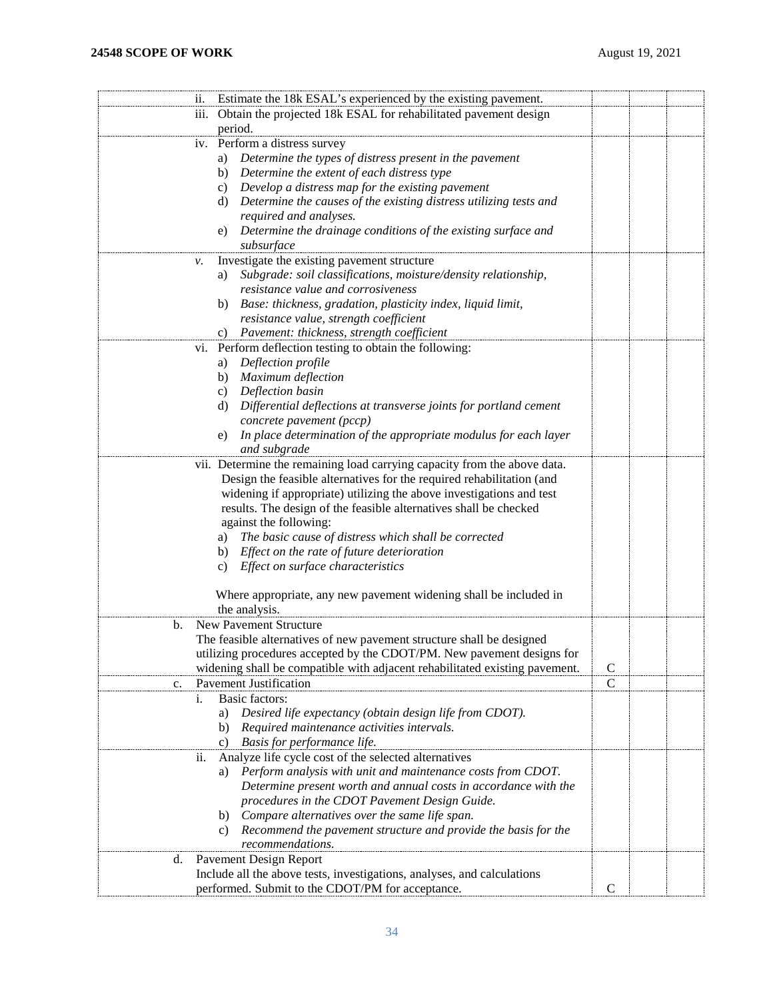| 11.                | Estimate the 18k ESAL's experienced by the existing pavement.                                                    |              |  |
|--------------------|------------------------------------------------------------------------------------------------------------------|--------------|--|
| $\overline{111}$ . | Obtain the projected 18k ESAL for rehabilitated pavement design                                                  |              |  |
|                    | period.                                                                                                          |              |  |
|                    | iv. Perform a distress survey                                                                                    |              |  |
|                    | Determine the types of distress present in the pavement<br>a)                                                    |              |  |
|                    | b) Determine the extent of each distress type                                                                    |              |  |
|                    | c) Develop a distress map for the existing pavement                                                              |              |  |
|                    | d) Determine the causes of the existing distress utilizing tests and                                             |              |  |
|                    | required and analyses.                                                                                           |              |  |
|                    | Determine the drainage conditions of the existing surface and<br>e)                                              |              |  |
|                    | subsurface                                                                                                       |              |  |
| ν.                 | Investigate the existing pavement structure                                                                      |              |  |
|                    | Subgrade: soil classifications, moisture/density relationship,<br>a)                                             |              |  |
|                    | resistance value and corrosiveness                                                                               |              |  |
|                    | Base: thickness, gradation, plasticity index, liquid limit,<br>b)                                                |              |  |
|                    | resistance value, strength coefficient                                                                           |              |  |
|                    | c) Pavement: thickness, strength coefficient                                                                     |              |  |
| V1.                | Perform deflection testing to obtain the following:                                                              |              |  |
|                    | Deflection profile<br>a)                                                                                         |              |  |
|                    | b) Maximum deflection                                                                                            |              |  |
|                    | c) Deflection basin                                                                                              |              |  |
|                    | d) Differential deflections at transverse joints for portland cement                                             |              |  |
|                    | concrete pavement (pccp)                                                                                         |              |  |
|                    | In place determination of the appropriate modulus for each layer<br>e)                                           |              |  |
|                    | and subgrade                                                                                                     |              |  |
|                    | vii. Determine the remaining load carrying capacity from the above data.                                         |              |  |
|                    | Design the feasible alternatives for the required rehabilitation (and                                            |              |  |
|                    | widening if appropriate) utilizing the above investigations and test                                             |              |  |
|                    | results. The design of the feasible alternatives shall be checked                                                |              |  |
|                    | against the following:                                                                                           |              |  |
|                    | a) The basic cause of distress which shall be corrected                                                          |              |  |
|                    | b) Effect on the rate of future deterioration                                                                    |              |  |
|                    | c) Effect on surface characteristics                                                                             |              |  |
|                    |                                                                                                                  |              |  |
|                    | Where appropriate, any new pavement widening shall be included in                                                |              |  |
|                    | the analysis.                                                                                                    |              |  |
| b.                 | New Pavement Structure                                                                                           |              |  |
|                    | The feasible alternatives of new pavement structure shall be designed                                            |              |  |
|                    | utilizing procedures accepted by the CDOT/PM. New pavement designs for                                           |              |  |
|                    | widening shall be compatible with adjacent rehabilitated existing pavement.                                      | $\mathbf C$  |  |
| c.                 | Pavement Justification                                                                                           | $\mathbf C$  |  |
| i.                 | Basic factors:                                                                                                   |              |  |
|                    | Desired life expectancy (obtain design life from CDOT).<br>a)                                                    |              |  |
|                    | Required maintenance activities intervals.<br>b)                                                                 |              |  |
|                    | Basis for performance life.<br>C)                                                                                |              |  |
| ii.                | Analyze life cycle cost of the selected alternatives                                                             |              |  |
|                    | Perform analysis with unit and maintenance costs from CDOT.<br>a)                                                |              |  |
|                    | Determine present worth and annual costs in accordance with the<br>procedures in the CDOT Pavement Design Guide. |              |  |
|                    | b) Compare alternatives over the same life span.                                                                 |              |  |
|                    |                                                                                                                  |              |  |
|                    | Recommend the pavement structure and provide the basis for the<br>C)<br>recommendations.                         |              |  |
|                    | <b>Pavement Design Report</b>                                                                                    |              |  |
| d.                 | Include all the above tests, investigations, analyses, and calculations                                          |              |  |
|                    | performed. Submit to the CDOT/PM for acceptance.                                                                 | $\mathsf{C}$ |  |
|                    |                                                                                                                  |              |  |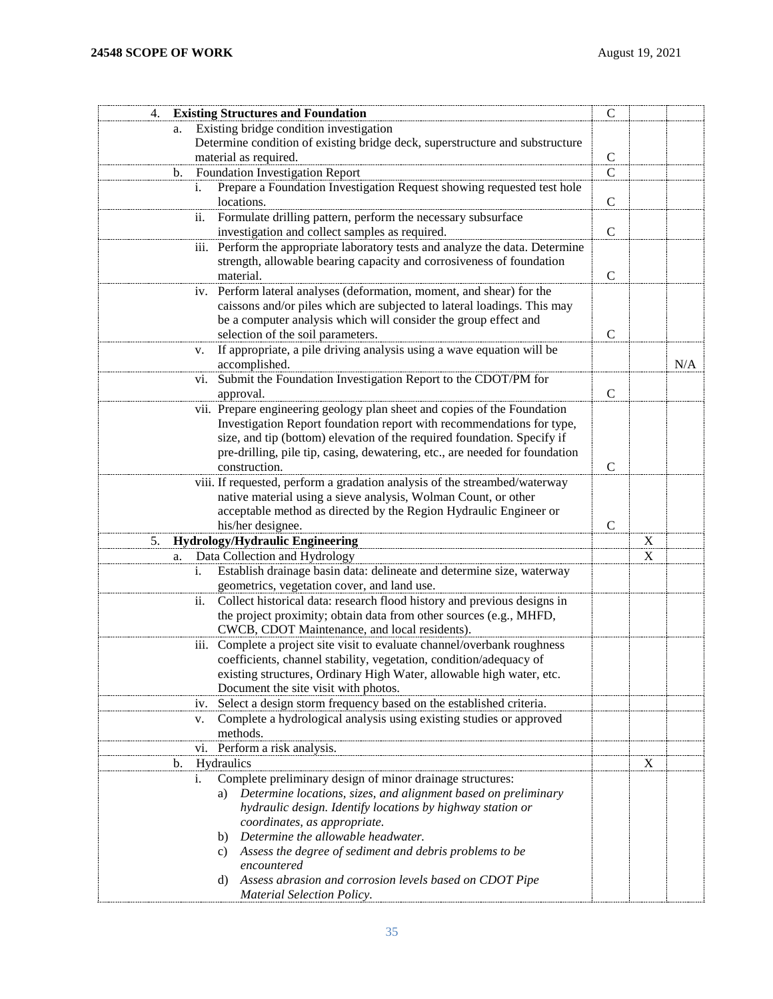| <b>Existing Structures and Foundation</b><br>4.                                | $\mathsf{C}$                  |             |     |
|--------------------------------------------------------------------------------|-------------------------------|-------------|-----|
| Existing bridge condition investigation<br>a.                                  |                               |             |     |
| Determine condition of existing bridge deck, superstructure and substructure   |                               |             |     |
| material as required.                                                          | $\mathsf{C}$                  |             |     |
| <b>Foundation Investigation Report</b><br>b.                                   | $\overline{\overline{\rm c}}$ |             |     |
| Prepare a Foundation Investigation Request showing requested test hole<br>1.   |                               |             |     |
| locations.                                                                     | $\mathcal{C}$                 |             |     |
| Formulate drilling pattern, perform the necessary subsurface<br>ii.            |                               |             |     |
| investigation and collect samples as required.                                 | $\mathsf{C}$                  |             |     |
| iii. Perform the appropriate laboratory tests and analyze the data. Determine  |                               |             |     |
| strength, allowable bearing capacity and corrosiveness of foundation           |                               |             |     |
| material.                                                                      | $\mathsf{C}$                  |             |     |
| iv. Perform lateral analyses (deformation, moment, and shear) for the          |                               |             |     |
| caissons and/or piles which are subjected to lateral loadings. This may        |                               |             |     |
| be a computer analysis which will consider the group effect and                |                               |             |     |
| selection of the soil parameters.                                              | $\mathsf{C}$                  |             |     |
| If appropriate, a pile driving analysis using a wave equation will be<br>v.    |                               |             |     |
| accomplished.                                                                  |                               |             | N/A |
| Submit the Foundation Investigation Report to the CDOT/PM for<br>vi.           |                               |             |     |
| approval.                                                                      | $\mathbf C$                   |             |     |
| vii. Prepare engineering geology plan sheet and copies of the Foundation       |                               |             |     |
| Investigation Report foundation report with recommendations for type,          |                               |             |     |
| size, and tip (bottom) elevation of the required foundation. Specify if        |                               |             |     |
| pre-drilling, pile tip, casing, dewatering, etc., are needed for foundation    |                               |             |     |
| construction.                                                                  | $\mathcal{C}$                 |             |     |
| viii. If requested, perform a gradation analysis of the streambed/waterway     |                               |             |     |
| native material using a sieve analysis, Wolman Count, or other                 |                               |             |     |
| acceptable method as directed by the Region Hydraulic Engineer or              |                               |             |     |
| his/her designee.                                                              | $\mathbf C$                   |             |     |
| 5.<br>Hydrology/Hydraulic Engineering                                          |                               | $\mathbf X$ |     |
| Data Collection and Hydrology<br>a.                                            |                               | $\mathbf X$ |     |
| Establish drainage basin data: delineate and determine size, waterway<br>i.    |                               |             |     |
| geometrics, vegetation cover, and land use.                                    |                               |             |     |
| Collect historical data: research flood history and previous designs in<br>ii. |                               |             |     |
| the project proximity; obtain data from other sources (e.g., MHFD,             |                               |             |     |
| CWCB, CDOT Maintenance, and local residents).                                  |                               |             |     |
| Complete a project site visit to evaluate channel/overbank roughness<br>111.   |                               |             |     |
| coefficients, channel stability, vegetation, condition/adequacy of             |                               |             |     |
| existing structures, Ordinary High Water, allowable high water, etc.           |                               |             |     |
| Document the site visit with photos.                                           |                               |             |     |
| Select a design storm frequency based on the established criteria.<br>1V.      |                               |             |     |
| Complete a hydrological analysis using existing studies or approved<br>v.      |                               |             |     |
| methods.                                                                       |                               |             |     |
| vi. Perform a risk analysis.                                                   |                               |             |     |
| Hydraulics<br>b.                                                               |                               | X           |     |
| Complete preliminary design of minor drainage structures:<br>i.                |                               |             |     |
| Determine locations, sizes, and alignment based on preliminary<br>a)           |                               |             |     |
| hydraulic design. Identify locations by highway station or                     |                               |             |     |
| coordinates, as appropriate.                                                   |                               |             |     |
| b) Determine the allowable headwater.                                          |                               |             |     |
| Assess the degree of sediment and debris problems to be<br>C)                  |                               |             |     |
| encountered                                                                    |                               |             |     |
| Assess abrasion and corrosion levels based on CDOT Pipe<br>d)                  |                               |             |     |
| <b>Material Selection Policy.</b>                                              |                               |             |     |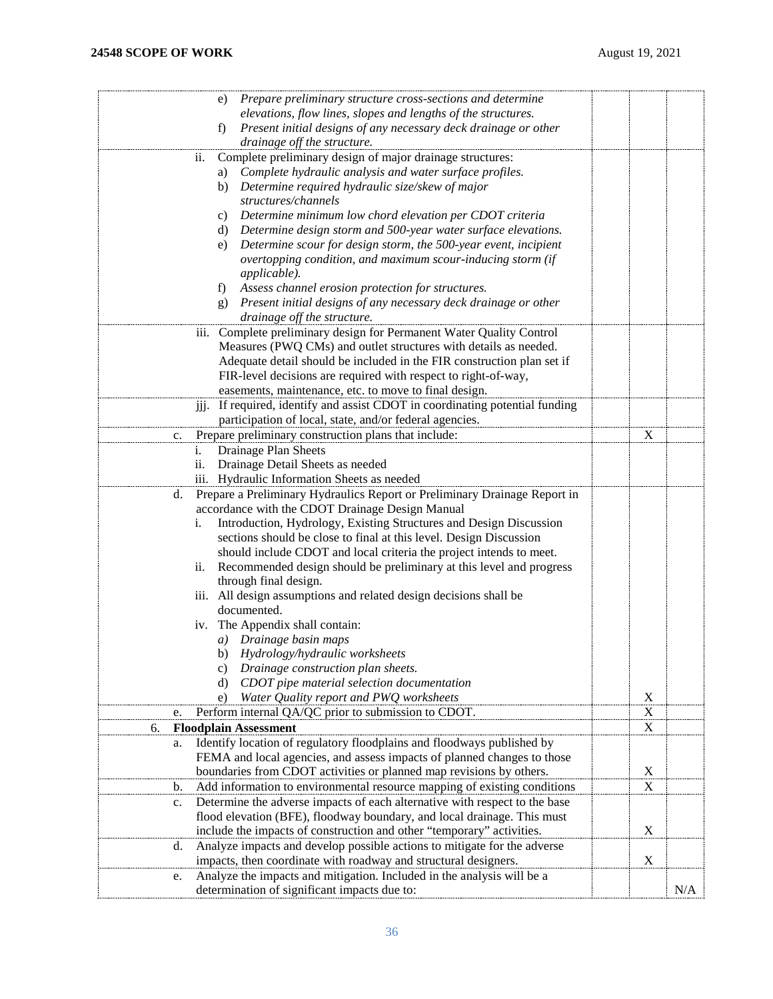| Prepare preliminary structure cross-sections and determine<br>e)                 |             |     |
|----------------------------------------------------------------------------------|-------------|-----|
| elevations, flow lines, slopes and lengths of the structures.                    |             |     |
| Present initial designs of any necessary deck drainage or other<br>f)            |             |     |
| drainage off the structure.                                                      |             |     |
| Complete preliminary design of major drainage structures:<br>ii.                 |             |     |
| Complete hydraulic analysis and water surface profiles.<br>a)                    |             |     |
| Determine required hydraulic size/skew of major<br>b)                            |             |     |
| structures/channels                                                              |             |     |
| Determine minimum low chord elevation per CDOT criteria<br>C)                    |             |     |
| d) Determine design storm and 500-year water surface elevations.                 |             |     |
| Determine scour for design storm, the 500-year event, incipient<br>e)            |             |     |
| overtopping condition, and maximum scour-inducing storm (if                      |             |     |
| applicable).                                                                     |             |     |
|                                                                                  |             |     |
| Assess channel erosion protection for structures.<br>f)                          |             |     |
| g) Present initial designs of any necessary deck drainage or other               |             |     |
| drainage off the structure.                                                      |             |     |
| iii. Complete preliminary design for Permanent Water Quality Control             |             |     |
| Measures (PWQ CMs) and outlet structures with details as needed.                 |             |     |
| Adequate detail should be included in the FIR construction plan set if           |             |     |
| FIR-level decisions are required with respect to right-of-way,                   |             |     |
| easements, maintenance, etc. to move to final design.                            |             |     |
| If required, identify and assist CDOT in coordinating potential funding<br>iii.  |             |     |
| participation of local, state, and/or federal agencies.                          |             |     |
| Prepare preliminary construction plans that include:<br>c.                       | X           |     |
| Drainage Plan Sheets<br>1.                                                       |             |     |
| Drainage Detail Sheets as needed<br>ii.                                          |             |     |
| iii. Hydraulic Information Sheets as needed                                      |             |     |
| Prepare a Preliminary Hydraulics Report or Preliminary Drainage Report in<br>d.  |             |     |
| accordance with the CDOT Drainage Design Manual                                  |             |     |
| Introduction, Hydrology, Existing Structures and Design Discussion<br>i.         |             |     |
| sections should be close to final at this level. Design Discussion               |             |     |
| should include CDOT and local criteria the project intends to meet.              |             |     |
| Recommended design should be preliminary at this level and progress<br>ii.       |             |     |
| through final design.                                                            |             |     |
| iii. All design assumptions and related design decisions shall be                |             |     |
| documented.                                                                      |             |     |
|                                                                                  |             |     |
| iv. The Appendix shall contain:                                                  |             |     |
| a) Drainage basin maps                                                           |             |     |
| b) Hydrology/hydraulic worksheets                                                |             |     |
| Drainage construction plan sheets.<br>C)                                         |             |     |
| CDOT pipe material selection documentation<br>d)                                 |             |     |
| Water Quality report and PWQ worksheets<br>e)                                    | $\mathbf X$ |     |
| Perform internal QA/QC prior to submission to CDOT.<br>e.                        | $\mathbf X$ |     |
| <b>Floodplain Assessment</b><br>6.                                               | X           |     |
| Identify location of regulatory floodplains and floodways published by<br>a.     |             |     |
| FEMA and local agencies, and assess impacts of planned changes to those          |             |     |
| boundaries from CDOT activities or planned map revisions by others.              | X           |     |
| Add information to environmental resource mapping of existing conditions<br>b.   | X           |     |
| Determine the adverse impacts of each alternative with respect to the base<br>c. |             |     |
| flood elevation (BFE), floodway boundary, and local drainage. This must          |             |     |
| include the impacts of construction and other "temporary" activities.            | X           |     |
| Analyze impacts and develop possible actions to mitigate for the adverse<br>d.   |             |     |
| impacts, then coordinate with roadway and structural designers.                  | X           |     |
| Analyze the impacts and mitigation. Included in the analysis will be a<br>e.     |             |     |
| determination of significant impacts due to:                                     |             | N/A |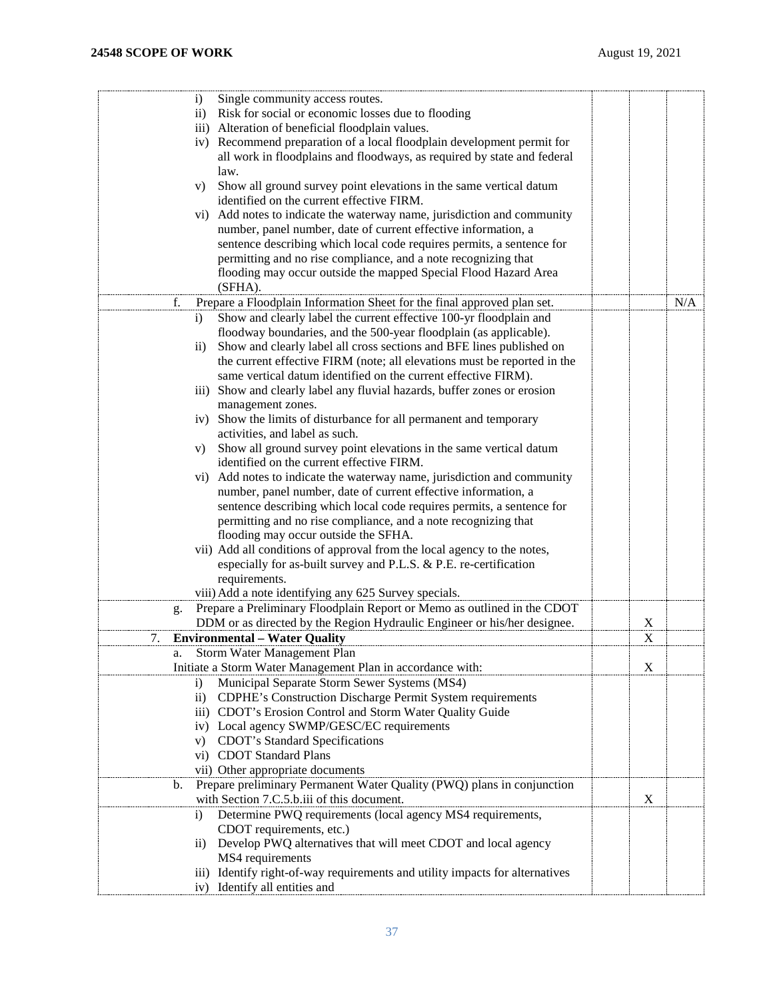| Single community access routes.<br>$\left( i\right)$                              |   |     |
|-----------------------------------------------------------------------------------|---|-----|
| ii) Risk for social or economic losses due to flooding                            |   |     |
| iii) Alteration of beneficial floodplain values.                                  |   |     |
| iv) Recommend preparation of a local floodplain development permit for            |   |     |
| all work in floodplains and floodways, as required by state and federal           |   |     |
| law.                                                                              |   |     |
| Show all ground survey point elevations in the same vertical datum<br>V)          |   |     |
| identified on the current effective FIRM.                                         |   |     |
| Add notes to indicate the waterway name, jurisdiction and community<br>$\rm{vi})$ |   |     |
| number, panel number, date of current effective information, a                    |   |     |
| sentence describing which local code requires permits, a sentence for             |   |     |
| permitting and no rise compliance, and a note recognizing that                    |   |     |
| flooding may occur outside the mapped Special Flood Hazard Area                   |   |     |
| (SFHA).                                                                           |   |     |
| Prepare a Floodplain Information Sheet for the final approved plan set.<br>f.     |   | N/A |
| Show and clearly label the current effective 100-yr floodplain and<br>i)          |   |     |
| floodway boundaries, and the 500-year floodplain (as applicable).                 |   |     |
| Show and clearly label all cross sections and BFE lines published on<br>$\rm ii)$ |   |     |
| the current effective FIRM (note; all elevations must be reported in the          |   |     |
| same vertical datum identified on the current effective FIRM).                    |   |     |
| iii) Show and clearly label any fluvial hazards, buffer zones or erosion          |   |     |
| management zones.                                                                 |   |     |
| iv) Show the limits of disturbance for all permanent and temporary                |   |     |
| activities, and label as such.                                                    |   |     |
| Show all ground survey point elevations in the same vertical datum<br>V)          |   |     |
| identified on the current effective FIRM.                                         |   |     |
| vi) Add notes to indicate the waterway name, jurisdiction and community           |   |     |
| number, panel number, date of current effective information, a                    |   |     |
| sentence describing which local code requires permits, a sentence for             |   |     |
| permitting and no rise compliance, and a note recognizing that                    |   |     |
| flooding may occur outside the SFHA.                                              |   |     |
| vii) Add all conditions of approval from the local agency to the notes,           |   |     |
| especially for as-built survey and P.L.S. & P.E. re-certification                 |   |     |
| requirements.                                                                     |   |     |
| viii) Add a note identifying any 625 Survey specials.                             |   |     |
| Prepare a Preliminary Floodplain Report or Memo as outlined in the CDOT<br>g.     |   |     |
| DDM or as directed by the Region Hydraulic Engineer or his/her designee.          | X |     |
| <b>Environmental - Water Quality</b><br>7.                                        | X |     |
| Storm Water Management Plan                                                       |   |     |
| Initiate a Storm Water Management Plan in accordance with:                        | X |     |
| Municipal Separate Storm Sewer Systems (MS4)<br>$\mathbf{i}$                      |   |     |
| CDPHE's Construction Discharge Permit System requirements<br>$\rm ii)$            |   |     |
| iii) CDOT's Erosion Control and Storm Water Quality Guide                         |   |     |
| iv) Local agency SWMP/GESC/EC requirements                                        |   |     |
| v) CDOT's Standard Specifications                                                 |   |     |
| vi) CDOT Standard Plans                                                           |   |     |
| vii) Other appropriate documents                                                  |   |     |
| Prepare preliminary Permanent Water Quality (PWQ) plans in conjunction<br>b.      |   |     |
| with Section 7.C.5.b.iii of this document.                                        | X |     |
| Determine PWQ requirements (local agency MS4 requirements,<br>$\mathbf{i}$        |   |     |
| CDOT requirements, etc.)                                                          |   |     |
| Develop PWQ alternatives that will meet CDOT and local agency<br>$\rm ii)$        |   |     |
| MS4 requirements                                                                  |   |     |
| iii) Identify right-of-way requirements and utility impacts for alternatives      |   |     |
| iv) Identify all entities and                                                     |   |     |
|                                                                                   |   |     |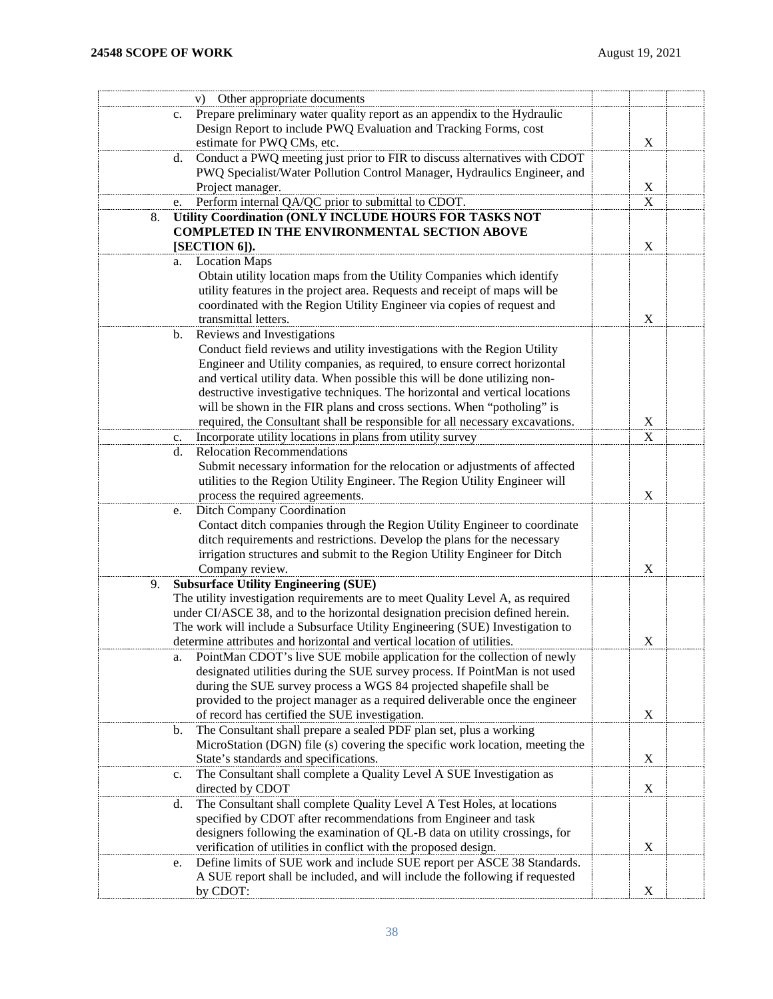|    | v) Other appropriate documents                                                             |                  |  |
|----|--------------------------------------------------------------------------------------------|------------------|--|
|    | Prepare preliminary water quality report as an appendix to the Hydraulic<br>$\mathbf{c}$ . |                  |  |
|    | Design Report to include PWQ Evaluation and Tracking Forms, cost                           |                  |  |
|    | estimate for PWQ CMs, etc.                                                                 | $\mathbf X$      |  |
|    | Conduct a PWQ meeting just prior to FIR to discuss alternatives with CDOT<br>d.            |                  |  |
|    | PWQ Specialist/Water Pollution Control Manager, Hydraulics Engineer, and                   |                  |  |
|    | Project manager.                                                                           | $\underline{X}$  |  |
|    | Perform internal QA/QC prior to submittal to CDOT.<br>e.                                   | X                |  |
| 8. | Utility Coordination (ONLY INCLUDE HOURS FOR TASKS NOT                                     |                  |  |
|    | <b>COMPLETED IN THE ENVIRONMENTAL SECTION ABOVE</b>                                        |                  |  |
|    | [SECTION 6]).                                                                              | $\mathbf X$      |  |
|    | <b>Location Maps</b><br>a.                                                                 |                  |  |
|    | Obtain utility location maps from the Utility Companies which identify                     |                  |  |
|    | utility features in the project area. Requests and receipt of maps will be                 |                  |  |
|    | coordinated with the Region Utility Engineer via copies of request and                     |                  |  |
|    | transmittal letters.                                                                       | $\mathbf X$      |  |
|    | Reviews and Investigations<br>b.                                                           |                  |  |
|    | Conduct field reviews and utility investigations with the Region Utility                   |                  |  |
|    | Engineer and Utility companies, as required, to ensure correct horizontal                  |                  |  |
|    | and vertical utility data. When possible this will be done utilizing non-                  |                  |  |
|    | destructive investigative techniques. The horizontal and vertical locations                |                  |  |
|    | will be shown in the FIR plans and cross sections. When "potholing" is                     |                  |  |
|    | required, the Consultant shall be responsible for all necessary excavations.               | $\boldsymbol{X}$ |  |
|    | Incorporate utility locations in plans from utility survey<br>c.                           | $\mathbf X$      |  |
|    | <b>Relocation Recommendations</b><br>d.                                                    |                  |  |
|    | Submit necessary information for the relocation or adjustments of affected                 |                  |  |
|    | utilities to the Region Utility Engineer. The Region Utility Engineer will                 |                  |  |
|    | process the required agreements.                                                           | $\mathbf X$      |  |
|    | Ditch Company Coordination<br>e.                                                           |                  |  |
|    | Contact ditch companies through the Region Utility Engineer to coordinate                  |                  |  |
|    | ditch requirements and restrictions. Develop the plans for the necessary                   |                  |  |
|    | irrigation structures and submit to the Region Utility Engineer for Ditch                  |                  |  |
|    | Company review.                                                                            | X                |  |
| 9. | <b>Subsurface Utility Engineering (SUE)</b>                                                |                  |  |
|    | The utility investigation requirements are to meet Quality Level A, as required            |                  |  |
|    | under CI/ASCE 38, and to the horizontal designation precision defined herein.              |                  |  |
|    | The work will include a Subsurface Utility Engineering (SUE) Investigation to              |                  |  |
|    | determine attributes and horizontal and vertical location of utilities.                    | X                |  |
|    | PointMan CDOT's live SUE mobile application for the collection of newly<br>a.              |                  |  |
|    | designated utilities during the SUE survey process. If PointMan is not used                |                  |  |
|    | during the SUE survey process a WGS 84 projected shapefile shall be                        |                  |  |
|    | provided to the project manager as a required deliverable once the engineer                |                  |  |
|    | of record has certified the SUE investigation.                                             | X                |  |
|    | The Consultant shall prepare a sealed PDF plan set, plus a working<br>b.                   |                  |  |
|    | MicroStation (DGN) file (s) covering the specific work location, meeting the               |                  |  |
|    | State's standards and specifications.                                                      | X                |  |
|    | The Consultant shall complete a Quality Level A SUE Investigation as<br>c.                 |                  |  |
|    | directed by CDOT                                                                           | X                |  |
|    | The Consultant shall complete Quality Level A Test Holes, at locations<br>d.               |                  |  |
|    | specified by CDOT after recommendations from Engineer and task                             |                  |  |
|    | designers following the examination of QL-B data on utility crossings, for                 |                  |  |
|    | verification of utilities in conflict with the proposed design.                            | X                |  |
|    | Define limits of SUE work and include SUE report per ASCE 38 Standards.<br>e.              |                  |  |
|    | A SUE report shall be included, and will include the following if requested                |                  |  |
|    | by CDOT:                                                                                   | X                |  |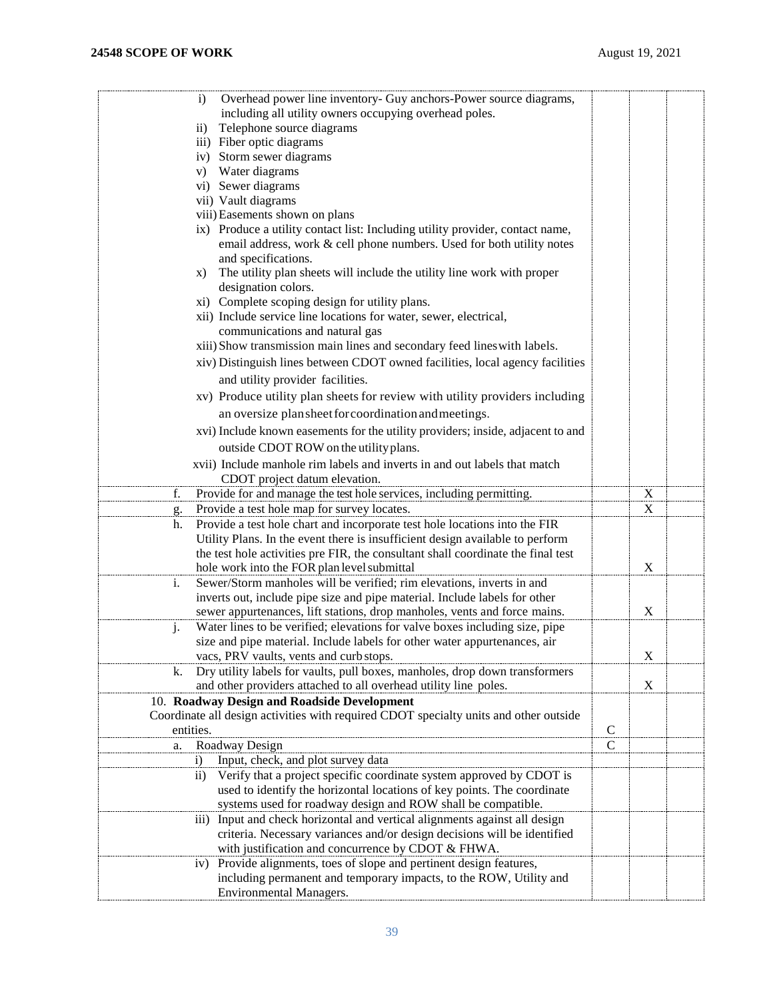| $\mathbf{i}$                                                                                |              |             |  |
|---------------------------------------------------------------------------------------------|--------------|-------------|--|
| Overhead power line inventory- Guy anchors-Power source diagrams,                           |              |             |  |
| including all utility owners occupying overhead poles.                                      |              |             |  |
| Telephone source diagrams<br>$\overline{11}$ )                                              |              |             |  |
| iii) Fiber optic diagrams                                                                   |              |             |  |
| iv) Storm sewer diagrams                                                                    |              |             |  |
| Water diagrams<br>V)                                                                        |              |             |  |
| vi) Sewer diagrams                                                                          |              |             |  |
| vii) Vault diagrams                                                                         |              |             |  |
| viii) Easements shown on plans                                                              |              |             |  |
| ix) Produce a utility contact list: Including utility provider, contact name,               |              |             |  |
| email address, work & cell phone numbers. Used for both utility notes                       |              |             |  |
| and specifications.                                                                         |              |             |  |
| The utility plan sheets will include the utility line work with proper<br>X)                |              |             |  |
| designation colors.                                                                         |              |             |  |
| xi) Complete scoping design for utility plans.                                              |              |             |  |
| xii) Include service line locations for water, sewer, electrical,                           |              |             |  |
| communications and natural gas                                                              |              |             |  |
| xiii) Show transmission main lines and secondary feed lines with labels.                    |              |             |  |
|                                                                                             |              |             |  |
| xiv) Distinguish lines between CDOT owned facilities, local agency facilities               |              |             |  |
| and utility provider facilities.                                                            |              |             |  |
| xv) Produce utility plan sheets for review with utility providers including                 |              |             |  |
| an oversize plan sheet for coordination and meetings.                                       |              |             |  |
|                                                                                             |              |             |  |
| xvi) Include known easements for the utility providers; inside, adjacent to and             |              |             |  |
| outside CDOT ROW on the utility plans.                                                      |              |             |  |
| xvii) Include manhole rim labels and inverts in and out labels that match                   |              |             |  |
| CDOT project datum elevation.                                                               |              |             |  |
| Provide for and manage the test hole services, including permitting.<br>f.                  |              | $\mathbf X$ |  |
| Provide a test hole map for survey locates.<br>g.                                           |              | X           |  |
| Provide a test hole chart and incorporate test hole locations into the FIR<br>h.            |              |             |  |
| Utility Plans. In the event there is insufficient design available to perform               |              |             |  |
|                                                                                             |              |             |  |
| the test hole activities pre FIR, the consultant shall coordinate the final test            |              | X           |  |
| hole work into the FOR plan level submittal                                                 |              |             |  |
| i.<br>Sewer/Storm manholes will be verified; rim elevations, inverts in and                 |              |             |  |
| inverts out, include pipe size and pipe material. Include labels for other                  |              |             |  |
| sewer appurtenances, lift stations, drop manholes, vents and force mains.                   |              | X           |  |
| Water lines to be verified; elevations for valve boxes including size, pipe<br>j.           |              |             |  |
| size and pipe material. Include labels for other water appurtenances, air                   |              |             |  |
| vacs, PRV vaults, vents and curb stops.                                                     |              | $\mathbf X$ |  |
| Dry utility labels for vaults, pull boxes, manholes, drop down transformers<br>k.           |              |             |  |
| and other providers attached to all overhead utility line poles.                            |              | X           |  |
| 10. Roadway Design and Roadside Development                                                 |              |             |  |
| Coordinate all design activities with required CDOT specialty units and other outside       |              |             |  |
| entities.                                                                                   | $\mathsf{C}$ |             |  |
| Roadway Design<br>a.                                                                        | C            |             |  |
| Input, check, and plot survey data<br>$\mathbf{i}$                                          |              |             |  |
| Verify that a project specific coordinate system approved by CDOT is<br>$\rm ii)$           |              |             |  |
| used to identify the horizontal locations of key points. The coordinate                     |              |             |  |
| systems used for roadway design and ROW shall be compatible.                                |              |             |  |
|                                                                                             |              |             |  |
| Input and check horizontal and vertical alignments against all design<br>$\overline{111}$ ) |              |             |  |
| criteria. Necessary variances and/or design decisions will be identified                    |              |             |  |
| with justification and concurrence by CDOT & FHWA.                                          |              |             |  |
| Provide alignments, toes of slope and pertinent design features,<br>iv)                     |              |             |  |
| including permanent and temporary impacts, to the ROW, Utility and                          |              |             |  |
| <b>Environmental Managers.</b>                                                              |              |             |  |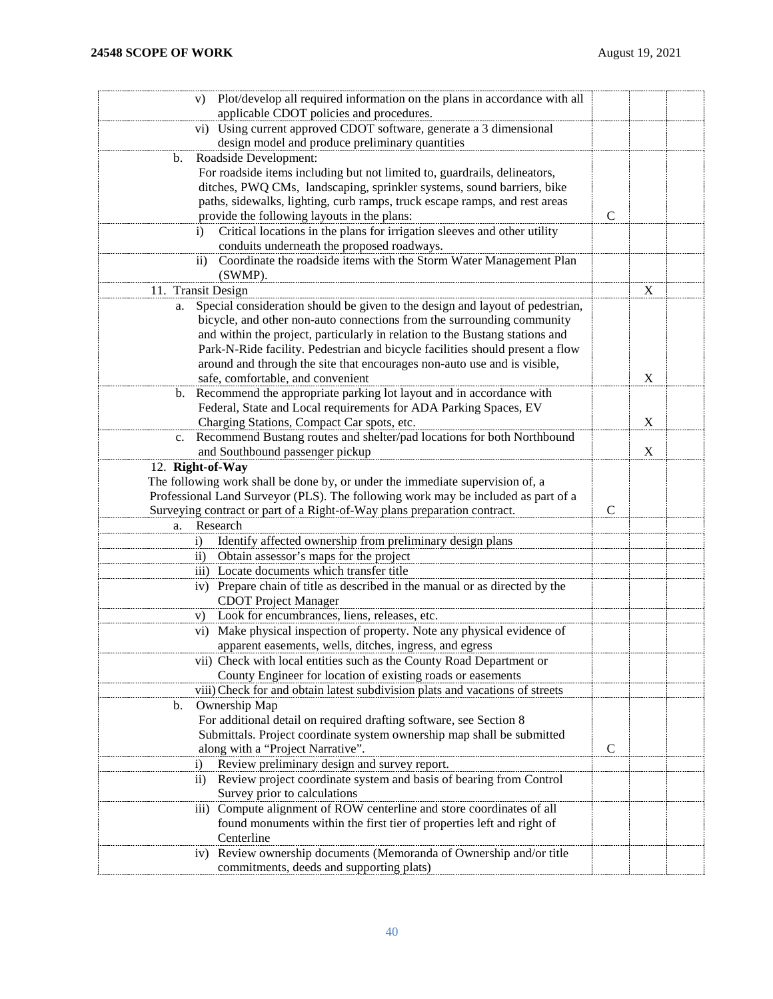| Plot/develop all required information on the plans in accordance with all<br>V)<br>applicable CDOT policies and procedures. |               |   |  |
|-----------------------------------------------------------------------------------------------------------------------------|---------------|---|--|
| Using current approved CDOT software, generate a 3 dimensional<br>$\rm vi)$                                                 |               |   |  |
| design model and produce preliminary quantities                                                                             |               |   |  |
| Roadside Development:<br>b.                                                                                                 |               |   |  |
| For roadside items including but not limited to, guardrails, delineators,                                                   |               |   |  |
| ditches, PWQ CMs, landscaping, sprinkler systems, sound barriers, bike                                                      |               |   |  |
| paths, sidewalks, lighting, curb ramps, truck escape ramps, and rest areas                                                  |               |   |  |
| provide the following layouts in the plans:                                                                                 | $\mathcal{C}$ |   |  |
| Critical locations in the plans for irrigation sleeves and other utility<br>$\mathbf{i}$                                    |               |   |  |
| conduits underneath the proposed roadways.                                                                                  |               |   |  |
| Coordinate the roadside items with the Storm Water Management Plan<br>$\rm ii)$                                             |               |   |  |
| (SWMP).                                                                                                                     |               |   |  |
| 11. Transit Design                                                                                                          |               | X |  |
| Special consideration should be given to the design and layout of pedestrian,<br>a.                                         |               |   |  |
| bicycle, and other non-auto connections from the surrounding community                                                      |               |   |  |
| and within the project, particularly in relation to the Bustang stations and                                                |               |   |  |
| Park-N-Ride facility. Pedestrian and bicycle facilities should present a flow                                               |               |   |  |
| around and through the site that encourages non-auto use and is visible,                                                    |               |   |  |
| safe, comfortable, and convenient                                                                                           |               | X |  |
| Recommend the appropriate parking lot layout and in accordance with<br>b.                                                   |               |   |  |
| Federal, State and Local requirements for ADA Parking Spaces, EV                                                            |               |   |  |
| Charging Stations, Compact Car spots, etc.                                                                                  |               | X |  |
| Recommend Bustang routes and shelter/pad locations for both Northbound<br>$c_{\cdot}$                                       |               |   |  |
| and Southbound passenger pickup                                                                                             |               | X |  |
| 12. Right-of-Way                                                                                                            |               |   |  |
| The following work shall be done by, or under the immediate supervision of, a                                               |               |   |  |
| Professional Land Surveyor (PLS). The following work may be included as part of a                                           |               |   |  |
| Surveying contract or part of a Right-of-Way plans preparation contract.                                                    | $\mathcal{C}$ |   |  |
| Research<br>a.                                                                                                              |               |   |  |
| Identify affected ownership from preliminary design plans<br>$\ddot{1}$                                                     |               |   |  |
| Obtain assessor's maps for the project<br>$\rm ii)$                                                                         |               |   |  |
| iii) Locate documents which transfer title                                                                                  |               |   |  |
| iv) Prepare chain of title as described in the manual or as directed by the                                                 |               |   |  |
| <b>CDOT</b> Project Manager                                                                                                 |               |   |  |
| Look for encumbrances, liens, releases, etc.<br>V)                                                                          |               |   |  |
| vi) Make physical inspection of property. Note any physical evidence of                                                     |               |   |  |
| apparent easements, wells, ditches, ingress, and egress                                                                     |               |   |  |
| vii) Check with local entities such as the County Road Department or                                                        |               |   |  |
| County Engineer for location of existing roads or easements                                                                 |               |   |  |
| viii) Check for and obtain latest subdivision plats and vacations of streets                                                |               |   |  |
| Ownership Map<br>b.                                                                                                         |               |   |  |
| For additional detail on required drafting software, see Section 8                                                          |               |   |  |
| Submittals. Project coordinate system ownership map shall be submitted                                                      |               |   |  |
| along with a "Project Narrative".                                                                                           | $\mathcal{C}$ |   |  |
| Review preliminary design and survey report.<br>$\mathbf{i}$                                                                |               |   |  |
| Review project coordinate system and basis of bearing from Control<br>$\rm ii)$                                             |               |   |  |
| Survey prior to calculations                                                                                                |               |   |  |
| Compute alignment of ROW centerline and store coordinates of all<br>$\overline{111}$ )                                      |               |   |  |
| found monuments within the first tier of properties left and right of                                                       |               |   |  |
| Centerline                                                                                                                  |               |   |  |
| Review ownership documents (Memoranda of Ownership and/or title<br>iv)                                                      |               |   |  |
| commitments, deeds and supporting plats)                                                                                    |               |   |  |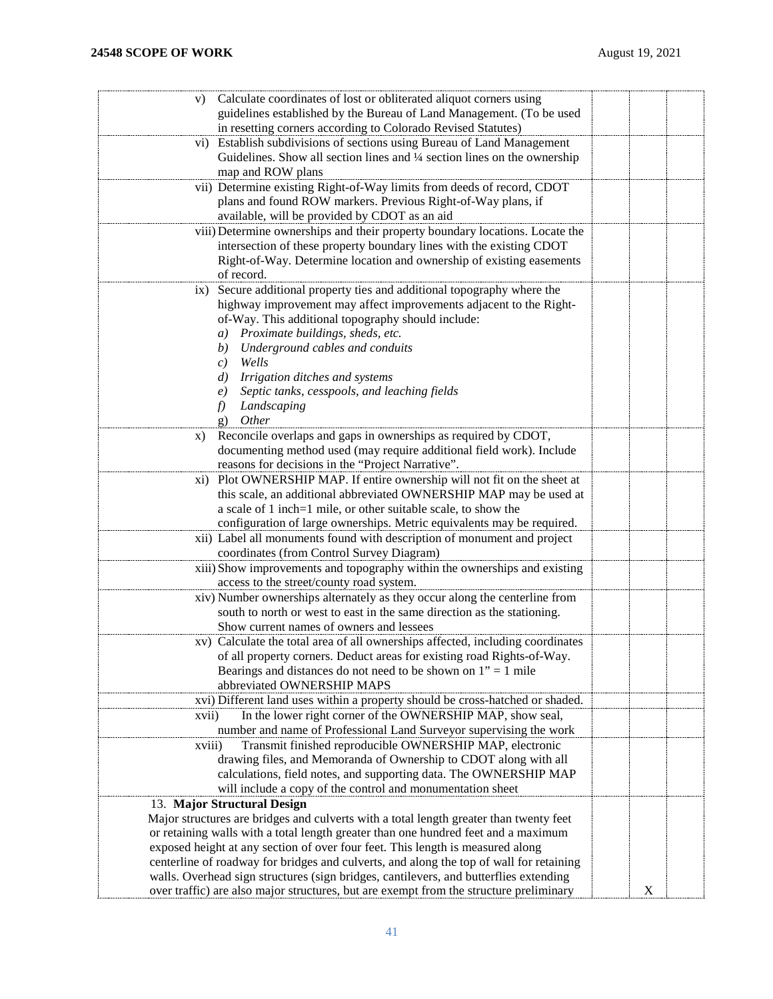| Calculate coordinates of lost or obliterated aliquot corners using<br>V)                                                                     |   |  |
|----------------------------------------------------------------------------------------------------------------------------------------------|---|--|
| guidelines established by the Bureau of Land Management. (To be used                                                                         |   |  |
| in resetting corners according to Colorado Revised Statutes)                                                                                 |   |  |
| Establish subdivisions of sections using Bureau of Land Management<br>$\rm vi)$                                                              |   |  |
| Guidelines. Show all section lines and 1/4 section lines on the ownership                                                                    |   |  |
| map and ROW plans                                                                                                                            |   |  |
| vii) Determine existing Right-of-Way limits from deeds of record, CDOT                                                                       |   |  |
| plans and found ROW markers. Previous Right-of-Way plans, if                                                                                 |   |  |
| available, will be provided by CDOT as an aid                                                                                                |   |  |
| viii) Determine ownerships and their property boundary locations. Locate the                                                                 |   |  |
| intersection of these property boundary lines with the existing CDOT                                                                         |   |  |
| Right-of-Way. Determine location and ownership of existing easements                                                                         |   |  |
| of record.                                                                                                                                   |   |  |
| Secure additional property ties and additional topography where the<br>ix)                                                                   |   |  |
| highway improvement may affect improvements adjacent to the Right-                                                                           |   |  |
| of-Way. This additional topography should include:                                                                                           |   |  |
| a) Proximate buildings, sheds, etc.                                                                                                          |   |  |
| b) Underground cables and conduits                                                                                                           |   |  |
| Wells<br>c)                                                                                                                                  |   |  |
| Irrigation ditches and systems<br>d)                                                                                                         |   |  |
| Septic tanks, cesspools, and leaching fields<br>e)                                                                                           |   |  |
| Landscaping<br>f)                                                                                                                            |   |  |
| <i>Other</i><br>g)                                                                                                                           |   |  |
| Reconcile overlaps and gaps in ownerships as required by CDOT,<br>X)<br>documenting method used (may require additional field work). Include |   |  |
| reasons for decisions in the "Project Narrative".                                                                                            |   |  |
| xi) Plot OWNERSHIP MAP. If entire ownership will not fit on the sheet at                                                                     |   |  |
| this scale, an additional abbreviated OWNERSHIP MAP may be used at                                                                           |   |  |
| a scale of 1 inch=1 mile, or other suitable scale, to show the                                                                               |   |  |
| configuration of large ownerships. Metric equivalents may be required.                                                                       |   |  |
| xii) Label all monuments found with description of monument and project                                                                      |   |  |
| coordinates (from Control Survey Diagram)                                                                                                    |   |  |
| xiii) Show improvements and topography within the ownerships and existing                                                                    |   |  |
| access to the street/county road system.                                                                                                     |   |  |
| xiv) Number ownerships alternately as they occur along the centerline from                                                                   |   |  |
| south to north or west to east in the same direction as the stationing.                                                                      |   |  |
| Show current names of owners and lessees                                                                                                     |   |  |
| xv) Calculate the total area of all ownerships affected, including coordinates                                                               |   |  |
| of all property corners. Deduct areas for existing road Rights-of-Way.                                                                       |   |  |
| Bearings and distances do not need to be shown on $1" = 1$ mile                                                                              |   |  |
| abbreviated OWNERSHIP MAPS                                                                                                                   |   |  |
| xvi) Different land uses within a property should be cross-hatched or shaded.                                                                |   |  |
| In the lower right corner of the OWNERSHIP MAP, show seal,<br>xvii)                                                                          |   |  |
| number and name of Professional Land Surveyor supervising the work                                                                           |   |  |
| Transmit finished reproducible OWNERSHIP MAP, electronic<br>xviii)                                                                           |   |  |
| drawing files, and Memoranda of Ownership to CDOT along with all                                                                             |   |  |
| calculations, field notes, and supporting data. The OWNERSHIP MAP                                                                            |   |  |
| will include a copy of the control and monumentation sheet                                                                                   |   |  |
| 13. Major Structural Design                                                                                                                  |   |  |
| Major structures are bridges and culverts with a total length greater than twenty feet                                                       |   |  |
| or retaining walls with a total length greater than one hundred feet and a maximum                                                           |   |  |
| exposed height at any section of over four feet. This length is measured along                                                               |   |  |
| centerline of roadway for bridges and culverts, and along the top of wall for retaining                                                      |   |  |
| walls. Overhead sign structures (sign bridges, cantilevers, and butterflies extending                                                        |   |  |
| over traffic) are also major structures, but are exempt from the structure preliminary                                                       | X |  |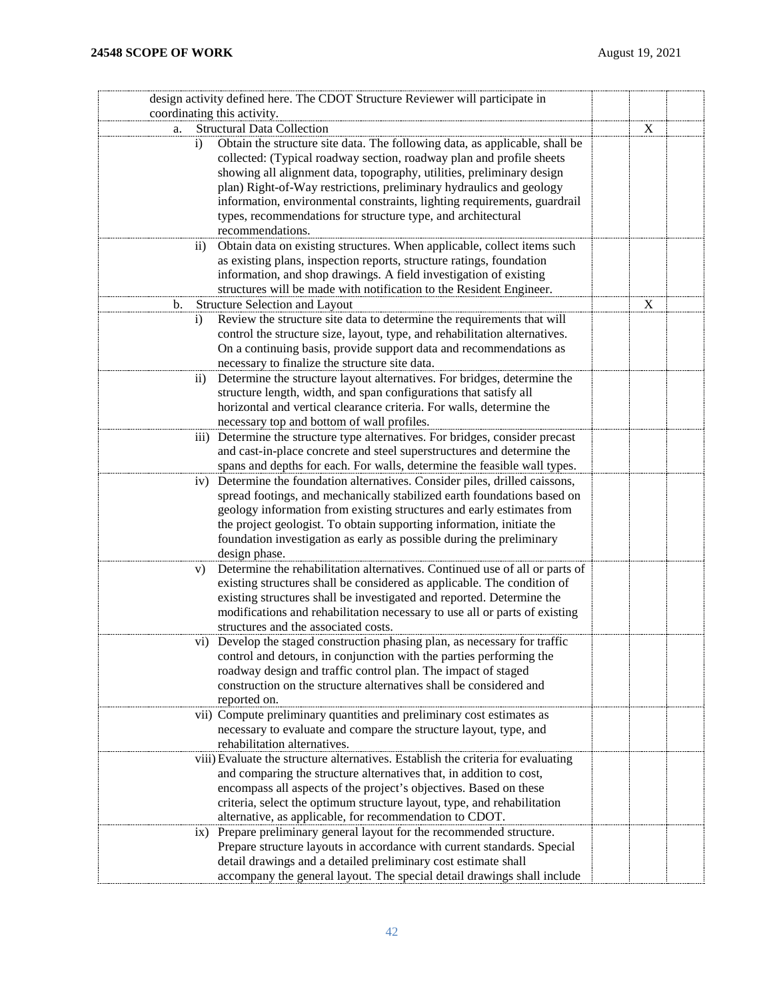| design activity defined here. The CDOT Structure Reviewer will participate in<br>coordinating this activity. |             |  |
|--------------------------------------------------------------------------------------------------------------|-------------|--|
| <b>Structural Data Collection</b>                                                                            |             |  |
| a.                                                                                                           | X           |  |
| Obtain the structure site data. The following data, as applicable, shall be<br>$\mathbf{i}$                  |             |  |
| collected: (Typical roadway section, roadway plan and profile sheets                                         |             |  |
| showing all alignment data, topography, utilities, preliminary design                                        |             |  |
| plan) Right-of-Way restrictions, preliminary hydraulics and geology                                          |             |  |
| information, environmental constraints, lighting requirements, guardrail                                     |             |  |
| types, recommendations for structure type, and architectural                                                 |             |  |
| recommendations.                                                                                             |             |  |
| Obtain data on existing structures. When applicable, collect items such<br>$\rm ii)$                         |             |  |
| as existing plans, inspection reports, structure ratings, foundation                                         |             |  |
| information, and shop drawings. A field investigation of existing                                            |             |  |
| structures will be made with notification to the Resident Engineer.                                          |             |  |
| Structure Selection and Layout<br>b.                                                                         | $\mathbf X$ |  |
| Review the structure site data to determine the requirements that will<br>$\mathbf{i}$                       |             |  |
| control the structure size, layout, type, and rehabilitation alternatives.                                   |             |  |
| On a continuing basis, provide support data and recommendations as                                           |             |  |
| necessary to finalize the structure site data.                                                               |             |  |
| Determine the structure layout alternatives. For bridges, determine the<br>$\overline{11}$                   |             |  |
| structure length, width, and span configurations that satisfy all                                            |             |  |
| horizontal and vertical clearance criteria. For walls, determine the                                         |             |  |
| necessary top and bottom of wall profiles.                                                                   |             |  |
| iii) Determine the structure type alternatives. For bridges, consider precast                                |             |  |
| and cast-in-place concrete and steel superstructures and determine the                                       |             |  |
| spans and depths for each. For walls, determine the feasible wall types.                                     |             |  |
| iv) Determine the foundation alternatives. Consider piles, drilled caissons,                                 |             |  |
| spread footings, and mechanically stabilized earth foundations based on                                      |             |  |
| geology information from existing structures and early estimates from                                        |             |  |
| the project geologist. To obtain supporting information, initiate the                                        |             |  |
| foundation investigation as early as possible during the preliminary                                         |             |  |
| design phase.                                                                                                |             |  |
| Determine the rehabilitation alternatives. Continued use of all or parts of<br>V)                            |             |  |
| existing structures shall be considered as applicable. The condition of                                      |             |  |
| existing structures shall be investigated and reported. Determine the                                        |             |  |
| modifications and rehabilitation necessary to use all or parts of existing                                   |             |  |
| structures and the associated costs.                                                                         |             |  |
| vi) Develop the staged construction phasing plan, as necessary for traffic                                   |             |  |
| control and detours, in conjunction with the parties performing the                                          |             |  |
| roadway design and traffic control plan. The impact of staged                                                |             |  |
| construction on the structure alternatives shall be considered and                                           |             |  |
| reported on.                                                                                                 |             |  |
| vii) Compute preliminary quantities and preliminary cost estimates as                                        |             |  |
| necessary to evaluate and compare the structure layout, type, and                                            |             |  |
| rehabilitation alternatives.                                                                                 |             |  |
| viii) Evaluate the structure alternatives. Establish the criteria for evaluating                             |             |  |
| and comparing the structure alternatives that, in addition to cost,                                          |             |  |
| encompass all aspects of the project's objectives. Based on these                                            |             |  |
| criteria, select the optimum structure layout, type, and rehabilitation                                      |             |  |
| alternative, as applicable, for recommendation to CDOT.                                                      |             |  |
| Prepare preliminary general layout for the recommended structure.<br>$\overline{1}X$ )                       |             |  |
| Prepare structure layouts in accordance with current standards. Special                                      |             |  |
| detail drawings and a detailed preliminary cost estimate shall                                               |             |  |
| accompany the general layout. The special detail drawings shall include                                      |             |  |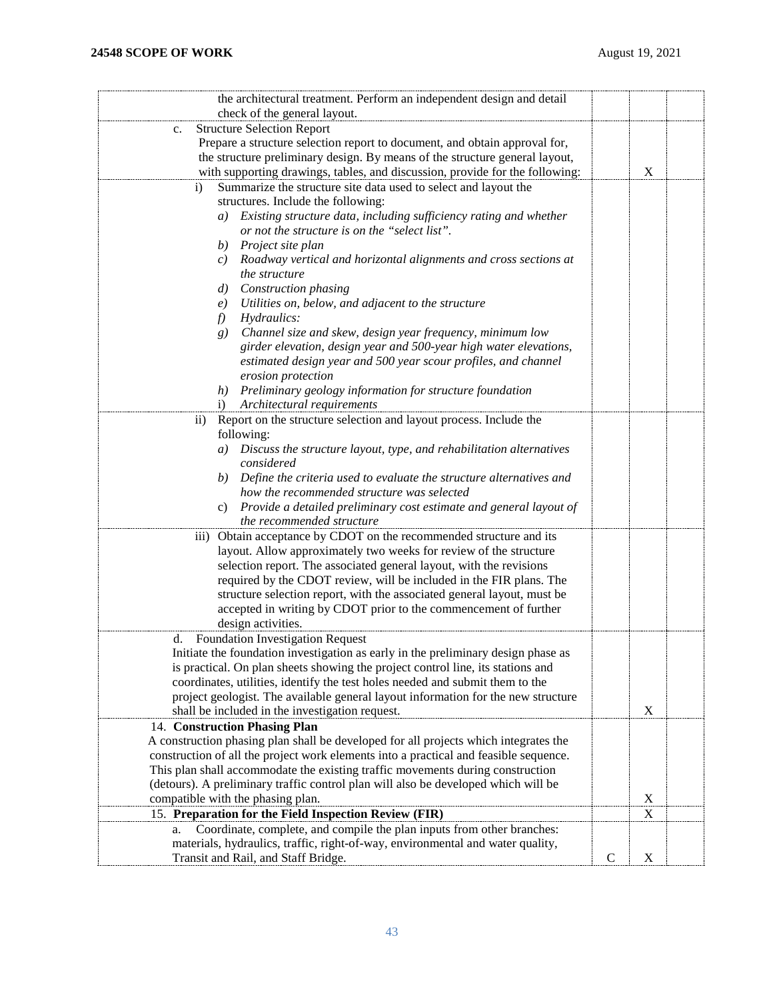| the architectural treatment. Perform an independent design and detail                 |               |             |  |
|---------------------------------------------------------------------------------------|---------------|-------------|--|
| check of the general layout.                                                          |               |             |  |
| <b>Structure Selection Report</b><br>$\mathbf{c}$ .                                   |               |             |  |
| Prepare a structure selection report to document, and obtain approval for,            |               |             |  |
| the structure preliminary design. By means of the structure general layout,           |               |             |  |
| with supporting drawings, tables, and discussion, provide for the following:          |               | $\mathbf X$ |  |
| Summarize the structure site data used to select and layout the<br>$\mathbf{i}$       |               |             |  |
| structures. Include the following:                                                    |               |             |  |
| a) Existing structure data, including sufficiency rating and whether                  |               |             |  |
| or not the structure is on the "select list".                                         |               |             |  |
| b) Project site plan                                                                  |               |             |  |
| c) Roadway vertical and horizontal alignments and cross sections at                   |               |             |  |
| the structure                                                                         |               |             |  |
| Construction phasing<br>d)                                                            |               |             |  |
| Utilities on, below, and adjacent to the structure<br>e)                              |               |             |  |
| Hydraulics:<br>$f$ )                                                                  |               |             |  |
| Channel size and skew, design year frequency, minimum low<br>g)                       |               |             |  |
| girder elevation, design year and 500-year high water elevations,                     |               |             |  |
| estimated design year and 500 year scour profiles, and channel                        |               |             |  |
| erosion protection                                                                    |               |             |  |
| h) Preliminary geology information for structure foundation                           |               |             |  |
| i) Architectural requirements                                                         |               |             |  |
| Report on the structure selection and layout process. Include the<br>$\overline{ii}$  |               |             |  |
| following:                                                                            |               |             |  |
| a) Discuss the structure layout, type, and rehabilitation alternatives                |               |             |  |
| considered                                                                            |               |             |  |
| b) Define the criteria used to evaluate the structure alternatives and                |               |             |  |
| how the recommended structure was selected                                            |               |             |  |
| Provide a detailed preliminary cost estimate and general layout of<br>C)              |               |             |  |
| the recommended structure                                                             |               |             |  |
| iii) Obtain acceptance by CDOT on the recommended structure and its                   |               |             |  |
| layout. Allow approximately two weeks for review of the structure                     |               |             |  |
| selection report. The associated general layout, with the revisions                   |               |             |  |
|                                                                                       |               |             |  |
| required by the CDOT review, will be included in the FIR plans. The                   |               |             |  |
| structure selection report, with the associated general layout, must be               |               |             |  |
| accepted in writing by CDOT prior to the commencement of further                      |               |             |  |
| design activities.                                                                    |               |             |  |
| <b>Foundation Investigation Request</b><br>d.                                         |               |             |  |
| Initiate the foundation investigation as early in the preliminary design phase as     |               |             |  |
| is practical. On plan sheets showing the project control line, its stations and       |               |             |  |
| coordinates, utilities, identify the test holes needed and submit them to the         |               |             |  |
| project geologist. The available general layout information for the new structure     |               |             |  |
| shall be included in the investigation request.                                       |               | X           |  |
| 14. Construction Phasing Plan                                                         |               |             |  |
| A construction phasing plan shall be developed for all projects which integrates the  |               |             |  |
| construction of all the project work elements into a practical and feasible sequence. |               |             |  |
| This plan shall accommodate the existing traffic movements during construction        |               |             |  |
| (detours). A preliminary traffic control plan will also be developed which will be    |               |             |  |
| compatible with the phasing plan.                                                     |               | $\mathbf X$ |  |
| 15. Preparation for the Field Inspection Review (FIR)                                 |               | X           |  |
| Coordinate, complete, and compile the plan inputs from other branches:<br>a.          |               |             |  |
| materials, hydraulics, traffic, right-of-way, environmental and water quality,        |               |             |  |
| Transit and Rail, and Staff Bridge.                                                   | $\mathcal{C}$ | X           |  |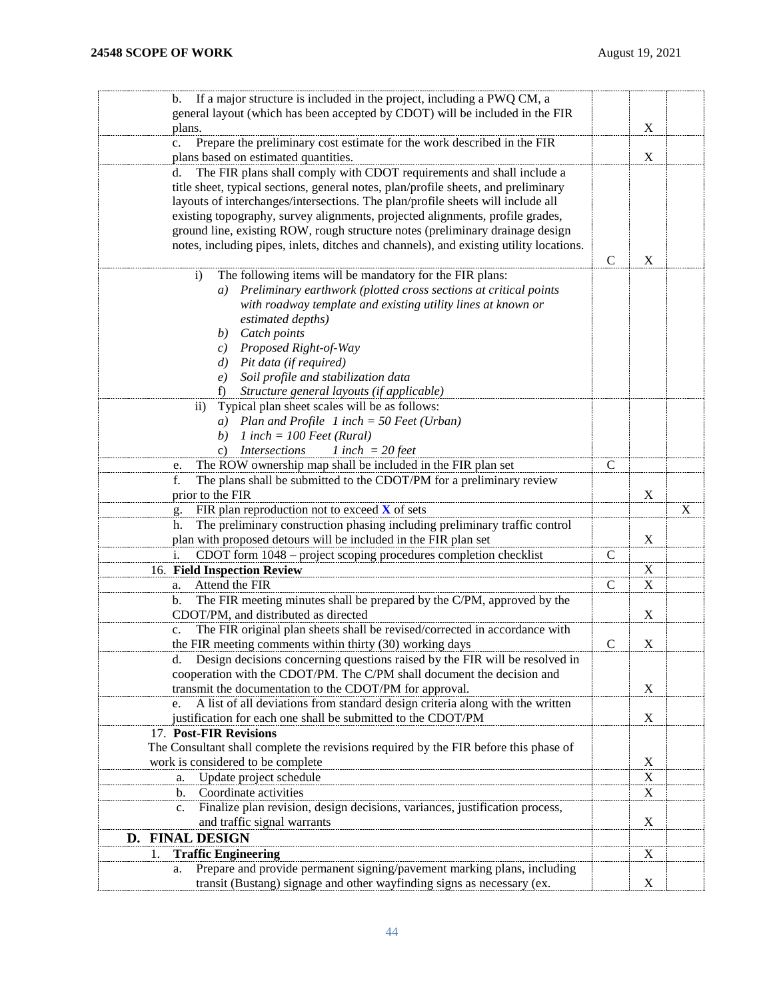<span id="page-43-0"></span>

| If a major structure is included in the project, including a PWQ CM, a<br>b.                                                                                            |               |             |             |
|-------------------------------------------------------------------------------------------------------------------------------------------------------------------------|---------------|-------------|-------------|
| general layout (which has been accepted by CDOT) will be included in the FIR                                                                                            |               |             |             |
| plans.                                                                                                                                                                  |               | X           |             |
| Prepare the preliminary cost estimate for the work described in the FIR<br>c.                                                                                           |               |             |             |
| plans based on estimated quantities.                                                                                                                                    |               | $\mathbf X$ |             |
| The FIR plans shall comply with CDOT requirements and shall include a<br>d.                                                                                             |               |             |             |
| title sheet, typical sections, general notes, plan/profile sheets, and preliminary                                                                                      |               |             |             |
| layouts of interchanges/intersections. The plan/profile sheets will include all                                                                                         |               |             |             |
| existing topography, survey alignments, projected alignments, profile grades,                                                                                           |               |             |             |
| ground line, existing ROW, rough structure notes (preliminary drainage design<br>notes, including pipes, inlets, ditches and channels), and existing utility locations. |               |             |             |
|                                                                                                                                                                         | $\mathbf C$   | $\mathbf X$ |             |
| The following items will be mandatory for the FIR plans:<br>$\ddot{\mathbf{i}}$                                                                                         |               |             |             |
| Preliminary earthwork (plotted cross sections at critical points<br>a)                                                                                                  |               |             |             |
| with roadway template and existing utility lines at known or                                                                                                            |               |             |             |
| estimated depths)                                                                                                                                                       |               |             |             |
| Catch points<br>b)                                                                                                                                                      |               |             |             |
| Proposed Right-of-Way<br>c)                                                                                                                                             |               |             |             |
| d) Pit data (if required)                                                                                                                                               |               |             |             |
| Soil profile and stabilization data<br>e)                                                                                                                               |               |             |             |
| Structure general layouts (if applicable)<br>f)                                                                                                                         |               |             |             |
| Typical plan sheet scales will be as follows:<br>$\overline{11}$                                                                                                        |               |             |             |
| a) Plan and Profile 1 inch = 50 Feet (Urban)                                                                                                                            |               |             |             |
| 1 inch = $100$ Feet (Rural)<br>b)                                                                                                                                       |               |             |             |
| <b>Intersections</b><br>1 inch = $20$ feet<br>c)                                                                                                                        |               |             |             |
| The ROW ownership map shall be included in the FIR plan set<br>e.                                                                                                       | $\mathbf C$   |             |             |
| f.<br>The plans shall be submitted to the CDOT/PM for a preliminary review                                                                                              |               |             |             |
|                                                                                                                                                                         |               |             |             |
| prior to the FIR                                                                                                                                                        |               | $\mathbf X$ |             |
| FIR plan reproduction not to exceed $\bf{X}$ of sets<br>g.                                                                                                              |               |             | $\mathbf X$ |
| The preliminary construction phasing including preliminary traffic control<br>h.                                                                                        |               |             |             |
| plan with proposed detours will be included in the FIR plan set                                                                                                         |               | X           |             |
| CDOT form 1048 – project scoping procedures completion checklist<br>i.                                                                                                  | $\mathbf C$   |             |             |
| 16. Field Inspection Review                                                                                                                                             |               | $\mathbf X$ |             |
| Attend the FIR<br>a.                                                                                                                                                    | $\mathsf{C}$  | $\mathbf X$ |             |
| The FIR meeting minutes shall be prepared by the C/PM, approved by the<br>b.                                                                                            |               |             |             |
| CDOT/PM, and distributed as directed                                                                                                                                    |               | $\mathbf X$ |             |
| The FIR original plan sheets shall be revised/corrected in accordance with<br>c.                                                                                        |               |             |             |
| the FIR meeting comments within thirty (30) working days                                                                                                                | $\mathcal{C}$ | X           |             |
| Design decisions concerning questions raised by the FIR will be resolved in<br>d.                                                                                       |               |             |             |
| cooperation with the CDOT/PM. The C/PM shall document the decision and                                                                                                  |               |             |             |
| transmit the documentation to the CDOT/PM for approval.                                                                                                                 |               | X           |             |
| A list of all deviations from standard design criteria along with the written<br>e.                                                                                     |               |             |             |
| justification for each one shall be submitted to the CDOT/PM                                                                                                            |               | $\mathbf X$ |             |
| 17. Post-FIR Revisions                                                                                                                                                  |               |             |             |
| The Consultant shall complete the revisions required by the FIR before this phase of                                                                                    |               |             |             |
| work is considered to be complete                                                                                                                                       |               | $\mathbf X$ |             |
| Update project schedule<br>a.                                                                                                                                           |               | $\mathbf X$ |             |
| Coordinate activities<br>b.                                                                                                                                             |               | $\mathbf X$ |             |
| Finalize plan revision, design decisions, variances, justification process,<br>c.                                                                                       |               |             |             |
| and traffic signal warrants                                                                                                                                             |               | $\mathbf X$ |             |
| D. FINAL DESIGN                                                                                                                                                         |               |             |             |
| <b>Traffic Engineering</b><br>1.<br>Prepare and provide permanent signing/pavement marking plans, including<br>a.                                                       |               | X           |             |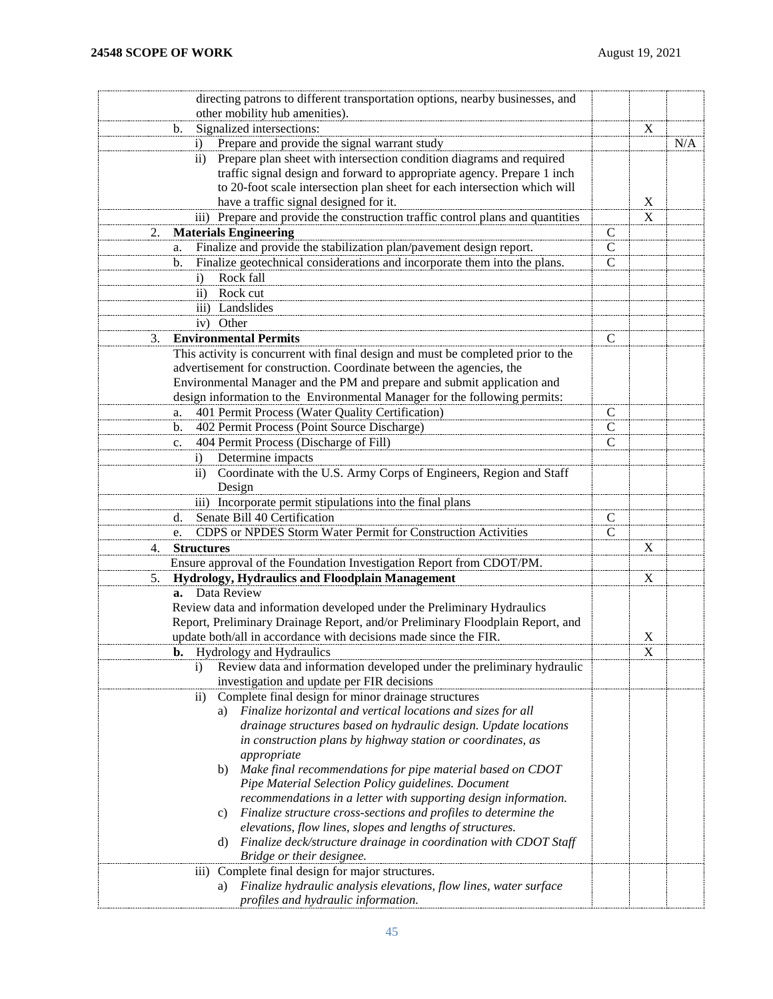| directing patrons to different transportation options, nearby businesses, and                                                          |               |             |     |
|----------------------------------------------------------------------------------------------------------------------------------------|---------------|-------------|-----|
| other mobility hub amenities).                                                                                                         |               |             |     |
| Signalized intersections:<br>b.                                                                                                        |               | X           |     |
| Prepare and provide the signal warrant study<br>$\left( i\right)$                                                                      |               |             | N/A |
| Prepare plan sheet with intersection condition diagrams and required<br>$\rm ii)$                                                      |               |             |     |
| traffic signal design and forward to appropriate agency. Prepare 1 inch                                                                |               |             |     |
| to 20-foot scale intersection plan sheet for each intersection which will                                                              |               |             |     |
| have a traffic signal designed for it.                                                                                                 |               | $\mathbf X$ |     |
| iii) Prepare and provide the construction traffic control plans and quantities                                                         |               | X           |     |
| <b>Materials Engineering</b><br>2.                                                                                                     | $\mathbf C$   |             |     |
| Finalize and provide the stabilization plan/pavement design report.<br>a.                                                              | $\mathbf C$   |             |     |
| Finalize geotechnical considerations and incorporate them into the plans.<br>b.                                                        | $\mathsf{C}$  |             |     |
| Rock fall<br>$\mathbf{i}$                                                                                                              |               |             |     |
| Rock cut<br>$\rm ii)$                                                                                                                  |               |             |     |
| iii) Landslides                                                                                                                        |               |             |     |
| iv) Other                                                                                                                              |               |             |     |
| <b>Environmental Permits</b><br>3.                                                                                                     | $\mathcal{C}$ |             |     |
| This activity is concurrent with final design and must be completed prior to the                                                       |               |             |     |
| advertisement for construction. Coordinate between the agencies, the                                                                   |               |             |     |
| Environmental Manager and the PM and prepare and submit application and                                                                |               |             |     |
| design information to the Environmental Manager for the following permits:                                                             |               |             |     |
| 401 Permit Process (Water Quality Certification)<br>a.                                                                                 | $\mathsf{C}$  |             |     |
| 402 Permit Process (Point Source Discharge)<br>b.                                                                                      | $\mathsf{C}$  |             |     |
| 404 Permit Process (Discharge of Fill)<br>c.                                                                                           | $\mathsf{C}$  |             |     |
| Determine impacts<br>$\left( i\right)$                                                                                                 |               |             |     |
| Coordinate with the U.S. Army Corps of Engineers, Region and Staff<br>$\overline{11}$                                                  |               |             |     |
| Design                                                                                                                                 |               |             |     |
| iii) Incorporate permit stipulations into the final plans                                                                              |               |             |     |
| Senate Bill 40 Certification<br>d.                                                                                                     | C             |             |     |
| CDPS or NPDES Storm Water Permit for Construction Activities<br>e.                                                                     | $\mathcal{C}$ |             |     |
| <b>Structures</b><br>4.                                                                                                                |               | X           |     |
| Ensure approval of the Foundation Investigation Report from CDOT/PM.                                                                   |               |             |     |
| Hydrology, Hydraulics and Floodplain Management<br>5.                                                                                  |               | X           |     |
| a. Data Review                                                                                                                         |               |             |     |
| Review data and information developed under the Preliminary Hydraulics                                                                 |               |             |     |
| Report, Preliminary Drainage Report, and/or Preliminary Floodplain Report, and                                                         |               |             |     |
| update both/all in accordance with decisions made since the FIR.                                                                       |               | X           |     |
| <b>b.</b> Hydrology and Hydraulics                                                                                                     |               | X           |     |
| Review data and information developed under the preliminary hydraulic<br>$\mathbf{i}$                                                  |               |             |     |
| investigation and update per FIR decisions                                                                                             |               |             |     |
| Complete final design for minor drainage structures<br>$\rm ii)$<br>Finalize horizontal and vertical locations and sizes for all<br>a) |               |             |     |
| drainage structures based on hydraulic design. Update locations                                                                        |               |             |     |
| in construction plans by highway station or coordinates, as                                                                            |               |             |     |
| appropriate                                                                                                                            |               |             |     |
| b) Make final recommendations for pipe material based on CDOT                                                                          |               |             |     |
| Pipe Material Selection Policy guidelines. Document                                                                                    |               |             |     |
| recommendations in a letter with supporting design information.                                                                        |               |             |     |
| Finalize structure cross-sections and profiles to determine the<br>C)                                                                  |               |             |     |
| elevations, flow lines, slopes and lengths of structures.                                                                              |               |             |     |
| Finalize deck/structure drainage in coordination with CDOT Staff<br>d)                                                                 |               |             |     |
| Bridge or their designee.                                                                                                              |               |             |     |
| Complete final design for major structures.<br>$\overline{111}$ )                                                                      |               |             |     |
| Finalize hydraulic analysis elevations, flow lines, water surface<br>a)                                                                |               |             |     |
| profiles and hydraulic information.                                                                                                    |               |             |     |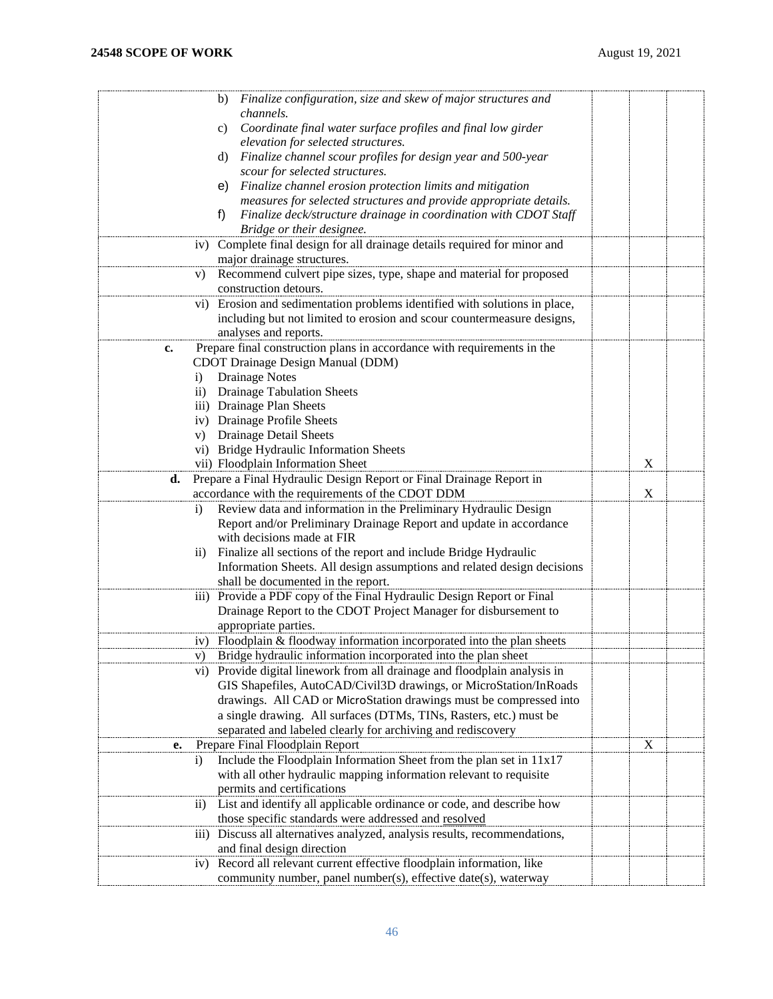| b) Finalize configuration, size and skew of major structures and                                         |   |  |
|----------------------------------------------------------------------------------------------------------|---|--|
| channels.                                                                                                |   |  |
| Coordinate final water surface profiles and final low girder<br>c)<br>elevation for selected structures. |   |  |
| Finalize channel scour profiles for design year and 500-year<br>d)                                       |   |  |
| scour for selected structures.                                                                           |   |  |
| Finalize channel erosion protection limits and mitigation<br>e)                                          |   |  |
| measures for selected structures and provide appropriate details.                                        |   |  |
| Finalize deck/structure drainage in coordination with CDOT Staff<br>f)                                   |   |  |
| Bridge or their designee.                                                                                |   |  |
| Complete final design for all drainage details required for minor and<br>iv)                             |   |  |
| major drainage structures.                                                                               |   |  |
| Recommend culvert pipe sizes, type, shape and material for proposed<br>V)                                |   |  |
| construction detours.                                                                                    |   |  |
| vi) Erosion and sedimentation problems identified with solutions in place,                               |   |  |
| including but not limited to erosion and scour countermeasure designs,                                   |   |  |
| analyses and reports.                                                                                    |   |  |
| Prepare final construction plans in accordance with requirements in the<br>c.                            |   |  |
| CDOT Drainage Design Manual (DDM)                                                                        |   |  |
| Drainage Notes<br>$\mathbf{i}$                                                                           |   |  |
| <b>Drainage Tabulation Sheets</b><br>$\rm ii)$                                                           |   |  |
| iii) Drainage Plan Sheets                                                                                |   |  |
| iv) Drainage Profile Sheets                                                                              |   |  |
| v) Drainage Detail Sheets                                                                                |   |  |
| vi) Bridge Hydraulic Information Sheets                                                                  |   |  |
| vii) Floodplain Information Sheet                                                                        | X |  |
| Prepare a Final Hydraulic Design Report or Final Drainage Report in<br>d.                                |   |  |
| accordance with the requirements of the CDOT DDM                                                         | X |  |
| Review data and information in the Preliminary Hydraulic Design<br>$\ddot{\text{i}}$                     |   |  |
| Report and/or Preliminary Drainage Report and update in accordance                                       |   |  |
| with decisions made at FIR                                                                               |   |  |
| Finalize all sections of the report and include Bridge Hydraulic<br>$\rm ii)$                            |   |  |
| Information Sheets. All design assumptions and related design decisions                                  |   |  |
| shall be documented in the report.                                                                       |   |  |
| iii) Provide a PDF copy of the Final Hydraulic Design Report or Final                                    |   |  |
| Drainage Report to the CDOT Project Manager for disbursement to                                          |   |  |
| appropriate parties.                                                                                     |   |  |
| Floodplain & floodway information incorporated into the plan sheets<br>iv)                               |   |  |
| V)<br>Bridge hydraulic information incorporated into the plan sheet                                      |   |  |
| vi) Provide digital linework from all drainage and floodplain analysis in                                |   |  |
| GIS Shapefiles, AutoCAD/Civil3D drawings, or MicroStation/InRoads                                        |   |  |
| drawings. All CAD or MicroStation drawings must be compressed into                                       |   |  |
| a single drawing. All surfaces (DTMs, TINs, Rasters, etc.) must be                                       |   |  |
| separated and labeled clearly for archiving and rediscovery                                              |   |  |
| Prepare Final Floodplain Report<br>e.                                                                    | X |  |
| Include the Floodplain Information Sheet from the plan set in 11x17<br>$\ddot{1}$                        |   |  |
| with all other hydraulic mapping information relevant to requisite                                       |   |  |
| permits and certifications                                                                               |   |  |
| List and identify all applicable ordinance or code, and describe how<br>$\rm ii)$                        |   |  |
| those specific standards were addressed and resolved                                                     |   |  |
| Discuss all alternatives analyzed, analysis results, recommendations,<br>$\overline{iii}$                |   |  |
| and final design direction                                                                               |   |  |
| Record all relevant current effective floodplain information, like<br>iv)                                |   |  |
| community number, panel number(s), effective date(s), waterway                                           |   |  |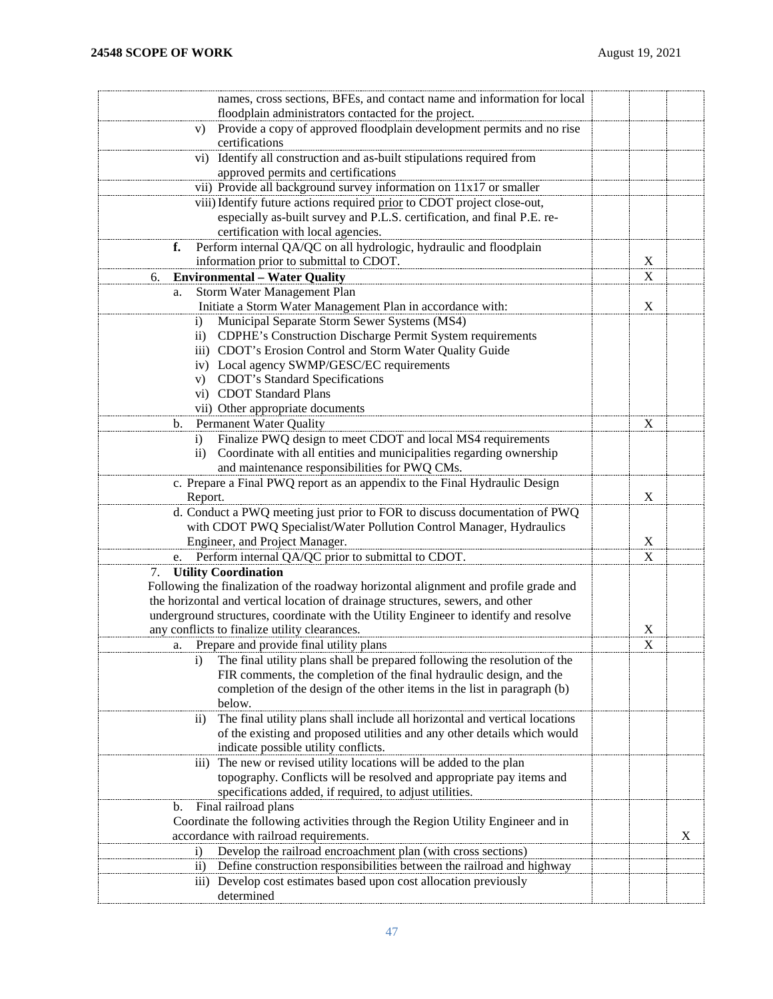| names, cross sections, BFEs, and contact name and information for local                        |             |   |
|------------------------------------------------------------------------------------------------|-------------|---|
| floodplain administrators contacted for the project.                                           |             |   |
| Provide a copy of approved floodplain development permits and no rise<br>V)<br>certifications  |             |   |
|                                                                                                |             |   |
| Identify all construction and as-built stipulations required from<br>vi)                       |             |   |
| approved permits and certifications                                                            |             |   |
| vii) Provide all background survey information on 11x17 or smaller                             |             |   |
| viii) Identify future actions required prior to CDOT project close-out,                        |             |   |
| especially as-built survey and P.L.S. certification, and final P.E. re-                        |             |   |
| certification with local agencies.                                                             |             |   |
| Perform internal QA/QC on all hydrologic, hydraulic and floodplain<br>f.                       |             |   |
| information prior to submittal to CDOT.                                                        | $\mathbf X$ |   |
| <b>Environmental - Water Quality</b><br>6.                                                     | $\mathbf X$ |   |
| Storm Water Management Plan<br>a.                                                              |             |   |
| Initiate a Storm Water Management Plan in accordance with:                                     | $\mathbf X$ |   |
| Municipal Separate Storm Sewer Systems (MS4)<br>$\ddot{1}$                                     |             |   |
| ii) CDPHE's Construction Discharge Permit System requirements                                  |             |   |
| iii) CDOT's Erosion Control and Storm Water Quality Guide                                      |             |   |
| iv) Local agency SWMP/GESC/EC requirements                                                     |             |   |
| CDOT's Standard Specifications<br>V)                                                           |             |   |
| vi) CDOT Standard Plans                                                                        |             |   |
| vii) Other appropriate documents                                                               |             |   |
| Permanent Water Quality<br>b.                                                                  | X           |   |
| Finalize PWQ design to meet CDOT and local MS4 requirements<br>$\left( i\right)$               |             |   |
| Coordinate with all entities and municipalities regarding ownership<br>$\rm ii)$               |             |   |
| and maintenance responsibilities for PWQ CMs.                                                  |             |   |
| c. Prepare a Final PWQ report as an appendix to the Final Hydraulic Design                     |             |   |
| Report.                                                                                        | $\mathbf X$ |   |
| d. Conduct a PWQ meeting just prior to FOR to discuss documentation of PWQ                     |             |   |
| with CDOT PWQ Specialist/Water Pollution Control Manager, Hydraulics                           |             |   |
| Engineer, and Project Manager.                                                                 | $\mathbf X$ |   |
| Perform internal QA/QC prior to submittal to CDOT.<br>e.                                       | X           |   |
| 7. Utility Coordination                                                                        |             |   |
| Following the finalization of the roadway horizontal alignment and profile grade and           |             |   |
| the horizontal and vertical location of drainage structures, sewers, and other                 |             |   |
| underground structures, coordinate with the Utility Engineer to identify and resolve           |             |   |
| any conflicts to finalize utility clearances.                                                  | X           |   |
| a. Prepare and provide final utility plans                                                     | X           |   |
| The final utility plans shall be prepared following the resolution of the<br>1)                |             |   |
| FIR comments, the completion of the final hydraulic design, and the                            |             |   |
| completion of the design of the other items in the list in paragraph (b)                       |             |   |
| below.                                                                                         |             |   |
| The final utility plans shall include all horizontal and vertical locations<br>$\overline{11}$ |             |   |
| of the existing and proposed utilities and any other details which would                       |             |   |
| indicate possible utility conflicts.                                                           |             |   |
| The new or revised utility locations will be added to the plan<br>$\overline{111}$ )           |             |   |
| topography. Conflicts will be resolved and appropriate pay items and                           |             |   |
| specifications added, if required, to adjust utilities.                                        |             |   |
| Final railroad plans<br>b.                                                                     |             |   |
| Coordinate the following activities through the Region Utility Engineer and in                 |             |   |
| accordance with railroad requirements.                                                         |             | X |
| Develop the railroad encroachment plan (with cross sections)<br>$\mathbf{i}$                   |             |   |
| Define construction responsibilities between the railroad and highway<br>$\rm ii)$             |             |   |
| iii) Develop cost estimates based upon cost allocation previously                              |             |   |
| determined                                                                                     |             |   |
|                                                                                                |             |   |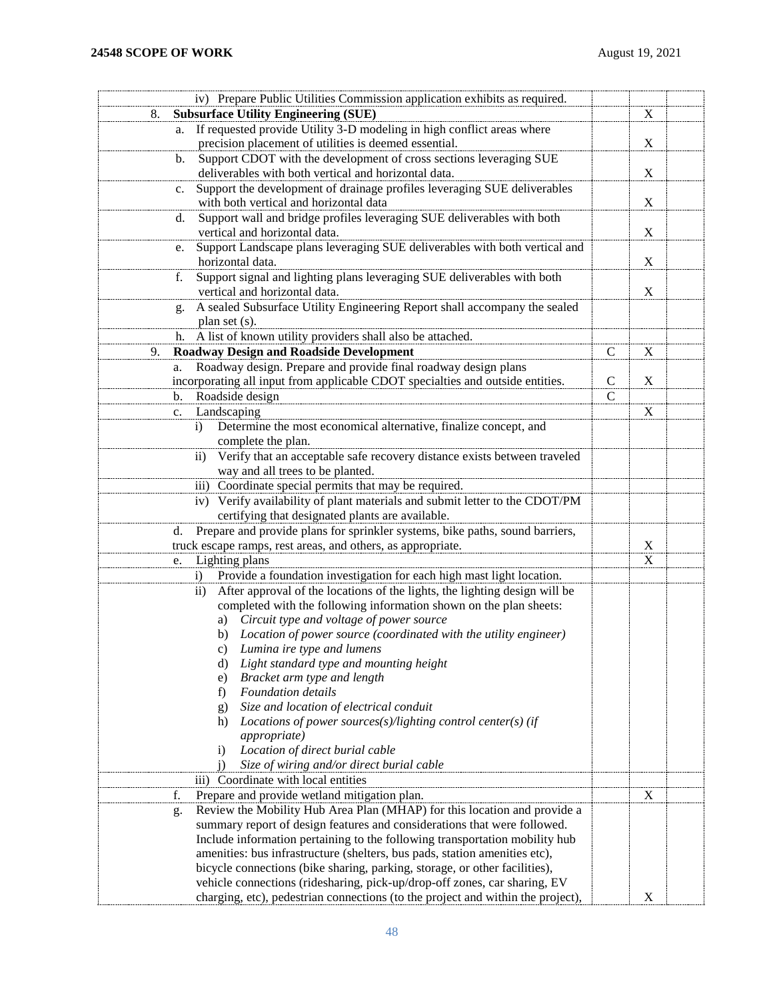| iv) Prepare Public Utilities Commission application exhibits as required.                            |               |             |  |
|------------------------------------------------------------------------------------------------------|---------------|-------------|--|
| <b>Subsurface Utility Engineering (SUE)</b><br>8.                                                    |               | X           |  |
| If requested provide Utility 3-D modeling in high conflict areas where<br>a.                         |               |             |  |
| precision placement of utilities is deemed essential.                                                |               | X           |  |
| Support CDOT with the development of cross sections leveraging SUE<br>b.                             |               |             |  |
| deliverables with both vertical and horizontal data.                                                 |               | $\mathbf X$ |  |
| Support the development of drainage profiles leveraging SUE deliverables<br>$\mathbf{c}$ .           |               |             |  |
| with both vertical and horizontal data                                                               |               | $\mathbf X$ |  |
| Support wall and bridge profiles leveraging SUE deliverables with both<br>d.                         |               |             |  |
| vertical and horizontal data.                                                                        |               | $\mathbf X$ |  |
| Support Landscape plans leveraging SUE deliverables with both vertical and<br>e.<br>horizontal data. |               | $\mathbf X$ |  |
| Support signal and lighting plans leveraging SUE deliverables with both<br>f.                        |               |             |  |
| vertical and horizontal data.                                                                        |               | $\mathbf X$ |  |
| A sealed Subsurface Utility Engineering Report shall accompany the sealed<br>g.                      |               |             |  |
| plan set (s).                                                                                        |               |             |  |
| A list of known utility providers shall also be attached.<br>h.                                      |               |             |  |
| <b>Roadway Design and Roadside Development</b><br>9.                                                 | $\mathbf C$   | $\mathbf X$ |  |
| Roadway design. Prepare and provide final roadway design plans<br>a.                                 |               |             |  |
| incorporating all input from applicable CDOT specialties and outside entities.                       | $\mathbf C$   | $\mathbf X$ |  |
| Roadside design<br>$\mathbf{b}$ .                                                                    | $\mathcal{C}$ |             |  |
| Landscaping<br>c.                                                                                    |               | $\mathbf X$ |  |
| Determine the most economical alternative, finalize concept, and<br>$\bf{1)}$                        |               |             |  |
| complete the plan.                                                                                   |               |             |  |
| Verify that an acceptable safe recovery distance exists between traveled<br>$\rm ii)$                |               |             |  |
| way and all trees to be planted.                                                                     |               |             |  |
| iii) Coordinate special permits that may be required.                                                |               |             |  |
| iv) Verify availability of plant materials and submit letter to the CDOT/PM                          |               |             |  |
| certifying that designated plants are available.                                                     |               |             |  |
| Prepare and provide plans for sprinkler systems, bike paths, sound barriers,<br>d.                   |               |             |  |
| truck escape ramps, rest areas, and others, as appropriate.                                          |               | X           |  |
| Lighting plans<br>e.                                                                                 |               | X           |  |
| Provide a foundation investigation for each high mast light location.<br>$\ddot{1}$                  |               |             |  |
| After approval of the locations of the lights, the lighting design will be<br>$\rm ii)$              |               |             |  |
| completed with the following information shown on the plan sheets:                                   |               |             |  |
| a) Circuit type and voltage of power source                                                          |               |             |  |
| b) Location of power source (coordinated with the utility engineer)                                  |               |             |  |
| Lumina ire type and lumens<br>C)                                                                     |               |             |  |
| Light standard type and mounting height<br>d)                                                        |               |             |  |
| Bracket arm type and length<br>e)<br><b>Foundation</b> details                                       |               |             |  |
| f)<br>Size and location of electrical conduit                                                        |               |             |  |
| g)<br>Locations of power sources(s)/lighting control center(s) (if<br>h)                             |               |             |  |
| <i>appropriate</i> )                                                                                 |               |             |  |
| Location of direct burial cable<br>$\ddot{1}$                                                        |               |             |  |
| Size of wiring and/or direct burial cable                                                            |               |             |  |
| iii) Coordinate with local entities                                                                  |               |             |  |
| Prepare and provide wetland mitigation plan.<br>f.                                                   |               | $\mathbf X$ |  |
| Review the Mobility Hub Area Plan (MHAP) for this location and provide a<br>g.                       |               |             |  |
| summary report of design features and considerations that were followed.                             |               |             |  |
| Include information pertaining to the following transportation mobility hub                          |               |             |  |
| amenities: bus infrastructure (shelters, bus pads, station amenities etc),                           |               |             |  |
| bicycle connections (bike sharing, parking, storage, or other facilities),                           |               |             |  |
| vehicle connections (ridesharing, pick-up/drop-off zones, car sharing, EV                            |               |             |  |
| charging, etc), pedestrian connections (to the project and within the project),                      |               | X           |  |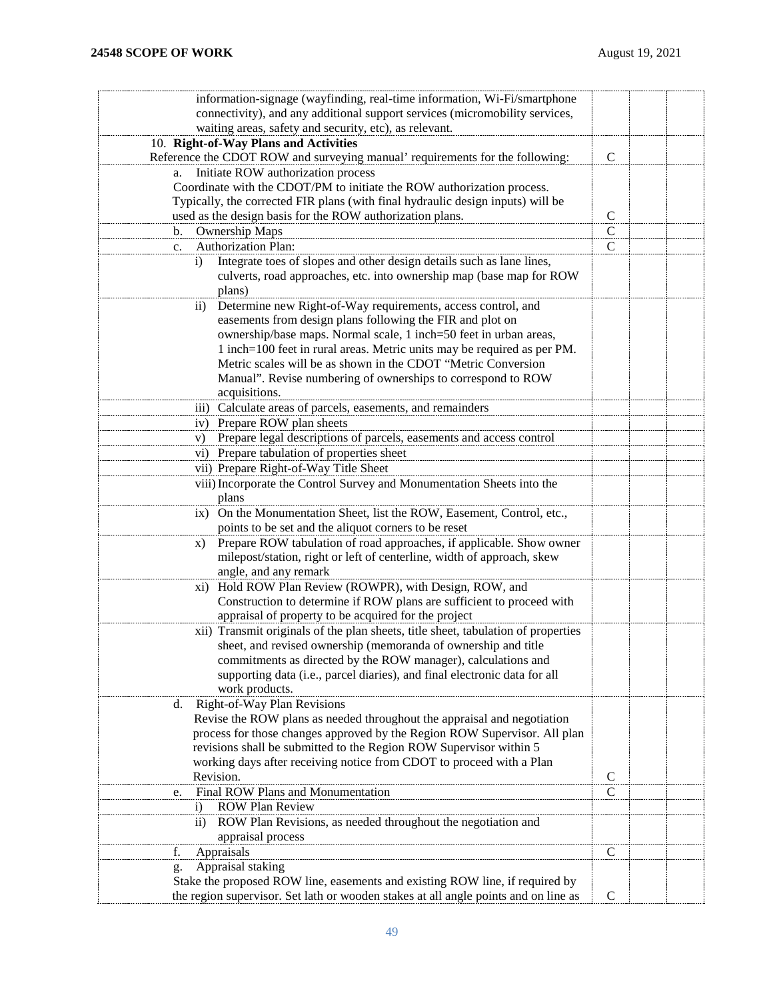| information-signage (wayfinding, real-time information, Wi-Fi/smartphone                                                                                           |               |  |  |  |  |  |
|--------------------------------------------------------------------------------------------------------------------------------------------------------------------|---------------|--|--|--|--|--|
| connectivity), and any additional support services (micromobility services,                                                                                        |               |  |  |  |  |  |
| waiting areas, safety and security, etc), as relevant.                                                                                                             |               |  |  |  |  |  |
| 10. Right-of-Way Plans and Activities                                                                                                                              |               |  |  |  |  |  |
| Reference the CDOT ROW and surveying manual' requirements for the following:                                                                                       | $\mathcal{C}$ |  |  |  |  |  |
| a. Initiate ROW authorization process                                                                                                                              |               |  |  |  |  |  |
| Coordinate with the CDOT/PM to initiate the ROW authorization process.                                                                                             |               |  |  |  |  |  |
|                                                                                                                                                                    |               |  |  |  |  |  |
| Typically, the corrected FIR plans (with final hydraulic design inputs) will be                                                                                    | $\mathcal{C}$ |  |  |  |  |  |
| used as the design basis for the ROW authorization plans.                                                                                                          |               |  |  |  |  |  |
| <b>Ownership Maps</b><br>b.                                                                                                                                        | $\mathbf C$   |  |  |  |  |  |
| Authorization Plan:<br>$c_{\cdot}$                                                                                                                                 | $\mathbf C$   |  |  |  |  |  |
| Integrate toes of slopes and other design details such as lane lines,<br>$\left( i\right)$<br>culverts, road approaches, etc. into ownership map (base map for ROW |               |  |  |  |  |  |
| plans)                                                                                                                                                             |               |  |  |  |  |  |
| Determine new Right-of-Way requirements, access control, and<br>$\rm ii)$                                                                                          |               |  |  |  |  |  |
| easements from design plans following the FIR and plot on                                                                                                          |               |  |  |  |  |  |
| ownership/base maps. Normal scale, 1 inch=50 feet in urban areas,                                                                                                  |               |  |  |  |  |  |
| 1 inch=100 feet in rural areas. Metric units may be required as per PM.                                                                                            |               |  |  |  |  |  |
| Metric scales will be as shown in the CDOT "Metric Conversion                                                                                                      |               |  |  |  |  |  |
| Manual". Revise numbering of ownerships to correspond to ROW<br>acquisitions.                                                                                      |               |  |  |  |  |  |
| iii) Calculate areas of parcels, easements, and remainders                                                                                                         |               |  |  |  |  |  |
| Prepare ROW plan sheets<br>iv)                                                                                                                                     |               |  |  |  |  |  |
| Prepare legal descriptions of parcels, easements and access control<br>V)                                                                                          |               |  |  |  |  |  |
| vi) Prepare tabulation of properties sheet                                                                                                                         |               |  |  |  |  |  |
| vii) Prepare Right-of-Way Title Sheet                                                                                                                              |               |  |  |  |  |  |
| viii) Incorporate the Control Survey and Monumentation Sheets into the                                                                                             |               |  |  |  |  |  |
| plans                                                                                                                                                              |               |  |  |  |  |  |
| ix) On the Monumentation Sheet, list the ROW, Easement, Control, etc.,                                                                                             |               |  |  |  |  |  |
| points to be set and the aliquot corners to be reset                                                                                                               |               |  |  |  |  |  |
| Prepare ROW tabulation of road approaches, if applicable. Show owner<br>X)                                                                                         |               |  |  |  |  |  |
| milepost/station, right or left of centerline, width of approach, skew                                                                                             |               |  |  |  |  |  |
| angle, and any remark                                                                                                                                              |               |  |  |  |  |  |
|                                                                                                                                                                    |               |  |  |  |  |  |
| Hold ROW Plan Review (ROWPR), with Design, ROW, and<br>xi)                                                                                                         |               |  |  |  |  |  |
| Construction to determine if ROW plans are sufficient to proceed with                                                                                              |               |  |  |  |  |  |
| appraisal of property to be acquired for the project                                                                                                               |               |  |  |  |  |  |
| xii) Transmit originals of the plan sheets, title sheet, tabulation of properties                                                                                  |               |  |  |  |  |  |
| sheet, and revised ownership (memoranda of ownership and title                                                                                                     |               |  |  |  |  |  |
| commitments as directed by the ROW manager), calculations and                                                                                                      |               |  |  |  |  |  |
| supporting data (i.e., parcel diaries), and final electronic data for all                                                                                          |               |  |  |  |  |  |
| work products.                                                                                                                                                     |               |  |  |  |  |  |
| <b>Right-of-Way Plan Revisions</b><br>d.                                                                                                                           |               |  |  |  |  |  |
| Revise the ROW plans as needed throughout the appraisal and negotiation                                                                                            |               |  |  |  |  |  |
| process for those changes approved by the Region ROW Supervisor. All plan                                                                                          |               |  |  |  |  |  |
| revisions shall be submitted to the Region ROW Supervisor within 5                                                                                                 |               |  |  |  |  |  |
| working days after receiving notice from CDOT to proceed with a Plan                                                                                               |               |  |  |  |  |  |
| Revision.                                                                                                                                                          | $\mathbf C$   |  |  |  |  |  |
| Final ROW Plans and Monumentation<br>e.                                                                                                                            | $\mathsf{C}$  |  |  |  |  |  |
| <b>ROW Plan Review</b><br>$\mathbf{i}$                                                                                                                             |               |  |  |  |  |  |
| ROW Plan Revisions, as needed throughout the negotiation and<br>$\rm ii)$                                                                                          |               |  |  |  |  |  |
| appraisal process                                                                                                                                                  |               |  |  |  |  |  |
| Appraisals<br>f.                                                                                                                                                   | $\mathbf C$   |  |  |  |  |  |
| Appraisal staking<br>g.                                                                                                                                            |               |  |  |  |  |  |
| Stake the proposed ROW line, easements and existing ROW line, if required by                                                                                       |               |  |  |  |  |  |
| the region supervisor. Set lath or wooden stakes at all angle points and on line as                                                                                | $\mathsf{C}$  |  |  |  |  |  |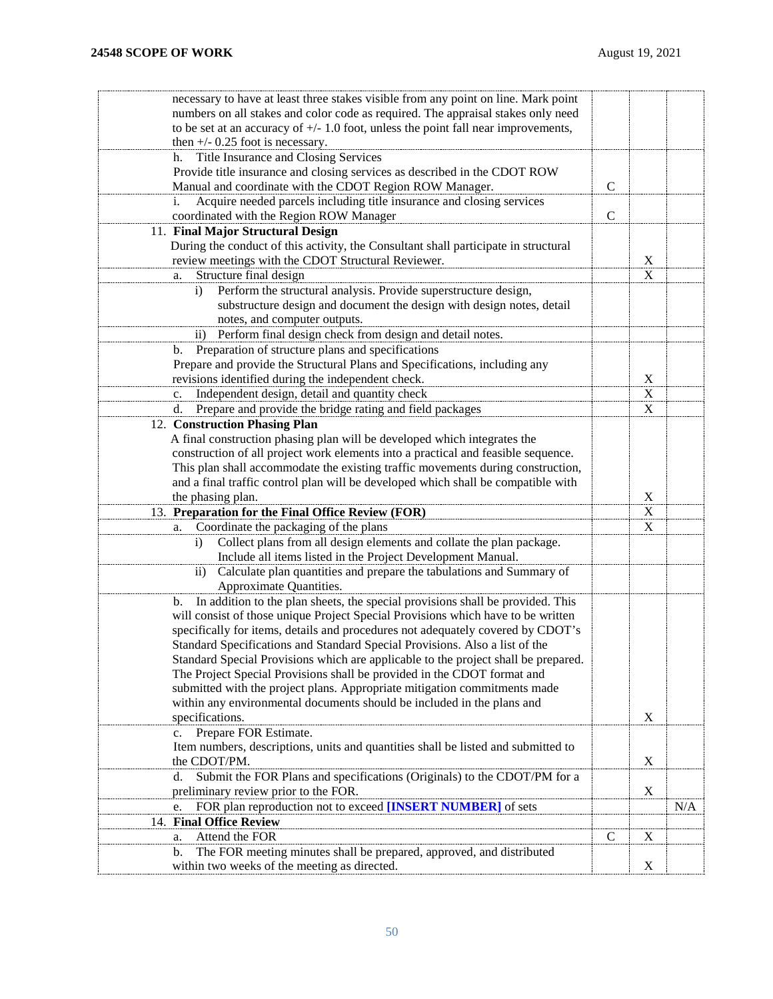| necessary to have at least three stakes visible from any point on line. Mark point                                                                                       |               |                           |     |
|--------------------------------------------------------------------------------------------------------------------------------------------------------------------------|---------------|---------------------------|-----|
| numbers on all stakes and color code as required. The appraisal stakes only need                                                                                         |               |                           |     |
| to be set at an accuracy of $+/- 1.0$ foot, unless the point fall near improvements,                                                                                     |               |                           |     |
| then $+/-$ 0.25 foot is necessary.                                                                                                                                       |               |                           |     |
| Title Insurance and Closing Services<br>h.                                                                                                                               |               |                           |     |
| Provide title insurance and closing services as described in the CDOT ROW                                                                                                |               |                           |     |
| Manual and coordinate with the CDOT Region ROW Manager.                                                                                                                  | $\mathcal{C}$ |                           |     |
| Acquire needed parcels including title insurance and closing services<br>i.                                                                                              |               |                           |     |
| coordinated with the Region ROW Manager                                                                                                                                  | $\mathcal{C}$ |                           |     |
| 11. Final Major Structural Design                                                                                                                                        |               |                           |     |
| During the conduct of this activity, the Consultant shall participate in structural                                                                                      |               |                           |     |
| review meetings with the CDOT Structural Reviewer.                                                                                                                       |               | X                         |     |
| Structure final design<br>a.                                                                                                                                             |               | $\boldsymbol{\mathrm{X}}$ |     |
| Perform the structural analysis. Provide superstructure design,<br>$\ddot{1}$                                                                                            |               |                           |     |
| substructure design and document the design with design notes, detail                                                                                                    |               |                           |     |
| notes, and computer outputs.                                                                                                                                             |               |                           |     |
| ii) Perform final design check from design and detail notes.                                                                                                             |               |                           |     |
| Preparation of structure plans and specifications<br>b.                                                                                                                  |               |                           |     |
| Prepare and provide the Structural Plans and Specifications, including any                                                                                               |               |                           |     |
| revisions identified during the independent check.                                                                                                                       |               | X                         |     |
| Independent design, detail and quantity check<br>c.                                                                                                                      |               | X                         |     |
| Prepare and provide the bridge rating and field packages<br>d.                                                                                                           |               | X                         |     |
| 12. Construction Phasing Plan                                                                                                                                            |               |                           |     |
| A final construction phasing plan will be developed which integrates the                                                                                                 |               |                           |     |
| construction of all project work elements into a practical and feasible sequence.                                                                                        |               |                           |     |
| This plan shall accommodate the existing traffic movements during construction,                                                                                          |               |                           |     |
| and a final traffic control plan will be developed which shall be compatible with                                                                                        |               |                           |     |
| the phasing plan.                                                                                                                                                        |               | $\mathbf X$               |     |
| 13. Preparation for the Final Office Review (FOR)                                                                                                                        |               | X                         |     |
| Coordinate the packaging of the plans<br>a.                                                                                                                              |               | X                         |     |
| Collect plans from all design elements and collate the plan package.<br>$\ddot{\mathbf{i}}$                                                                              |               |                           |     |
| Include all items listed in the Project Development Manual.                                                                                                              |               |                           |     |
| Calculate plan quantities and prepare the tabulations and Summary of<br>$\rm ii)$                                                                                        |               |                           |     |
| Approximate Quantities.                                                                                                                                                  |               |                           |     |
| In addition to the plan sheets, the special provisions shall be provided. This<br>b.<br>will consist of those unique Project Special Provisions which have to be written |               |                           |     |
|                                                                                                                                                                          |               |                           |     |
|                                                                                                                                                                          |               |                           |     |
| specifically for items, details and procedures not adequately covered by CDOT's                                                                                          |               |                           |     |
| Standard Specifications and Standard Special Provisions. Also a list of the                                                                                              |               |                           |     |
| Standard Special Provisions which are applicable to the project shall be prepared.                                                                                       |               |                           |     |
| The Project Special Provisions shall be provided in the CDOT format and                                                                                                  |               |                           |     |
| submitted with the project plans. Appropriate mitigation commitments made                                                                                                |               |                           |     |
| within any environmental documents should be included in the plans and                                                                                                   |               |                           |     |
| specifications.                                                                                                                                                          |               | X                         |     |
| Prepare FOR Estimate.<br>c.                                                                                                                                              |               |                           |     |
| Item numbers, descriptions, units and quantities shall be listed and submitted to                                                                                        |               |                           |     |
| the CDOT/PM.                                                                                                                                                             |               | $\mathbf X$               |     |
| Submit the FOR Plans and specifications (Originals) to the CDOT/PM for a<br>d.                                                                                           |               |                           |     |
| preliminary review prior to the FOR.<br>e.                                                                                                                               |               | $\mathbf X$               |     |
| FOR plan reproduction not to exceed [INSERT NUMBER] of sets                                                                                                              |               |                           | N/A |
| 14. Final Office Review                                                                                                                                                  | C             |                           |     |
| Attend the FOR<br>a.<br>The FOR meeting minutes shall be prepared, approved, and distributed<br>b.                                                                       |               | X                         |     |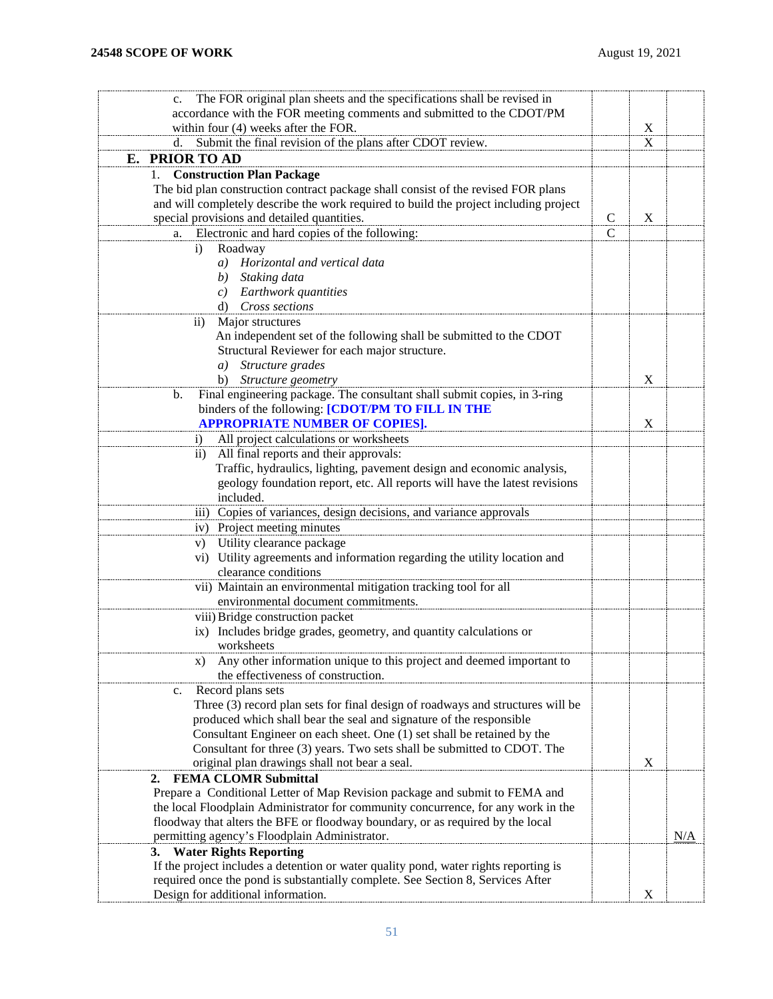<span id="page-50-0"></span>

| The FOR original plan sheets and the specifications shall be revised in<br>$c_{\cdot}$ |               |                           |     |
|----------------------------------------------------------------------------------------|---------------|---------------------------|-----|
| accordance with the FOR meeting comments and submitted to the CDOT/PM                  |               |                           |     |
| within four (4) weeks after the FOR.                                                   |               | X                         |     |
| Submit the final revision of the plans after CDOT review.<br>d.                        |               | $\mathbf X$               |     |
| <b>PRIOR TO AD</b><br>Е.                                                               |               |                           |     |
|                                                                                        |               |                           |     |
| <b>Construction Plan Package</b>                                                       |               |                           |     |
| The bid plan construction contract package shall consist of the revised FOR plans      |               |                           |     |
| and will completely describe the work required to build the project including project  |               |                           |     |
| special provisions and detailed quantities.                                            | $\mathcal{C}$ | $\boldsymbol{\mathrm{X}}$ |     |
| Electronic and hard copies of the following:<br>a.                                     | $\mathsf{C}$  |                           |     |
| Roadway<br>i)                                                                          |               |                           |     |
| a) Horizontal and vertical data                                                        |               |                           |     |
| b) Staking data                                                                        |               |                           |     |
| c) Earthwork quantities                                                                |               |                           |     |
| d) Cross sections                                                                      |               |                           |     |
| Major structures<br>$\rm ii)$                                                          |               |                           |     |
| An independent set of the following shall be submitted to the CDOT                     |               |                           |     |
| Structural Reviewer for each major structure.                                          |               |                           |     |
| Structure grades<br>a)                                                                 |               |                           |     |
| Structure geometry<br>b)                                                               |               | X                         |     |
| Final engineering package. The consultant shall submit copies, in 3-ring<br>b.         |               |                           |     |
| binders of the following: [CDOT/PM TO FILL IN THE                                      |               |                           |     |
| <b>APPROPRIATE NUMBER OF COPIES].</b>                                                  |               | X                         |     |
| All project calculations or worksheets<br>$\mathbf{i}$                                 |               |                           |     |
| All final reports and their approvals:<br>$\overline{11}$                              |               |                           |     |
| Traffic, hydraulics, lighting, pavement design and economic analysis,                  |               |                           |     |
| geology foundation report, etc. All reports will have the latest revisions             |               |                           |     |
| included.                                                                              |               |                           |     |
| iii) Copies of variances, design decisions, and variance approvals                     |               |                           |     |
| iv) Project meeting minutes                                                            |               |                           |     |
| v) Utility clearance package                                                           |               |                           |     |
| vi) Utility agreements and information regarding the utility location and              |               |                           |     |
| clearance conditions                                                                   |               |                           |     |
| vii) Maintain an environmental mitigation tracking tool for all                        |               |                           |     |
| environmental document commitments.                                                    |               |                           |     |
| viii) Bridge construction packet                                                       |               |                           |     |
| ix) Includes bridge grades, geometry, and quantity calculations or                     |               |                           |     |
| worksheets                                                                             |               |                           |     |
| Any other information unique to this project and deemed important to<br>X)             |               |                           |     |
| the effectiveness of construction.                                                     |               |                           |     |
| Record plans sets<br>c.                                                                |               |                           |     |
| Three (3) record plan sets for final design of roadways and structures will be         |               |                           |     |
| produced which shall bear the seal and signature of the responsible                    |               |                           |     |
| Consultant Engineer on each sheet. One (1) set shall be retained by the                |               |                           |     |
| Consultant for three (3) years. Two sets shall be submitted to CDOT. The               |               |                           |     |
| original plan drawings shall not bear a seal.                                          |               | X                         |     |
| <b>FEMA CLOMR Submittal</b><br>2.                                                      |               |                           |     |
| Prepare a Conditional Letter of Map Revision package and submit to FEMA and            |               |                           |     |
| the local Floodplain Administrator for community concurrence, for any work in the      |               |                           |     |
| floodway that alters the BFE or floodway boundary, or as required by the local         |               |                           |     |
| permitting agency's Floodplain Administrator.                                          |               |                           | N/A |
| 3. Water Rights Reporting                                                              |               |                           |     |
| If the project includes a detention or water quality pond, water rights reporting is   |               |                           |     |
| required once the pond is substantially complete. See Section 8, Services After        |               |                           |     |
| Design for additional information.                                                     |               | X                         |     |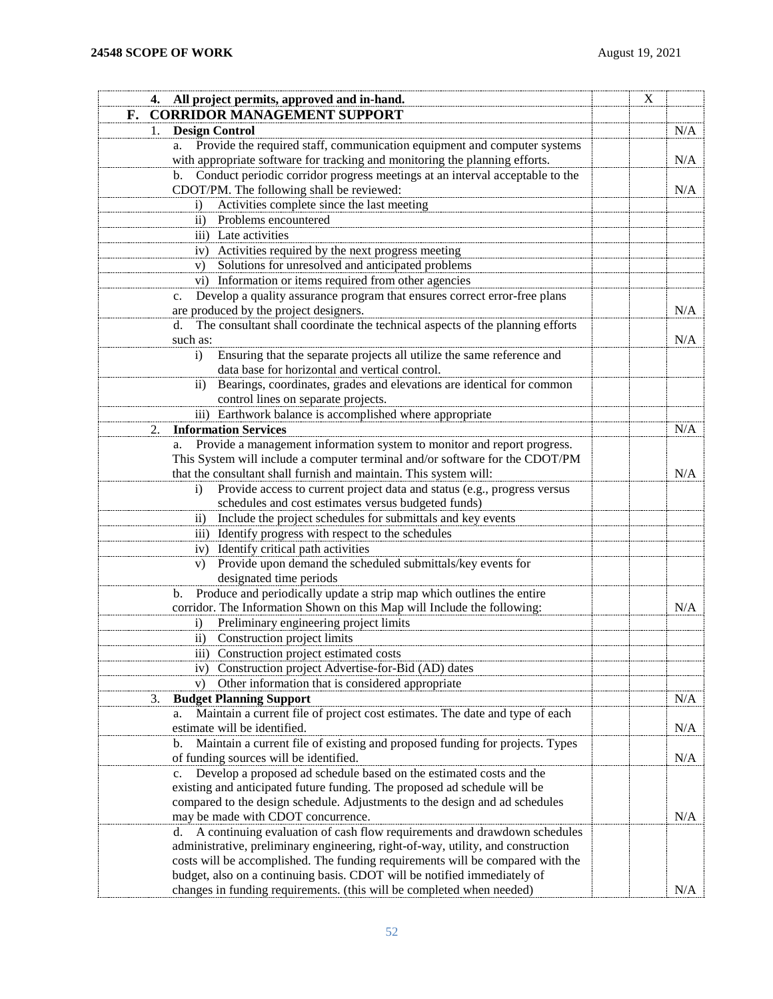<span id="page-51-0"></span>

| 4. All project permits, approved and in-hand.                                            | X |     |
|------------------------------------------------------------------------------------------|---|-----|
| <b>CORRIDOR MANAGEMENT SUPPORT</b><br>F.                                                 |   |     |
| <b>Design Control</b><br>1.                                                              |   | N/A |
| Provide the required staff, communication equipment and computer systems<br>a.           |   |     |
| with appropriate software for tracking and monitoring the planning efforts.              |   | N/A |
| b. Conduct periodic corridor progress meetings at an interval acceptable to the          |   |     |
| CDOT/PM. The following shall be reviewed:                                                |   | N/A |
| Activities complete since the last meeting<br>$\ddot{1}$                                 |   |     |
| Problems encountered<br>$\rm ii)$                                                        |   |     |
| iii) Late activities                                                                     |   |     |
| Activities required by the next progress meeting<br>iv)                                  |   |     |
| Solutions for unresolved and anticipated problems<br>V)                                  |   |     |
| vi) Information or items required from other agencies                                    |   |     |
| Develop a quality assurance program that ensures correct error-free plans<br>$c_{\cdot}$ |   |     |
| are produced by the project designers.                                                   |   | N/A |
| The consultant shall coordinate the technical aspects of the planning efforts<br>d.      |   |     |
| such as:                                                                                 |   | N/A |
| Ensuring that the separate projects all utilize the same reference and<br>$\mathbf{i}$   |   |     |
| data base for horizontal and vertical control.                                           |   |     |
| Bearings, coordinates, grades and elevations are identical for common<br>$\overline{11}$ |   |     |
| control lines on separate projects.                                                      |   |     |
| iii) Earthwork balance is accomplished where appropriate                                 |   |     |
| <b>Information Services</b><br>2.                                                        |   | N/A |
| a. Provide a management information system to monitor and report progress.               |   |     |
| This System will include a computer terminal and/or software for the CDOT/PM             |   |     |
| that the consultant shall furnish and maintain. This system will:                        |   | N/A |
| Provide access to current project data and status (e.g., progress versus<br>$\bf{1)}$    |   |     |
| schedules and cost estimates versus budgeted funds)                                      |   |     |
| Include the project schedules for submittals and key events<br>$\overline{11})$          |   |     |
| iii) Identify progress with respect to the schedules                                     |   |     |
| iv) Identify critical path activities                                                    |   |     |
| Provide upon demand the scheduled submittals/key events for<br>V)                        |   |     |
| designated time periods                                                                  |   |     |
| Produce and periodically update a strip map which outlines the entire<br>b.              |   |     |
| corridor. The Information Shown on this Map will Include the following:                  |   | N/A |
| Preliminary engineering project limits<br>$\mathbf{i}$                                   |   |     |
| Construction project limits<br>$\overline{11}$                                           |   |     |
| iii) Construction project estimated costs                                                |   |     |
| iv) Construction project Advertise-for-Bid (AD) dates                                    |   |     |
| Other information that is considered appropriate<br>$V$ )                                |   |     |
| <b>Budget Planning Support</b><br>3.                                                     |   | N/A |
| Maintain a current file of project cost estimates. The date and type of each<br>a.       |   |     |
| estimate will be identified.                                                             |   | N/A |
| Maintain a current file of existing and proposed funding for projects. Types<br>b.       |   |     |
| of funding sources will be identified.                                                   |   | N/A |
| Develop a proposed ad schedule based on the estimated costs and the<br>$c_{\cdot}$       |   |     |
| existing and anticipated future funding. The proposed ad schedule will be                |   |     |
| compared to the design schedule. Adjustments to the design and ad schedules              |   |     |
| may be made with CDOT concurrence.                                                       |   | N/A |
| A continuing evaluation of cash flow requirements and drawdown schedules<br>d.           |   |     |
| administrative, preliminary engineering, right-of-way, utility, and construction         |   |     |
| costs will be accomplished. The funding requirements will be compared with the           |   |     |
| budget, also on a continuing basis. CDOT will be notified immediately of                 |   |     |
| changes in funding requirements. (this will be completed when needed)                    |   | N/A |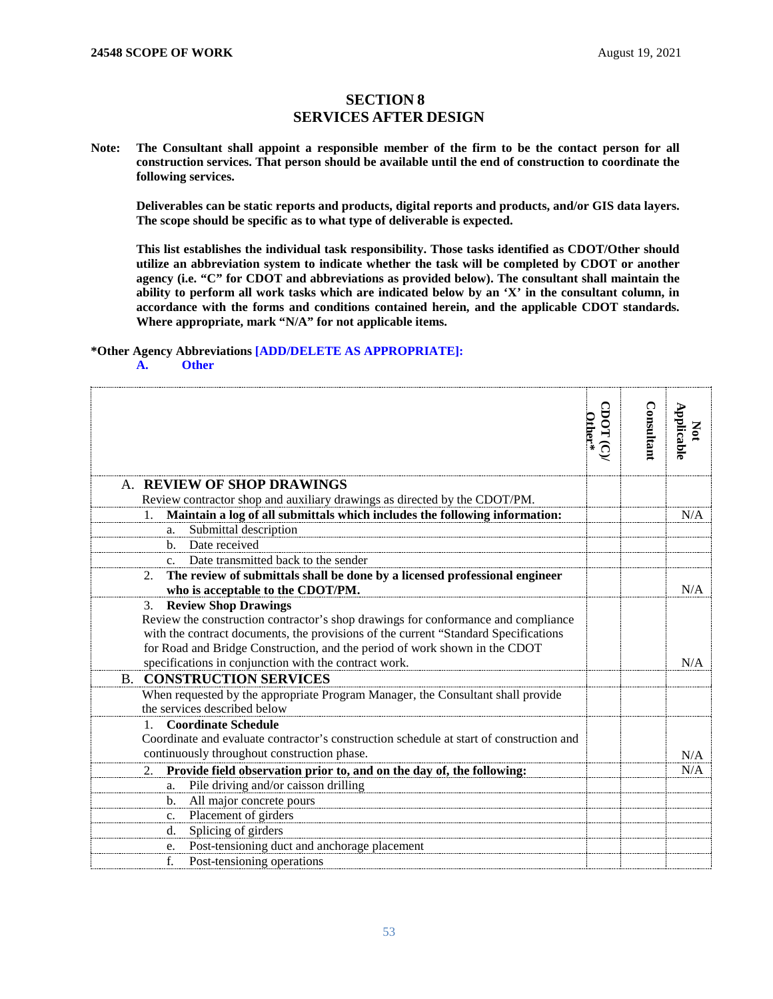## **SECTION 8 SERVICES AFTER DESIGN**

<span id="page-52-1"></span><span id="page-52-0"></span>**Note: The Consultant shall appoint a responsible member of the firm to be the contact person for all construction services. That person should be available until the end of construction to coordinate the following services.**

**Deliverables can be static reports and products, digital reports and products, and/or GIS data layers. The scope should be specific as to what type of deliverable is expected.**

**This list establishes the individual task responsibility. Those tasks identified as CDOT/Other should utilize an abbreviation system to indicate whether the task will be completed by CDOT or another agency (i.e. "C" for CDOT and abbreviations as provided below). The consultant shall maintain the ability to perform all work tasks which are indicated below by an 'X' in the consultant column, in accordance with the forms and conditions contained herein, and the applicable CDOT standards. Where appropriate, mark "N/A" for not applicable items.**

## **\*Other Agency Abbreviations [ADD/DELETE AS APPROPRIATE]:**

## **A. Other**

<span id="page-52-3"></span><span id="page-52-2"></span>

|                                                                                         | CDOT (C)<br>Other* | Consultant | Applicable<br>$\mathbf{S}$ |
|-----------------------------------------------------------------------------------------|--------------------|------------|----------------------------|
|                                                                                         |                    |            |                            |
| <b>REVIEW OF SHOP DRAWINGS</b><br>$\mathsf{A}_{\cdot}$                                  |                    |            |                            |
| Review contractor shop and auxiliary drawings as directed by the CDOT/PM.               |                    |            |                            |
| Maintain a log of all submittals which includes the following information:              |                    |            | N/A                        |
| Submittal description<br>a.                                                             |                    |            |                            |
| Date received<br>$h_{-}$                                                                |                    |            |                            |
| Date transmitted back to the sender                                                     |                    |            |                            |
| The review of submittals shall be done by a licensed professional engineer<br>2.        |                    |            |                            |
| who is acceptable to the CDOT/PM.                                                       |                    |            | N/A                        |
| <b>Review Shop Drawings</b><br>3.                                                       |                    |            |                            |
| Review the construction contractor's shop drawings for conformance and compliance       |                    |            |                            |
| with the contract documents, the provisions of the current "Standard Specifications"    |                    |            |                            |
| for Road and Bridge Construction, and the period of work shown in the CDOT              |                    |            |                            |
| specifications in conjunction with the contract work.                                   |                    |            | N/A                        |
| <b>B. CONSTRUCTION SERVICES</b>                                                         |                    |            |                            |
| When requested by the appropriate Program Manager, the Consultant shall provide         |                    |            |                            |
| the services described below                                                            |                    |            |                            |
| <b>Coordinate Schedule</b><br>$1_{-}$                                                   |                    |            |                            |
| Coordinate and evaluate contractor's construction schedule at start of construction and |                    |            |                            |
| continuously throughout construction phase.                                             |                    |            | N/A                        |
| Provide field observation prior to, and on the day of, the following:<br>2.             |                    |            | N/A                        |
| Pile driving and/or caisson drilling<br>a.                                              |                    |            |                            |
| All major concrete pours<br>b.                                                          |                    |            |                            |
| Placement of girders<br>$\mathbf{c}$ .                                                  |                    |            |                            |
| Splicing of girders<br>d.                                                               |                    |            |                            |
| Post-tensioning duct and anchorage placement<br>e.                                      |                    |            |                            |
| f.<br>Post-tensioning operations                                                        |                    |            |                            |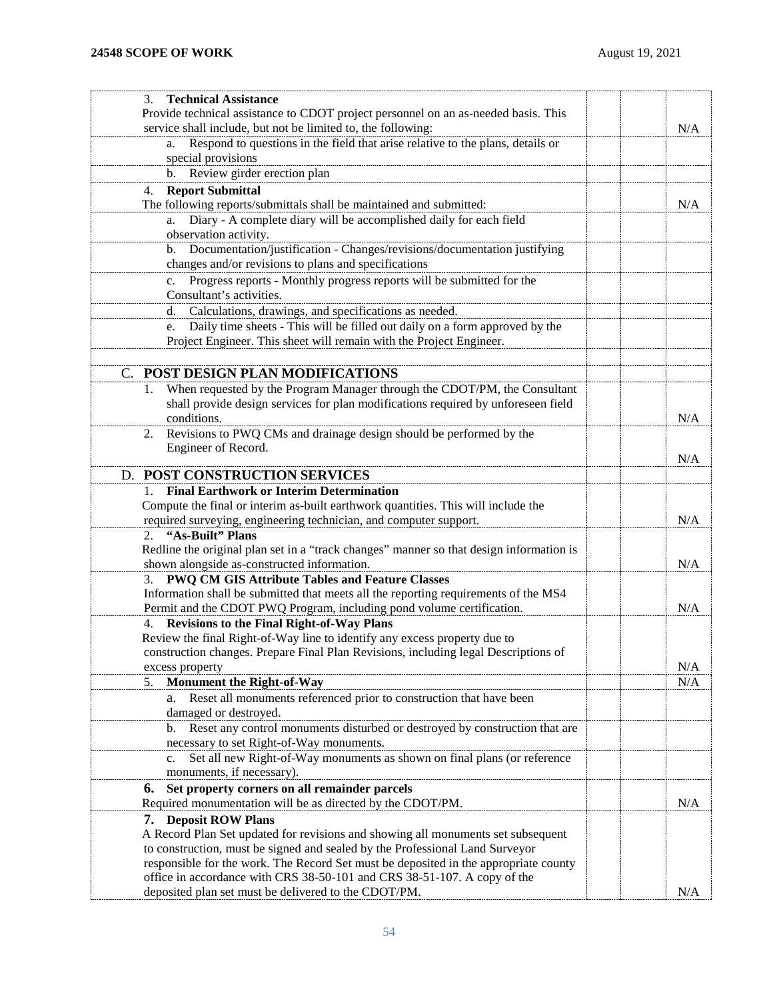<span id="page-53-1"></span><span id="page-53-0"></span>

| <b>Technical Assistance</b><br>3.                                                       |     |
|-----------------------------------------------------------------------------------------|-----|
| Provide technical assistance to CDOT project personnel on an as-needed basis. This      |     |
| service shall include, but not be limited to, the following:                            | N/A |
| Respond to questions in the field that arise relative to the plans, details or<br>a.    |     |
| special provisions                                                                      |     |
| b. Review girder erection plan                                                          |     |
|                                                                                         |     |
| <b>Report Submittal</b><br>4.                                                           |     |
| The following reports/submittals shall be maintained and submitted:                     | N/A |
| Diary - A complete diary will be accomplished daily for each field<br>а.                |     |
| observation activity.                                                                   |     |
| b. Documentation/justification - Changes/revisions/documentation justifying             |     |
| changes and/or revisions to plans and specifications                                    |     |
| Progress reports - Monthly progress reports will be submitted for the<br>$c_{\cdot}$    |     |
| Consultant's activities.                                                                |     |
| Calculations, drawings, and specifications as needed.<br>d.                             |     |
| Daily time sheets - This will be filled out daily on a form approved by the<br>e.       |     |
| Project Engineer. This sheet will remain with the Project Engineer.                     |     |
|                                                                                         |     |
| POST DESIGN PLAN MODIFICATIONS<br>C.                                                    |     |
| When requested by the Program Manager through the CDOT/PM, the Consultant               |     |
| shall provide design services for plan modifications required by unforeseen field       |     |
| conditions.                                                                             | N/A |
| Revisions to PWQ CMs and drainage design should be performed by the<br>2.               |     |
| Engineer of Record.                                                                     |     |
|                                                                                         | N/A |
| D. POST CONSTRUCTION SERVICES                                                           |     |
| <b>Final Earthwork or Interim Determination</b>                                         |     |
| Compute the final or interim as-built earthwork quantities. This will include the       |     |
| required surveying, engineering technician, and computer support.                       | N/A |
| 2. "As-Built" Plans                                                                     |     |
| Redline the original plan set in a "track changes" manner so that design information is |     |
| shown alongside as-constructed information.                                             | N/A |
| 3. PWQ CM GIS Attribute Tables and Feature Classes                                      |     |
| Information shall be submitted that meets all the reporting requirements of the MS4     |     |
| Permit and the CDOT PWQ Program, including pond volume certification.                   | N/A |
| 4. Revisions to the Final Right-of-Way Plans                                            |     |
| Review the final Right-of-Way line to identify any excess property due to               |     |
| construction changes. Prepare Final Plan Revisions, including legal Descriptions of     |     |
| excess property                                                                         | N/A |
| <b>Monument the Right-of-Way</b><br>5.                                                  | N/A |
| a. Reset all monuments referenced prior to construction that have been                  |     |
| damaged or destroyed.                                                                   |     |
| b. Reset any control monuments disturbed or destroyed by construction that are          |     |
| necessary to set Right-of-Way monuments.                                                |     |
| Set all new Right-of-Way monuments as shown on final plans (or reference<br>c.          |     |
| monuments, if necessary).                                                               |     |
| Set property corners on all remainder parcels<br>6.                                     |     |
| Required monumentation will be as directed by the CDOT/PM.                              | N/A |
| 7. Deposit ROW Plans                                                                    |     |
| A Record Plan Set updated for revisions and showing all monuments set subsequent        |     |
| to construction, must be signed and sealed by the Professional Land Surveyor            |     |
| responsible for the work. The Record Set must be deposited in the appropriate county    |     |
| office in accordance with CRS 38-50-101 and CRS 38-51-107. A copy of the                |     |
| deposited plan set must be delivered to the CDOT/PM.                                    | N/A |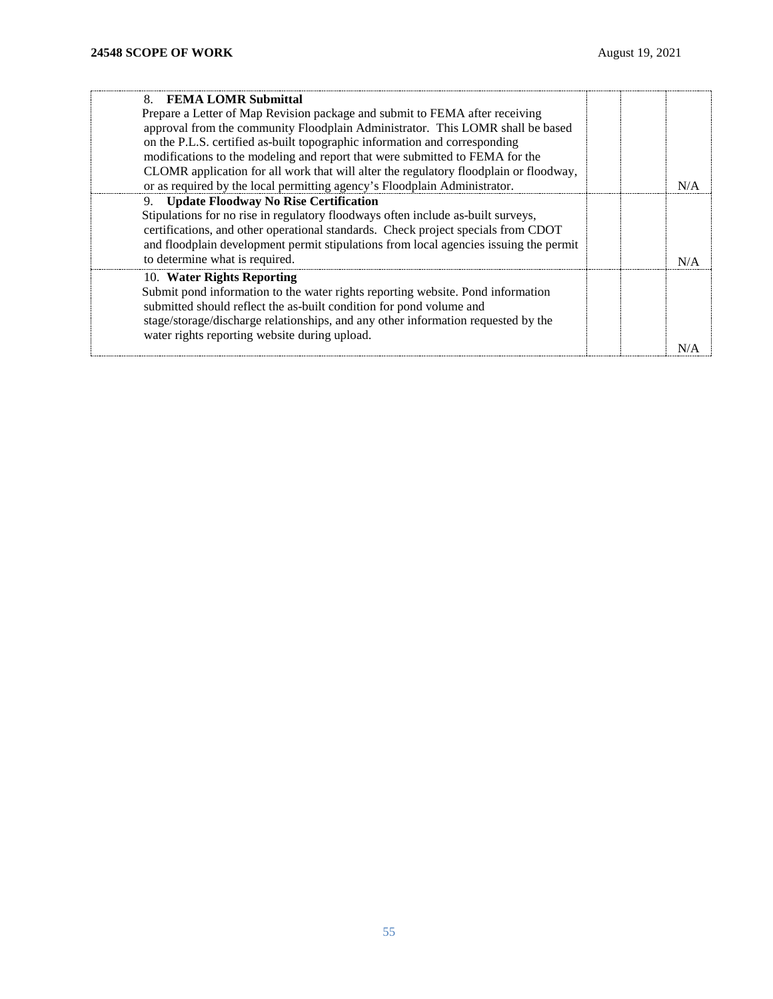| 8. FEMA LOMR Submittal                                                                |  |  |
|---------------------------------------------------------------------------------------|--|--|
| Prepare a Letter of Map Revision package and submit to FEMA after receiving           |  |  |
| approval from the community Floodplain Administrator. This LOMR shall be based        |  |  |
| on the P.L.S. certified as-built topographic information and corresponding            |  |  |
| modifications to the modeling and report that were submitted to FEMA for the          |  |  |
| CLOMR application for all work that will alter the regulatory floodplain or floodway, |  |  |
| or as required by the local permitting agency's Floodplain Administrator.             |  |  |
| 9. Update Floodway No Rise Certification                                              |  |  |
| Stipulations for no rise in regulatory floodways often include as-built surveys,      |  |  |
| certifications, and other operational standards. Check project specials from CDOT     |  |  |
| and floodplain development permit stipulations from local agencies issuing the permit |  |  |
| to determine what is required.                                                        |  |  |
| 10. Water Rights Reporting                                                            |  |  |
| Submit pond information to the water rights reporting website. Pond information       |  |  |
| submitted should reflect the as-built condition for pond volume and                   |  |  |
| stage/storage/discharge relationships, and any other information requested by the     |  |  |
| water rights reporting website during upload.                                         |  |  |
|                                                                                       |  |  |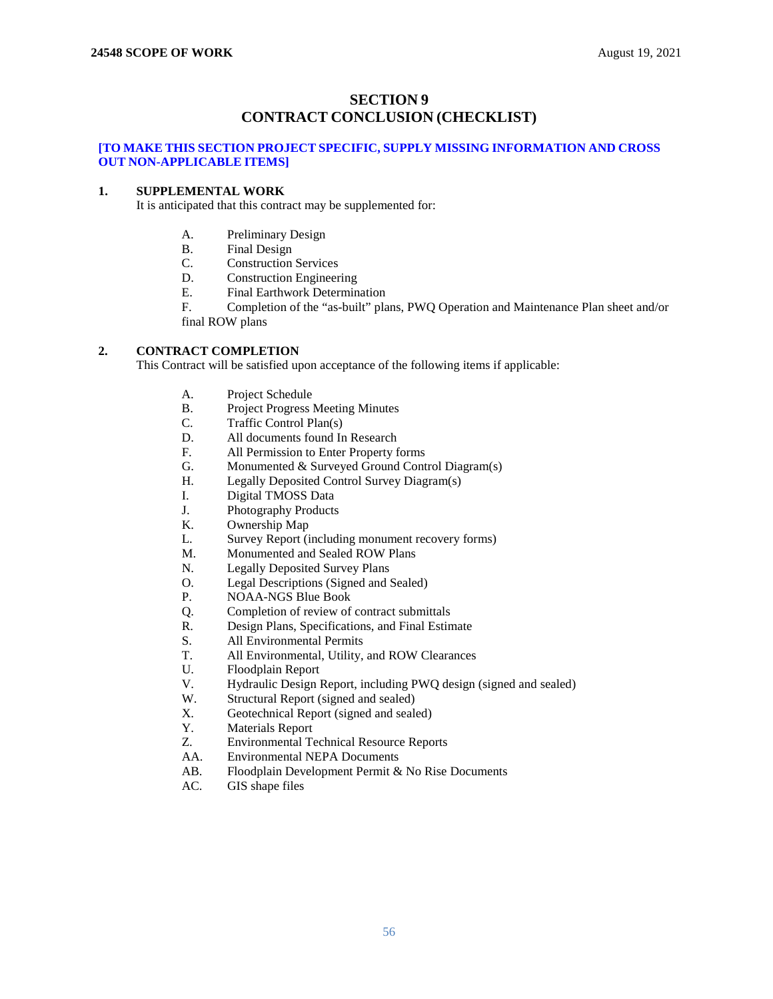## **SECTION 9 CONTRACT CONCLUSION (CHECKLIST)**

## <span id="page-55-1"></span><span id="page-55-0"></span>**[TO MAKE THIS SECTION PROJECT SPECIFIC, SUPPLY MISSING INFORMATION AND CROSS OUT NON-APPLICABLE ITEMS]**

## **1. SUPPLEMENTAL WORK**

It is anticipated that this contract may be supplemented for:

- A. Preliminary Design
- B. Final Design
- C. Construction Services
- D. Construction Engineering<br>E. Final Earthwork Determin
- Final Earthwork Determination

F. Completion of the "as-built" plans, PWQ Operation and Maintenance Plan sheet and/or final ROW plans

## **2. CONTRACT COMPLETION**

This Contract will be satisfied upon acceptance of the following items if applicable:

- A. Project Schedule<br>B. Project Progress
- B. Project Progress Meeting Minutes
- C. Traffic Control Plan(s)
- D. All documents found In Research<br>F. All Permission to Enter Property f
- All Permission to Enter Property forms
- G. Monumented & Surveyed Ground Control Diagram(s)
- H. Legally Deposited Control Survey Diagram(s)<br>
L. Digital TMOSS Data
- Digital TMOSS Data
- J. Photography Products
- K. Ownership Map
- L. Survey Report (including monument recovery forms)
- M. Monumented and Sealed ROW Plans
- 
- N. Legally Deposited Survey Plans<br>O. Legal Descriptions (Signed and ! O. Legal Descriptions (Signed and Sealed)<br>P. NOAA-NGS Blue Book
- NOAA-NGS Blue Book
- Q. Completion of review of contract submittals<br>R. Design Plans, Specifications, and Final Estin
- Design Plans, Specifications, and Final Estimate
- S. All Environmental Permits
- T. All Environmental, Utility, and ROW Clearances
- U. Floodplain Report
- V. Hydraulic Design Report, including PWQ design (signed and sealed)
- W. Structural Report (signed and sealed)
- X. Geotechnical Report (signed and sealed)<br>Y. Materials Report
- Materials Report
- Z. Environmental Technical Resource Reports<br>AA. Environmental NEPA Documents
- **Environmental NEPA Documents**
- AB. Floodplain Development Permit & No Rise Documents
- AC. GIS shape files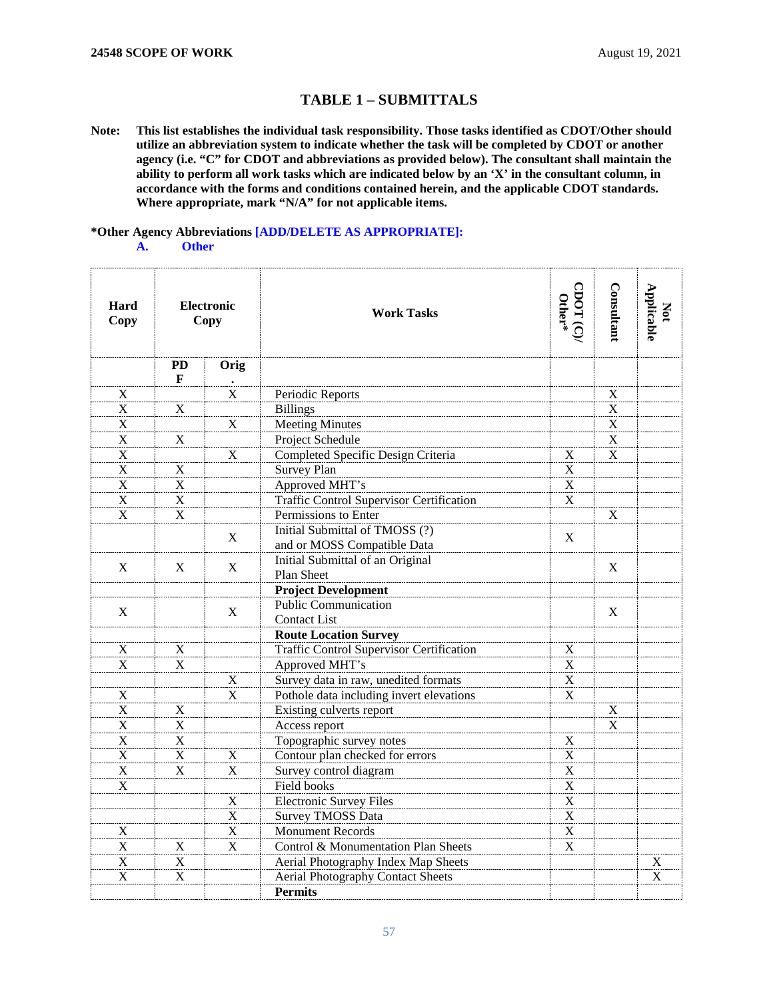# **TABLE 1 – SUBMITTALS**

**Note: This list establishes the individual task responsibility. Those tasks identified as CDOT/Other should utilize an abbreviation system to indicate whether the task will be completed by CDOT or another agency (i.e. "C" for CDOT and abbreviations as provided below). The consultant shall maintain the ability to perform all work tasks which are indicated below by an 'X' in the consultant column, in accordance with the forms and conditions contained herein, and the applicable CDOT standards. Where appropriate, mark "N/A" for not applicable items.**

## **\*Other Agency Abbreviations [ADD/DELETE AS APPROPRIATE]:**

**A. Other**

| Hard<br>Copy              | <b>Electronic</b><br>Copy |                         | <b>Work Tasks</b>                               | $\text{CDOT}(\mathbb{C})$ | <b>Consultant</b>         | Not<br>Applicable         |
|---------------------------|---------------------------|-------------------------|-------------------------------------------------|---------------------------|---------------------------|---------------------------|
|                           | <b>PD</b><br>F            | Orig                    |                                                 |                           |                           |                           |
| X                         |                           | $\frac{1}{X}$           | Periodic Reports                                |                           | $\mathbf X$               |                           |
| X                         | $\mathbf X$               |                         | <b>Billings</b>                                 |                           | $\mathbf X$               |                           |
| X                         |                           | $\overline{X}$          | Meeting Minutes                                 |                           | X                         |                           |
| $\mathbf X$               | $\mathbf X$               |                         | Project Schedule                                |                           | $\boldsymbol{\mathrm{X}}$ |                           |
| X                         |                           | X                       | Completed Specific Design Criteria              | X                         | X                         |                           |
| $\mathbf X$               | $\mathbf X$               |                         | Survey Plan                                     | $\overline{\text{X}}$     |                           |                           |
| $\mathbf X$               | $\mathbf X$               |                         | Approved MHT's                                  | $\overline{\mathbf{x}}$   |                           |                           |
| X                         | $\mathbf X$               |                         | <b>Traffic Control Supervisor Certification</b> | $\mathbf X$               |                           |                           |
| X                         | X                         |                         | Permissions to Enter                            |                           | $\mathbf X$               |                           |
|                           |                           |                         | Initial Submittal of TMOSS (?)                  |                           |                           |                           |
|                           |                           | $\mathbf X$             | and or MOSS Compatible Data                     | $\mathbf X$               |                           |                           |
| X                         | $\mathbf X$               | $\mathbf X$             | Initial Submittal of an Original                |                           | X                         |                           |
|                           |                           |                         | <b>Plan Sheet</b>                               |                           |                           |                           |
|                           |                           |                         | <b>Project Development</b>                      |                           |                           |                           |
| X                         |                           | X                       | <b>Public Communication</b>                     |                           | $\mathbf X$               |                           |
|                           |                           |                         | <b>Contact List</b>                             |                           |                           |                           |
|                           |                           |                         | <b>Route Location Survey</b>                    |                           |                           |                           |
| X                         | $\mathbf X$               |                         | <b>Traffic Control Supervisor Certification</b> | $\mathbf X$               |                           |                           |
| X                         | X                         |                         | Approved MHT's                                  | $\overline{\mathbf{x}}$   |                           |                           |
|                           |                           | $\mathbf X$             | Survey data in raw, unedited formats            | $\overline{\mathbf{x}}$   |                           |                           |
| X                         |                           | $\mathbf X$             | Pothole data including invert elevations        | $\overline{\mathbf{X}}$   |                           |                           |
| $\mathbf X$               | $\mathbf X$               |                         | Existing culverts report                        |                           | $\mathbf X$               |                           |
| X                         | X                         |                         | Access report                                   |                           | X                         |                           |
| $\boldsymbol{\mathrm{X}}$ | $\mathbf X$               |                         | Topographic survey notes                        | $\boldsymbol{\mathrm{X}}$ |                           |                           |
| $\boldsymbol{\mathrm{X}}$ | $\mathbf X$               | $\mathbf X$             | Contour plan checked for errors                 | $\overline{\mathbf{x}}$   |                           |                           |
| X                         | X                         | X                       | Survey control diagram                          | $\mathbf X$               |                           |                           |
| X                         |                           |                         | <b>Field books</b>                              | $\boldsymbol{\mathrm{X}}$ |                           |                           |
|                           |                           | X                       | Electronic Survey Files                         | $\overline{\mathbf{X}}$   |                           |                           |
|                           |                           | $\overline{\mathbf{X}}$ | <b>Survey TMOSS Data</b>                        | $\overline{\text{X}}$     |                           |                           |
| X                         |                           | $\mathbf X$             | <b>Monument Records</b>                         | $\mathbf X$               |                           |                           |
| X                         | $\mathbf X$               | $\mathbf X$             | Control & Monumentation Plan Sheets             | $\mathbf X$               |                           |                           |
| X                         | X                         |                         | Aerial Photography Index Map Sheets             |                           |                           | X                         |
| $\boldsymbol{\mathrm{X}}$ | $\mathbf X$               |                         | <b>Aerial Photography Contact Sheets</b>        |                           |                           | $\boldsymbol{\mathrm{X}}$ |
|                           |                           |                         | <b>Permits</b>                                  |                           |                           |                           |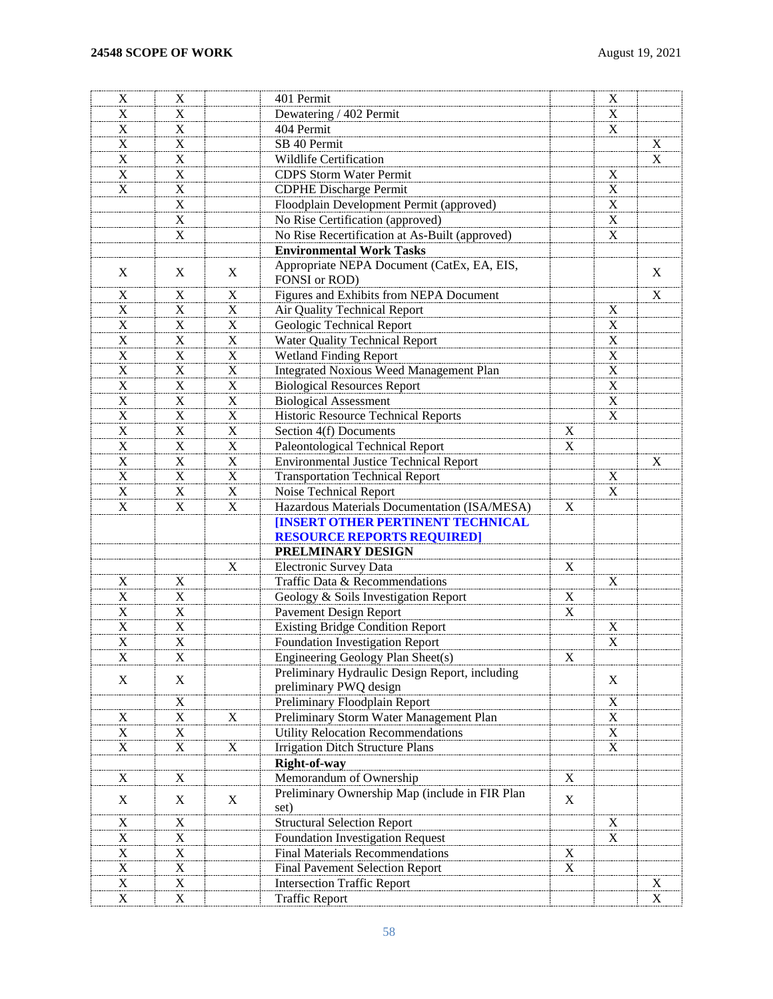| $\mathbf X$               | X                         |             | 401 Permit                                                               |                           | X                       |                         |
|---------------------------|---------------------------|-------------|--------------------------------------------------------------------------|---------------------------|-------------------------|-------------------------|
| X                         | X                         |             | Dewatering / 402 Permit                                                  |                           | $\mathbf X$             |                         |
| $\mathbf X$               | $\mathbf X$               |             | 404 Permit                                                               |                           | $\mathbf X$             |                         |
| $\mathbf X$               | $\overline{\mathbf{X}}$   |             | SB 40 Permit                                                             |                           |                         | $\mathbf X$             |
| $\boldsymbol{\mathrm{X}}$ | $\boldsymbol{\mathrm{X}}$ |             | Wildlife Certification                                                   |                           |                         | $\overline{\mathbf{X}}$ |
| $\mathbf X$               | $\mathbf X$               |             | <b>CDPS</b> Storm Water Permit                                           |                           | $\mathbf X$             |                         |
| $\mathbf X$               | $\overline{X}$            |             | <b>CDPHE Discharge Permit</b>                                            |                           | $\overline{\mathbf{X}}$ |                         |
|                           | $\mathbf X$               |             | Floodplain Development Permit (approved)                                 |                           | $\overline{\mathbf{X}}$ |                         |
|                           | $\overline{X}$            |             | No Rise Certification (approved)                                         |                           | $\overline{\mathbf{x}}$ |                         |
|                           | $\boldsymbol{\mathrm{X}}$ |             | No Rise Recertification at As-Built (approved)                           |                           | $\overline{\text{X}}$   |                         |
|                           |                           |             | <b>Environmental Work Tasks</b>                                          |                           |                         |                         |
| X                         | X                         | X           | Appropriate NEPA Document (CatEx, EA, EIS,<br>FONSI or ROD)              |                           |                         | X                       |
| X                         | $\mathbf X$               | $\mathbf X$ | Figures and Exhibits from NEPA Document                                  |                           |                         | $\mathbf X$             |
| $\boldsymbol{\mathrm{X}}$ | $\mathbf X$               | $\mathbf X$ | Air Quality Technical Report                                             |                           | $\mathbf X$             |                         |
| $\boldsymbol{\mathrm{X}}$ | $\mathbf X$               | $\mathbf X$ | Geologic Technical Report                                                |                           | $\mathbf X$             |                         |
| $\mathbf X$               | $\mathbf X$               | $\mathbf X$ | Water Quality Technical Report                                           |                           | $\mathbf X$             |                         |
| $\mathbf X$               | $\mathbf X$               | $\mathbf X$ | Wetland Finding Report                                                   |                           | $\mathbf X$             |                         |
| $\mathbf X$               | $\mathbf X$               | $\mathbf X$ | <b>Integrated Noxious Weed Management Plan</b>                           |                           | $\mathbf X$             |                         |
| $\mathbf X$               | $\mathbf X$               | $\mathbf X$ | <b>Biological Resources Report</b>                                       |                           | $\mathbf X$             |                         |
| $\mathbf X$               | $\mathbf X$               | $\mathbf X$ | <b>Biological Assessment</b>                                             |                           | $\mathbf X$             |                         |
| $\mathbf X$               | $\mathbf X$               | $\mathbf X$ | Historic Resource Technical Reports                                      |                           | $\mathbf X$             |                         |
| $\mathbf X$               | $\mathbf X$               | $\mathbf X$ | Section 4(f) Documents                                                   | $\boldsymbol{\mathrm{X}}$ |                         |                         |
| $\mathbf X$               | $\mathbf X$               | $\mathbf X$ | Paleontological Technical Report                                         | $\mathbf X$               |                         |                         |
| $\mathbf X$               | $\mathbf X$               | $\mathbf X$ | <b>Environmental Justice Technical Report</b>                            |                           |                         | $\mathbf X$             |
| $\mathbf X$               | $\mathbf X$               | $\mathbf X$ | <b>Transportation Technical Report</b>                                   |                           | $\mathbf X$             |                         |
| $\mathbf X$               | $\mathbf X$               | $\mathbf X$ | Noise Technical Report                                                   |                           | $\mathbf X$             |                         |
| X                         | $\mathbf X$               | $\mathbf X$ | Hazardous Materials Documentation (ISA/MESA)                             | $\mathbf X$               |                         |                         |
|                           |                           |             |                                                                          |                           |                         |                         |
|                           |                           |             | <b>[INSERT OTHER PERTINENT TECHNICAL</b>                                 |                           |                         |                         |
|                           |                           |             | <b>RESOURCE REPORTS REQUIRED]</b><br>PRELMINARY DESIGN                   |                           |                         |                         |
|                           |                           | X           |                                                                          |                           |                         |                         |
|                           |                           |             | Electronic Survey Data                                                   | X                         | $\mathbf X$             |                         |
| X                         | X                         |             | Traffic Data & Recommendations                                           |                           |                         |                         |
| X                         | X                         |             | Geology & Soils Investigation Report                                     | X                         |                         |                         |
| $\boldsymbol{\mathrm{X}}$ | $\mathbf X$               |             | Pavement Design Report                                                   | X                         |                         |                         |
| $\boldsymbol{\mathrm{X}}$ | $\mathbf X$               |             | <b>Existing Bridge Condition Report</b>                                  |                           | $\mathbf X$             |                         |
| X                         | $\mathbf X$               |             | Foundation Investigation Report                                          |                           | X                       |                         |
| X                         | $\mathbf X$               |             | Engineering Geology Plan Sheet(s)                                        | $\mathbf X$               |                         |                         |
| X                         | X                         |             | Preliminary Hydraulic Design Report, including<br>preliminary PWQ design |                           | $\mathbf X$             |                         |
|                           | $\boldsymbol{\mathrm{X}}$ |             | Preliminary Floodplain Report                                            |                           | $\mathbf X$             |                         |
| $\boldsymbol{\mathrm{X}}$ | $\mathbf X$               | $\mathbf X$ | Preliminary Storm Water Management Plan                                  |                           | $\mathbf X$             |                         |
| $\mathbf X$               | $\mathbf X$               |             | <b>Utility Relocation Recommendations</b>                                |                           | $\mathbf X$             |                         |
| X                         | $\overline{X}$            | $\mathbf X$ | <b>Irrigation Ditch Structure Plans</b>                                  |                           | $\mathbf X$             |                         |
|                           |                           |             | Right-of-way                                                             |                           |                         |                         |
| $\boldsymbol{\mathrm{X}}$ | $\mathbf X$               |             | Memorandum of Ownership                                                  | $\mathbf X$               |                         |                         |
| X                         | X                         | X           | Preliminary Ownership Map (include in FIR Plan<br>set)                   | X                         |                         |                         |
| $\boldsymbol{\mathrm{X}}$ | $\mathbf X$               |             | <b>Structural Selection Report</b>                                       |                           | $\mathbf X$             |                         |
| X                         | $\mathbf X$               |             | Foundation Investigation Request                                         |                           | $\mathbf X$             |                         |
| $\mathbf X$               | $\mathbf X$               |             | <b>Final Materials Recommendations</b>                                   | $\mathbf X$               |                         |                         |
| $\mathbf X$               | $\mathbf X$               |             | <b>Final Pavement Selection Report</b>                                   | $\mathbf X$               |                         |                         |
| $\mathbf X$               | $\mathbf X$               |             | Intersection Traffic Report                                              |                           |                         | $\mathbf X$             |
| $\overline{X}$            | $\mathbf X$               |             | <b>Traffic Report</b>                                                    |                           |                         | $\mathbf X$             |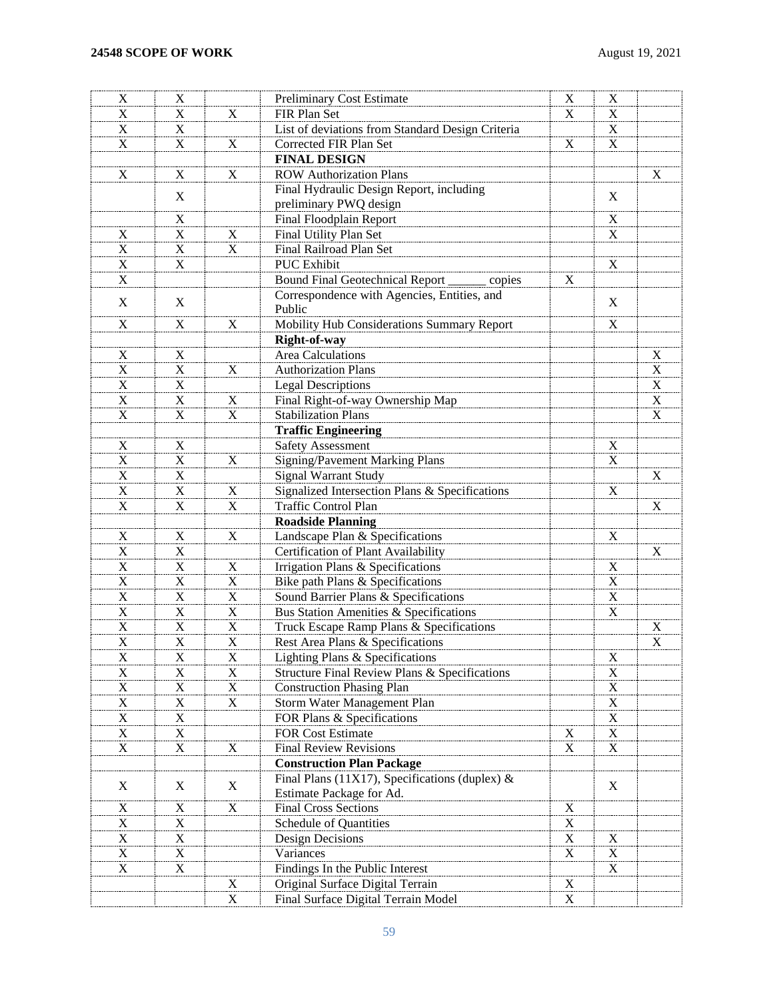| X                         | X                         |                         | Preliminary Cost Estimate                        | X              | X                         |                           |
|---------------------------|---------------------------|-------------------------|--------------------------------------------------|----------------|---------------------------|---------------------------|
| X                         | X                         | X                       | FIR Plan Set                                     | X              | Χ                         |                           |
| X                         | X                         |                         | List of deviations from Standard Design Criteria |                | X                         |                           |
| X                         | X                         | X                       | Corrected FIR Plan Set                           | X              | X                         |                           |
|                           |                           |                         | <b>FINAL DESIGN</b>                              |                |                           |                           |
| X                         | X                         | X                       | <b>ROW Authorization Plans</b>                   |                |                           | X                         |
|                           |                           |                         | Final Hydraulic Design Report, including         |                |                           |                           |
|                           | X                         |                         | preliminary PWQ design                           |                | X                         |                           |
|                           | X                         |                         | Final Floodplain Report                          |                | X                         |                           |
| X                         | $\mathbf X$               | X                       | Final Utility Plan Set                           |                | X                         |                           |
| X                         | $\mathbf X$               | X                       | Final Railroad Plan Set                          |                |                           |                           |
| $\mathbf X$               | X                         |                         | <b>PUC</b> Exhibit                               |                | X                         |                           |
| X                         |                           |                         | <b>Bound Final Geotechnical Report</b><br>copies | X              |                           |                           |
|                           |                           |                         | Correspondence with Agencies, Entities, and      |                |                           |                           |
| X                         | X                         |                         | Public                                           |                | X                         |                           |
| X                         | X                         | X                       | Mobility Hub Considerations Summary Report       |                | X                         |                           |
|                           |                           |                         |                                                  |                |                           |                           |
|                           |                           |                         | Right-of-way<br>Area Calculations                |                |                           | $\mathbf X$               |
| X<br>$\mathbf X$          | X<br>$\mathbf X$          |                         | <b>Authorization Plans</b>                       |                |                           | $\overline{X}$            |
|                           | $\overline{X}$            | X                       |                                                  |                |                           | $\overline{\mathbf{x}}$   |
| $\mathbf X$               |                           |                         | <b>Legal Descriptions</b>                        |                |                           |                           |
| X                         | $\mathbf X$               | X                       | Final Right-of-way Ownership Map                 |                |                           | $\overline{X}$            |
| $\mathbf X$               | $\mathbf X$               | $\overline{\mathbf{X}}$ | <b>Stabilization Plans</b>                       |                |                           | $\overline{\mathrm{x}}$   |
|                           |                           |                         | <b>Traffic Engineering</b>                       |                |                           |                           |
| X                         | X                         |                         | Safety Assessment                                |                | X                         |                           |
| $\mathbf X$               | $\mathbf X$               | X                       | <b>Signing/Pavement Marking Plans</b>            |                | $\overline{\text{X}}$     |                           |
| X                         | $\boldsymbol{\mathrm{X}}$ |                         | Signal Warrant Study                             |                |                           | X                         |
| $\mathbf X$               | $\overline{X}$            | X                       | Signalized Intersection Plans & Specifications   |                | $\boldsymbol{\mathrm{X}}$ |                           |
| $\boldsymbol{\mathrm{X}}$ | $\boldsymbol{\mathrm{X}}$ | $\mathbf X$             | <b>Traffic Control Plan</b>                      |                |                           | $\boldsymbol{\mathrm{X}}$ |
|                           |                           |                         | <b>Roadside Planning</b>                         |                |                           |                           |
| X                         | X                         | X                       | Landscape Plan & Specifications                  |                | $\boldsymbol{\mathrm{X}}$ |                           |
| $\mathbf X$               | $\boldsymbol{\mathrm{X}}$ |                         | Certification of Plant Availability              |                |                           | X                         |
| $\mathbf X$               | $\overline{X}$            | X                       | Irrigation Plans & Specifications                |                | $\boldsymbol{\mathrm{X}}$ |                           |
| $\mathbf X$               | $\mathbf X$               | $\mathbf X$             | Bike path Plans & Specifications                 |                | $\overline{\textbf{X}}$   |                           |
| $\mathbf X$               | $\mathbf X$               | X                       | Sound Barrier Plans & Specifications             |                | $\overline{\mathbf{x}}$   |                           |
| $\mathbf X$               | $\overline{X}$            | $\mathbf X$             | Bus Station Amenities & Specifications           |                | $\overline{\text{X}}$     |                           |
| X                         | $\boldsymbol{\mathrm{X}}$ | X                       | Truck Escape Ramp Plans & Specifications         |                |                           | X                         |
| X                         | X                         | X                       | Rest Area Plans & Specifications                 |                |                           | $\mathbf X$               |
| $\overline{X}$            | $\overline{X}$            | $\overline{X}$          | Lighting Plans & Specifications                  |                | $\mathbf{X}$              |                           |
| X                         | X                         | X                       | Structure Final Review Plans & Specifications    |                | X                         |                           |
| X                         | $\mathbf X$               | $\mathbf X$             | <b>Construction Phasing Plan</b>                 |                | $\overline{X}$            |                           |
| X                         | X                         | $\mathbf X$             | Storm Water Management Plan                      |                | $\mathbf X$               |                           |
| X                         | $\mathbf X$               |                         | FOR Plans & Specifications                       |                | $\mathbf X$               |                           |
| $\mathbf X$               | X                         |                         | <b>FOR Cost Estimate</b>                         | X              | $\mathbf X$               |                           |
| X                         | X                         | X                       | <b>Final Review Revisions</b>                    | $\mathbf X$    | $\mathbf X$               |                           |
|                           |                           |                         | <b>Construction Plan Package</b>                 |                |                           |                           |
|                           |                           |                         | Final Plans (11X17), Specifications (duplex) &   |                |                           |                           |
| X                         | X                         | X                       | Estimate Package for Ad.                         |                | $\mathbf X$               |                           |
| X                         | X                         | $\mathbf X$             | <b>Final Cross Sections</b>                      | $\mathbf X$    |                           |                           |
| X                         | $\mathbf X$               |                         | Schedule of Quantities                           | $\mathbf X$    |                           |                           |
| $\mathbf X$               | $\boldsymbol{\mathrm{X}}$ |                         | Design Decisions                                 | $\mathbf X$    | $\mathbf X$               |                           |
| X                         | $\mathbf X$               |                         | Variances                                        | $\overline{X}$ | $\mathbf X$               |                           |
| X                         | X                         |                         | Findings In the Public Interest                  |                | $\mathbf X$               |                           |
|                           |                           | X                       | Original Surface Digital Terrain                 | $\mathbf X$    |                           |                           |
|                           |                           | $\mathbf X$             | Final Surface Digital Terrain Model              | $\mathbf X$    |                           |                           |
|                           |                           |                         |                                                  |                |                           |                           |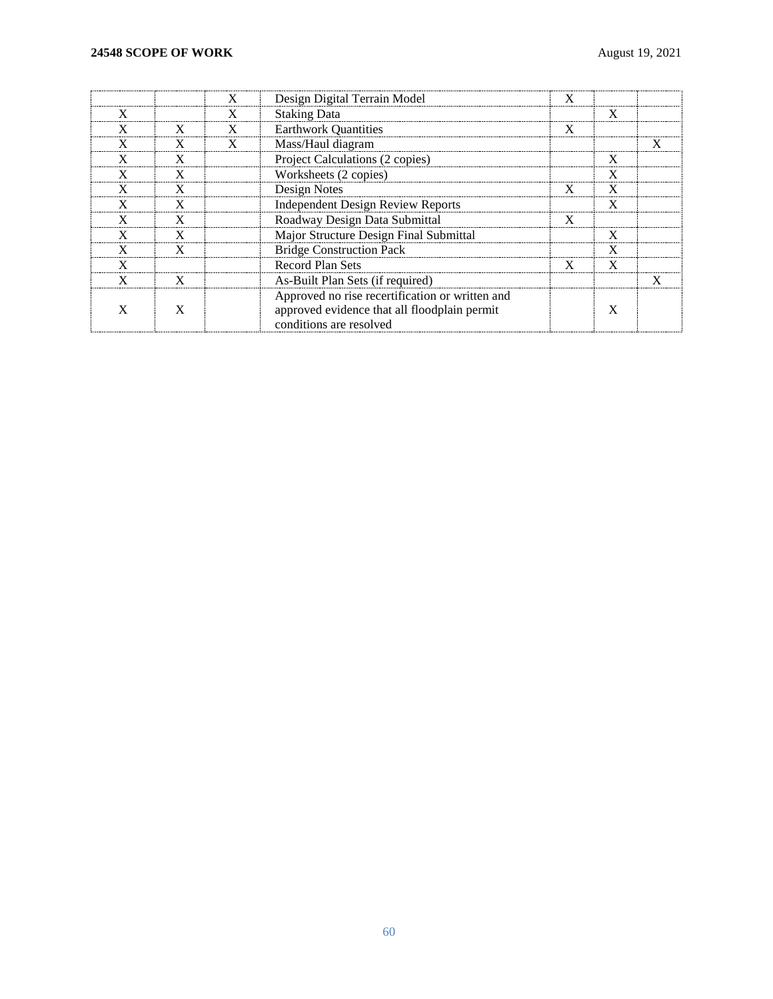|   |   | Design Digital Terrain Model                                                                    |   |   |  |
|---|---|-------------------------------------------------------------------------------------------------|---|---|--|
|   |   | <b>Staking Data</b>                                                                             |   |   |  |
| X | X | <b>Earthwork Quantities</b>                                                                     | X |   |  |
|   |   | Mass/Haul diagram                                                                               |   |   |  |
|   |   | Project Calculations (2 copies)                                                                 |   |   |  |
|   |   | Worksheets (2 copies)                                                                           |   |   |  |
|   |   | Design Notes                                                                                    |   |   |  |
|   |   | Independent Design Review Reports                                                               |   |   |  |
|   |   | Roadway Design Data Submittal                                                                   | X |   |  |
|   |   | Major Structure Design Final Submittal                                                          |   |   |  |
|   |   | <b>Bridge Construction Pack</b>                                                                 |   |   |  |
|   |   | <b>Record Plan Sets</b>                                                                         | x | x |  |
|   |   | As-Built Plan Sets (if required)                                                                |   |   |  |
|   |   | Approved no rise recertification or written and<br>approved evidence that all floodplain permit |   |   |  |
|   |   | conditions are resolved                                                                         |   |   |  |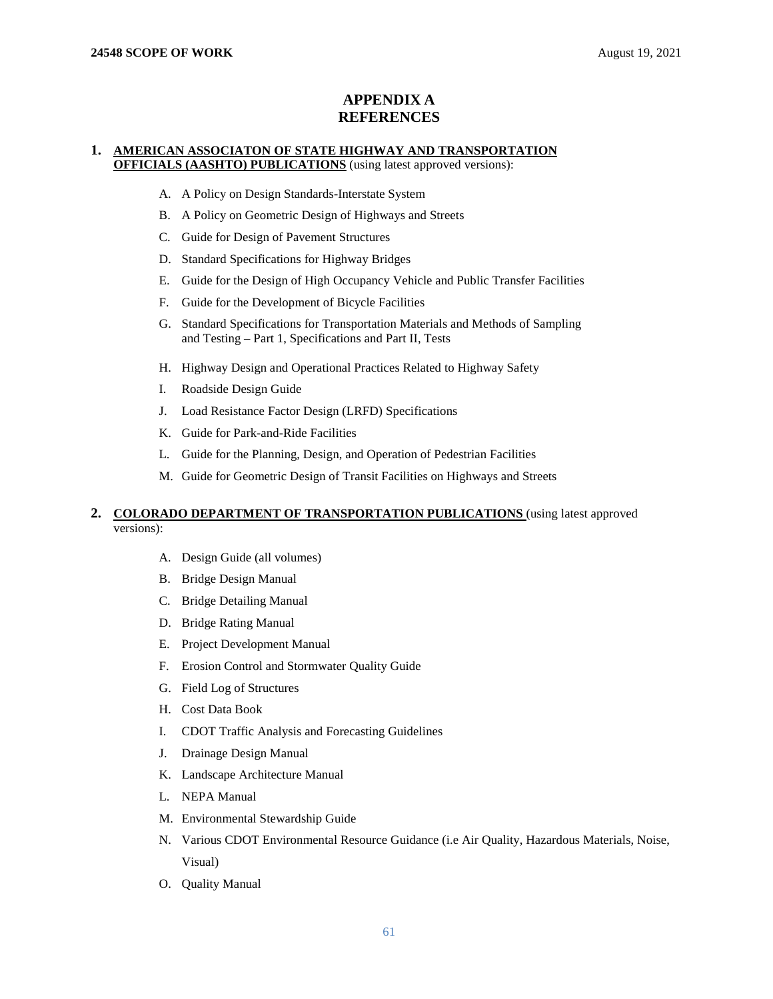## **APPENDIX A REFERENCES**

### **1. AMERICAN ASSOCIATON OF STATE HIGHWAY AND TRANSPORTATION OFFICIALS (AASHTO) PUBLICATIONS** (using latest approved versions):

- A. A Policy on Design Standards-Interstate System
- B. A Policy on Geometric Design of Highways and Streets
- C. Guide for Design of Pavement Structures
- D. Standard Specifications for Highway Bridges
- E. Guide for the Design of High Occupancy Vehicle and Public Transfer Facilities
- F. Guide for the Development of Bicycle Facilities
- G. Standard Specifications for Transportation Materials and Methods of Sampling and Testing – Part 1, Specifications and Part II, Tests
- H. Highway Design and Operational Practices Related to Highway Safety
- I. Roadside Design Guide
- J. Load Resistance Factor Design (LRFD) Specifications
- K. Guide for Park-and-Ride Facilities
- L. Guide for the Planning, Design, and Operation of Pedestrian Facilities
- M. Guide for Geometric Design of Transit Facilities on Highways and Streets

## **2. COLORADO DEPARTMENT OF TRANSPORTATION PUBLICATIONS** (using latest approved versions):

- A. Design Guide (all volumes)
- B. Bridge Design Manual
- C. Bridge Detailing Manual
- D. Bridge Rating Manual
- E. Project Development Manual
- F. Erosion Control and Stormwater Quality Guide
- G. Field Log of Structures
- H. Cost Data Book
- I. CDOT Traffic Analysis and Forecasting Guidelines
- J. Drainage Design Manual
- K. Landscape Architecture Manual
- L. NEPA Manual
- M. Environmental Stewardship Guide
- N. Various CDOT Environmental Resource Guidance (i.e Air Quality, Hazardous Materials, Noise, Visual)
- O. Quality Manual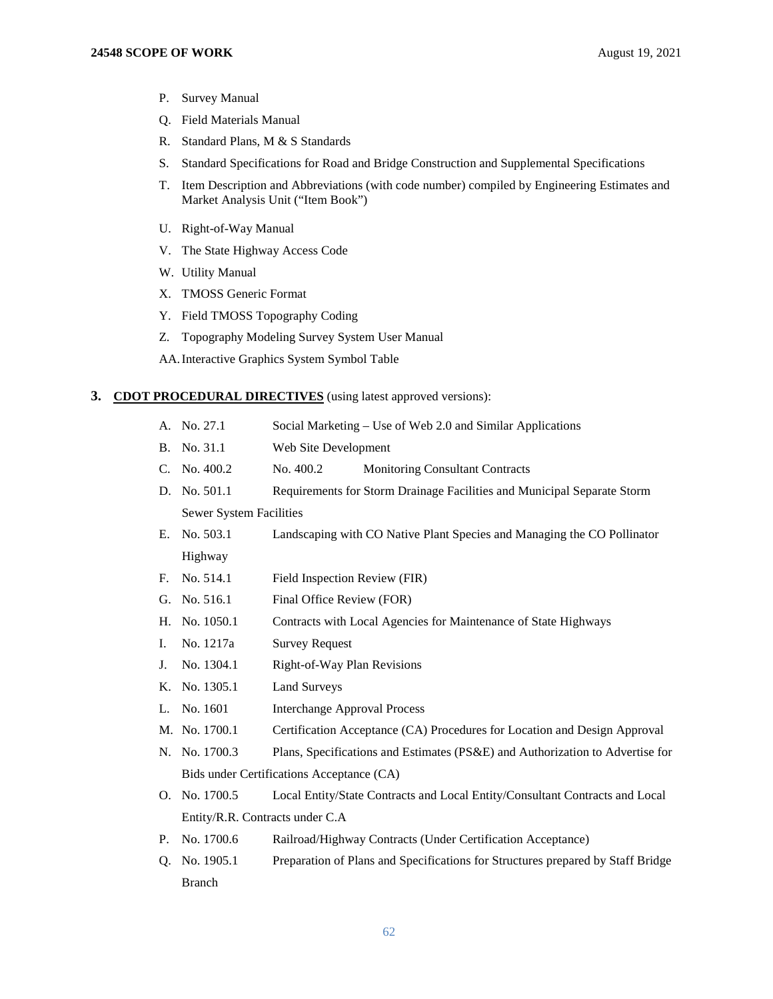- P. Survey Manual
- Q. Field Materials Manual
- R. Standard Plans, M & S Standards
- S. Standard Specifications for Road and Bridge Construction and Supplemental Specifications
- T. Item Description and Abbreviations (with code number) compiled by Engineering Estimates and Market Analysis Unit ("Item Book")
- U. Right-of-Way Manual
- V. The State Highway Access Code
- W. Utility Manual
- X. TMOSS Generic Format
- Y. Field TMOSS Topography Coding
- Z. Topography Modeling Survey System User Manual

AA.Interactive Graphics System Symbol Table

#### **3. CDOT PROCEDURAL DIRECTIVES** (using latest approved versions):

- A. No. 27.1 Social Marketing Use of Web 2.0 and Similar Applications
- B. No. 31.1 Web Site Development
- C. No. 400.2 No. 400.2 Monitoring Consultant Contracts
- D. No. 501.1 Requirements for Storm Drainage Facilities and Municipal Separate Storm Sewer System Facilities
- E. No. 503.1 Landscaping with CO Native Plant Species and Managing the CO Pollinator Highway
- F. No. 514.1 Field Inspection Review (FIR)
- G. No. 516.1 Final Office Review (FOR)
- H. No. 1050.1 Contracts with Local Agencies for Maintenance of State Highways
- I. No. 1217a Survey Request
- J. No. 1304.1 Right-of-Way Plan Revisions
- K. No. 1305.1 Land Surveys
- L. No. 1601 Interchange Approval Process
- M. No. 1700.1 Certification Acceptance (CA) Procedures for Location and Design Approval
- N. No. 1700.3 Plans, Specifications and Estimates (PS&E) and Authorization to Advertise for Bids under Certifications Acceptance (CA)
- O. No. 1700.5 Local Entity/State Contracts and Local Entity/Consultant Contracts and Local Entity/R.R. Contracts under C.A
- P. No. 1700.6 Railroad/Highway Contracts (Under Certification Acceptance)
- Q. No. 1905.1 Preparation of Plans and Specifications for Structures prepared by Staff Bridge Branch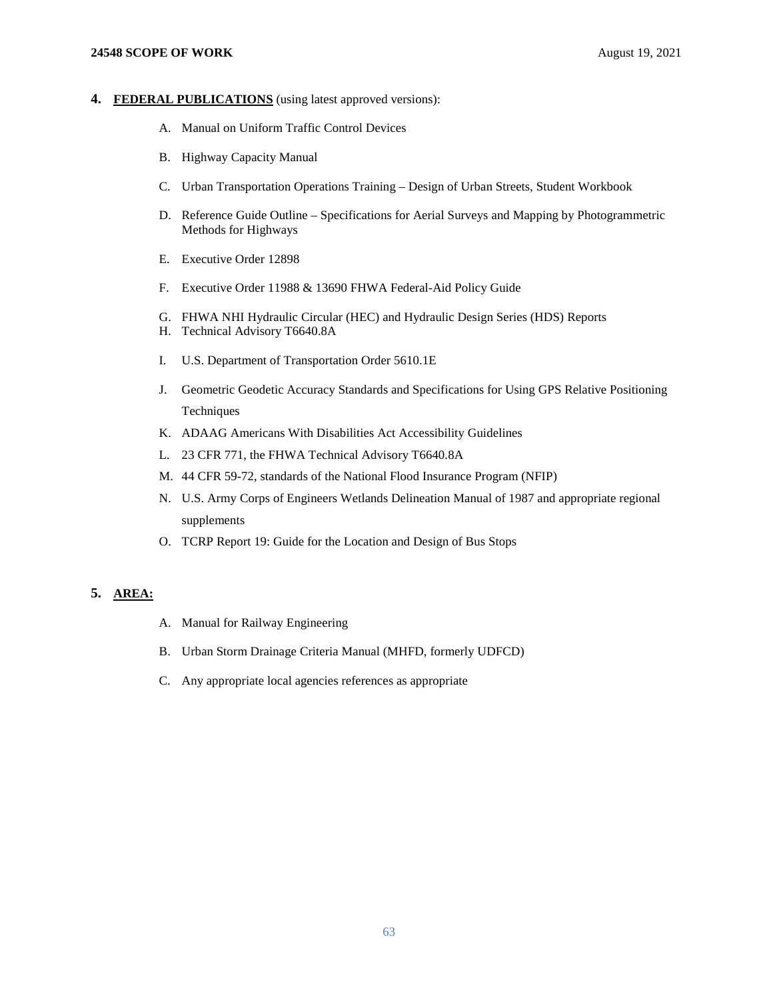### **24548 SCOPE OF WORK** August 19, 2021

### **4. FEDERAL PUBLICATIONS** (using latest approved versions):

- A. Manual on Uniform Traffic Control Devices
- B. Highway Capacity Manual
- C. Urban Transportation Operations Training Design of Urban Streets, Student Workbook
- D. Reference Guide Outline Specifications for Aerial Surveys and Mapping by Photogrammetric Methods for Highways
- E. Executive Order 12898
- F. Executive Order 11988 & 13690 FHWA Federal-Aid Policy Guide
- G. FHWA NHI Hydraulic Circular (HEC) and Hydraulic Design Series (HDS) Reports
- H. Technical Advisory T6640.8A
- I. U.S. Department of Transportation Order 5610.1E
- J. Geometric Geodetic Accuracy Standards and Specifications for Using GPS Relative Positioning Techniques
- K. ADAAG Americans With Disabilities Act Accessibility Guidelines
- L. 23 CFR 771, the FHWA Technical Advisory T6640.8A
- M. 44 CFR 59-72, standards of the National Flood Insurance Program (NFIP)
- N. U.S. Army Corps of Engineers Wetlands Delineation Manual of 1987 and appropriate regional supplements
- O. TCRP Report 19: Guide for the Location and Design of Bus Stops

## **5. AREA:**

- A. Manual for Railway Engineering
- B. Urban Storm Drainage Criteria Manual (MHFD, formerly UDFCD)
- C. Any appropriate local agencies references as appropriate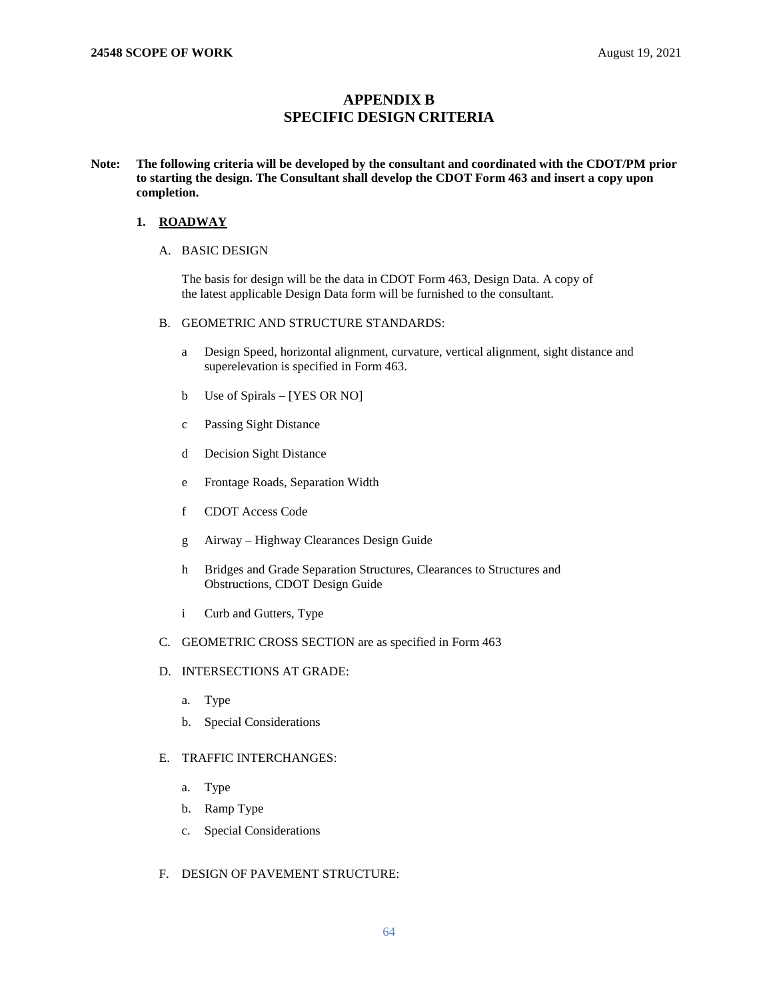## **APPENDIX B SPECIFIC DESIGN CRITERIA**

## **Note: The following criteria will be developed by the consultant and coordinated with the CDOT/PM prior to starting the design. The Consultant shall develop the CDOT Form 463 and insert a copy upon completion.**

## **1. ROADWAY**

## A. BASIC DESIGN

The basis for design will be the data in CDOT Form 463, Design Data. A copy of the latest applicable Design Data form will be furnished to the consultant.

## B. GEOMETRIC AND STRUCTURE STANDARDS:

- a Design Speed, horizontal alignment, curvature, vertical alignment, sight distance and superelevation is specified in Form 463.
- b Use of Spirals [YES OR NO]
- c Passing Sight Distance
- d Decision Sight Distance
- e Frontage Roads, Separation Width
- f CDOT Access Code
- g Airway Highway Clearances Design Guide
- h Bridges and Grade Separation Structures, Clearances to Structures and Obstructions, CDOT Design Guide
- i Curb and Gutters, Type
- C. GEOMETRIC CROSS SECTION are as specified in Form 463
- D. INTERSECTIONS AT GRADE:
	- a. Type
	- b. Special Considerations

## E. TRAFFIC INTERCHANGES:

- a. Type
- b. Ramp Type
- c. Special Considerations
- F. DESIGN OF PAVEMENT STRUCTURE: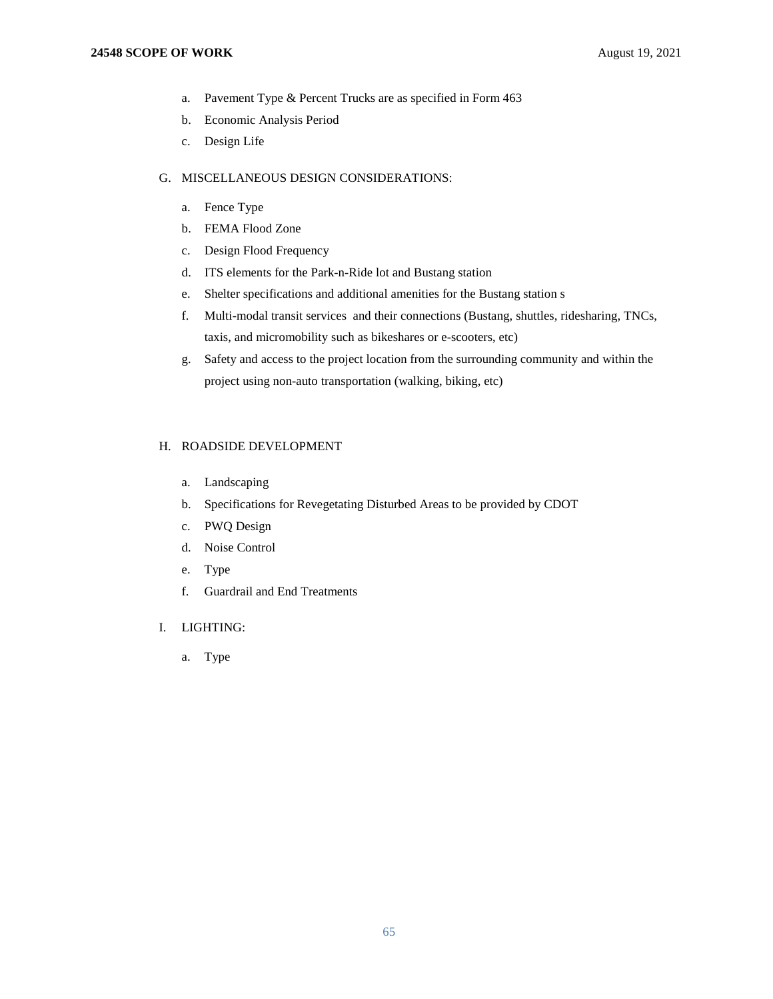- a. Pavement Type & Percent Trucks are as specified in Form 463
- b. Economic Analysis Period
- c. Design Life

### G. MISCELLANEOUS DESIGN CONSIDERATIONS:

- a. Fence Type
- b. FEMA Flood Zone
- c. Design Flood Frequency
- d. ITS elements for the Park-n-Ride lot and Bustang station
- e. Shelter specifications and additional amenities for the Bustang station s
- f. Multi-modal transit services and their connections (Bustang, shuttles, ridesharing, TNCs, taxis, and micromobility such as bikeshares or e-scooters, etc)
- g. Safety and access to the project location from the surrounding community and within the project using non-auto transportation (walking, biking, etc)

## H. ROADSIDE DEVELOPMENT

- a. Landscaping
- b. Specifications for Revegetating Disturbed Areas to be provided by CDOT
- c. PWQ Design
- d. Noise Control
- e. Type
- f. Guardrail and End Treatments

## I. LIGHTING:

a. Type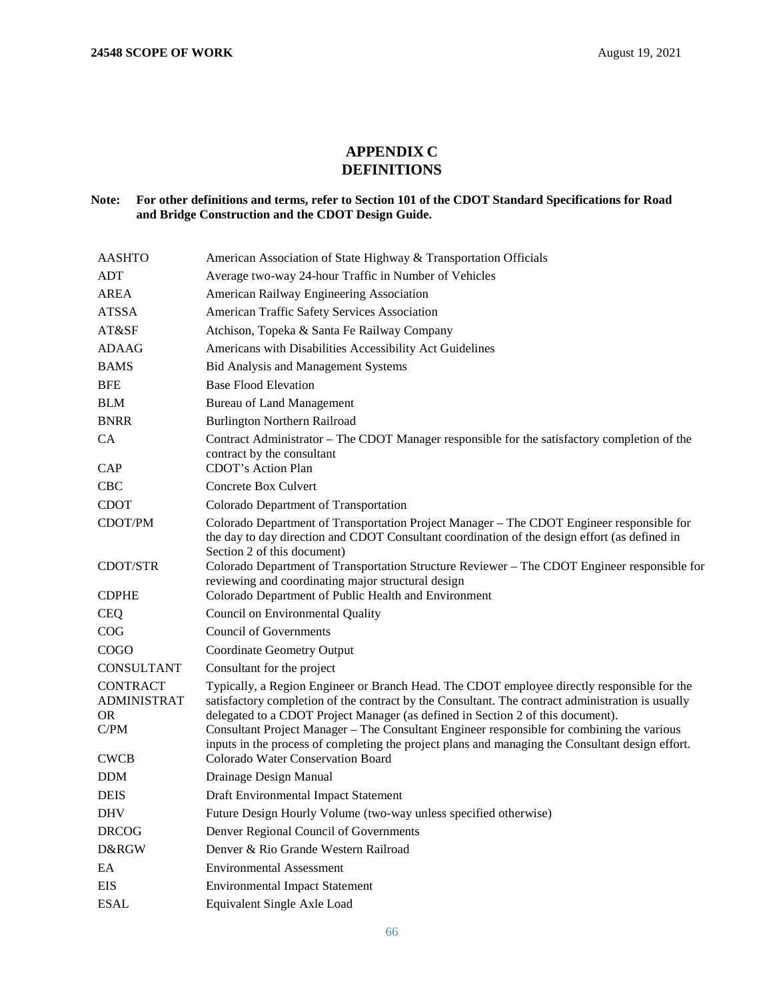# **APPENDIX C DEFINITIONS**

## **Note: For other definitions and terms, refer to Section 101 of the CDOT Standard Specifications for Road and Bridge Construction and the CDOT Design Guide.**

| <b>AASHTO</b>                                       | American Association of State Highway & Transportation Officials                                                                                                                                                                                                                                                                                                                                                                                                                      |
|-----------------------------------------------------|---------------------------------------------------------------------------------------------------------------------------------------------------------------------------------------------------------------------------------------------------------------------------------------------------------------------------------------------------------------------------------------------------------------------------------------------------------------------------------------|
| ADT                                                 | Average two-way 24-hour Traffic in Number of Vehicles                                                                                                                                                                                                                                                                                                                                                                                                                                 |
| <b>AREA</b>                                         | American Railway Engineering Association                                                                                                                                                                                                                                                                                                                                                                                                                                              |
| <b>ATSSA</b>                                        | American Traffic Safety Services Association                                                                                                                                                                                                                                                                                                                                                                                                                                          |
| AT&SF                                               | Atchison, Topeka & Santa Fe Railway Company                                                                                                                                                                                                                                                                                                                                                                                                                                           |
| <b>ADAAG</b>                                        | Americans with Disabilities Accessibility Act Guidelines                                                                                                                                                                                                                                                                                                                                                                                                                              |
| <b>BAMS</b>                                         | Bid Analysis and Management Systems                                                                                                                                                                                                                                                                                                                                                                                                                                                   |
| <b>BFE</b>                                          | <b>Base Flood Elevation</b>                                                                                                                                                                                                                                                                                                                                                                                                                                                           |
| <b>BLM</b>                                          | <b>Bureau of Land Management</b>                                                                                                                                                                                                                                                                                                                                                                                                                                                      |
| <b>BNRR</b>                                         | <b>Burlington Northern Railroad</b>                                                                                                                                                                                                                                                                                                                                                                                                                                                   |
| CA                                                  | Contract Administrator - The CDOT Manager responsible for the satisfactory completion of the<br>contract by the consultant<br><b>CDOT's Action Plan</b>                                                                                                                                                                                                                                                                                                                               |
| CAP                                                 |                                                                                                                                                                                                                                                                                                                                                                                                                                                                                       |
| <b>CBC</b>                                          | Concrete Box Culvert                                                                                                                                                                                                                                                                                                                                                                                                                                                                  |
| <b>CDOT</b>                                         | Colorado Department of Transportation                                                                                                                                                                                                                                                                                                                                                                                                                                                 |
| CDOT/PM                                             | Colorado Department of Transportation Project Manager - The CDOT Engineer responsible for<br>the day to day direction and CDOT Consultant coordination of the design effort (as defined in<br>Section 2 of this document)                                                                                                                                                                                                                                                             |
| <b>CDOT/STR</b>                                     | Colorado Department of Transportation Structure Reviewer - The CDOT Engineer responsible for<br>reviewing and coordinating major structural design                                                                                                                                                                                                                                                                                                                                    |
| <b>CDPHE</b>                                        | Colorado Department of Public Health and Environment                                                                                                                                                                                                                                                                                                                                                                                                                                  |
| <b>CEQ</b>                                          | Council on Environmental Quality                                                                                                                                                                                                                                                                                                                                                                                                                                                      |
| COG                                                 | <b>Council of Governments</b>                                                                                                                                                                                                                                                                                                                                                                                                                                                         |
| <b>COGO</b>                                         | <b>Coordinate Geometry Output</b>                                                                                                                                                                                                                                                                                                                                                                                                                                                     |
| <b>CONSULTANT</b>                                   | Consultant for the project                                                                                                                                                                                                                                                                                                                                                                                                                                                            |
| <b>CONTRACT</b><br><b>ADMINISTRAT</b><br>OR<br>C/PM | Typically, a Region Engineer or Branch Head. The CDOT employee directly responsible for the<br>satisfactory completion of the contract by the Consultant. The contract administration is usually<br>delegated to a CDOT Project Manager (as defined in Section 2 of this document).<br>Consultant Project Manager – The Consultant Engineer responsible for combining the various<br>inputs in the process of completing the project plans and managing the Consultant design effort. |
| <b>CWCB</b>                                         | Colorado Water Conservation Board                                                                                                                                                                                                                                                                                                                                                                                                                                                     |
| <b>DDM</b>                                          | Drainage Design Manual                                                                                                                                                                                                                                                                                                                                                                                                                                                                |
| <b>DEIS</b>                                         | <b>Draft Environmental Impact Statement</b>                                                                                                                                                                                                                                                                                                                                                                                                                                           |
| DHV                                                 | Future Design Hourly Volume (two-way unless specified otherwise)                                                                                                                                                                                                                                                                                                                                                                                                                      |
| <b>DRCOG</b>                                        | Denver Regional Council of Governments                                                                                                                                                                                                                                                                                                                                                                                                                                                |
| D&RGW                                               | Denver & Rio Grande Western Railroad                                                                                                                                                                                                                                                                                                                                                                                                                                                  |
| EA                                                  | <b>Environmental Assessment</b>                                                                                                                                                                                                                                                                                                                                                                                                                                                       |
| <b>EIS</b>                                          | <b>Environmental Impact Statement</b>                                                                                                                                                                                                                                                                                                                                                                                                                                                 |
| <b>ESAL</b>                                         | Equivalent Single Axle Load                                                                                                                                                                                                                                                                                                                                                                                                                                                           |
|                                                     |                                                                                                                                                                                                                                                                                                                                                                                                                                                                                       |